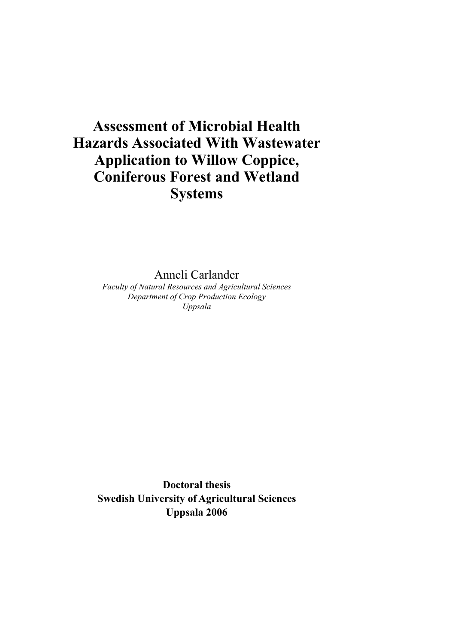# **Assessment of Microbial Health Hazards Associated With Wastewater Application to Willow Coppice, Coniferous Forest and Wetland Systems**

Anneli Carlander

*Faculty of Natural Resources and Agricultural Sciences Department of Crop Production Ecology Uppsala* 

**Doctoral thesis Swedish University of Agricultural Sciences Uppsala 2006**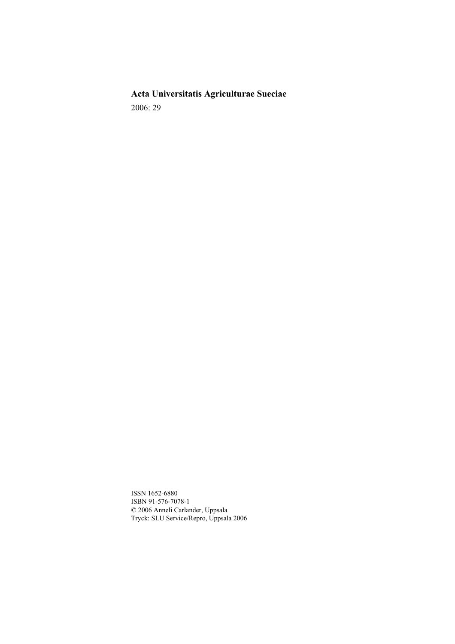**Acta Universitatis Agriculturae Sueciae**  2006: 29

ISSN 1652-6880 ISBN 91-576-7078-1 © 2006 Anneli Carlander, Uppsala Tryck: SLU Service/Repro, Uppsala 2006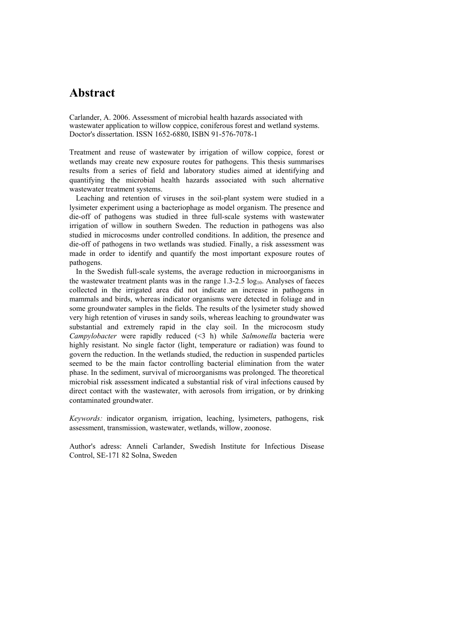## **Abstract**

Carlander, A. 2006. Assessment of microbial health hazards associated with wastewater application to willow coppice, coniferous forest and wetland systems. Doctor's dissertation. ISSN 1652-6880, ISBN 91-576-7078-1

Treatment and reuse of wastewater by irrigation of willow coppice, forest or wetlands may create new exposure routes for pathogens. This thesis summarises results from a series of field and laboratory studies aimed at identifying and quantifying the microbial health hazards associated with such alternative wastewater treatment systems.

Leaching and retention of viruses in the soil-plant system were studied in a lysimeter experiment using a bacteriophage as model organism. The presence and die-off of pathogens was studied in three full-scale systems with wastewater irrigation of willow in southern Sweden. The reduction in pathogens was also studied in microcosms under controlled conditions. In addition, the presence and die-off of pathogens in two wetlands was studied. Finally, a risk assessment was made in order to identify and quantify the most important exposure routes of pathogens.

In the Swedish full-scale systems, the average reduction in microorganisms in the wastewater treatment plants was in the range  $1.3$ - $2.5$  log<sub>10</sub>. Analyses of faeces collected in the irrigated area did not indicate an increase in pathogens in mammals and birds, whereas indicator organisms were detected in foliage and in some groundwater samples in the fields. The results of the lysimeter study showed very high retention of viruses in sandy soils, whereas leaching to groundwater was substantial and extremely rapid in the clay soil. In the microcosm study *Campylobacter* were rapidly reduced (<3 h) while *Salmonella* bacteria were highly resistant. No single factor (light, temperature or radiation) was found to govern the reduction. In the wetlands studied, the reduction in suspended particles seemed to be the main factor controlling bacterial elimination from the water phase. In the sediment, survival of microorganisms was prolonged. The theoretical microbial risk assessment indicated a substantial risk of viral infections caused by direct contact with the wastewater, with aerosols from irrigation, or by drinking contaminated groundwater.

*Keywords:* indicator organism*,* irrigation, leaching, lysimeters, pathogens, risk assessment, transmission, wastewater, wetlands, willow, zoonose.

Author's adress: Anneli Carlander, Swedish Institute for Infectious Disease Control, SE-171 82 Solna, Sweden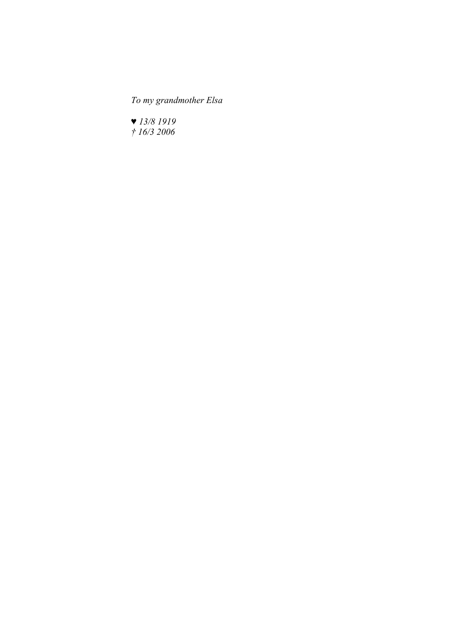*To my grandmother Elsa* 

*♥ 13/8 1919 † 16/3 2006*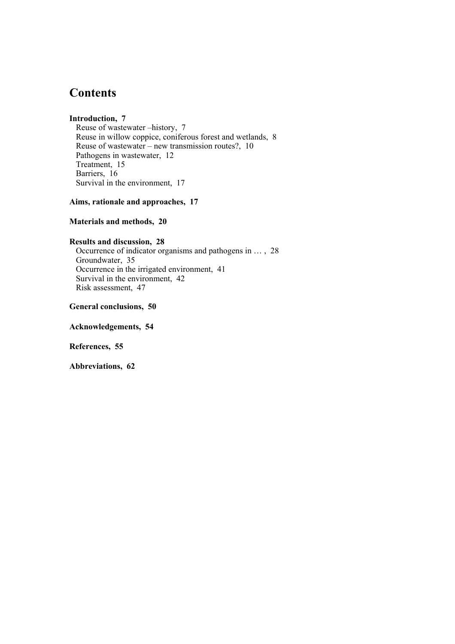## **Contents**

## **Introduction, 7**

Reuse of wastewater –history, 7 Reuse in willow coppice, coniferous forest and wetlands, 8 Reuse of wastewater – new transmission routes?, 10 Pathogens in wastewater, 12 Treatment, 15 Barriers, 16 Survival in the environment, 17

**Aims, rationale and approaches, 17** 

### **Materials and methods, 20**

### **Results and discussion, 28**

Occurrence of indicator organisms and pathogens in … , 28 Groundwater, 35 Occurrence in the irrigated environment, 41 Survival in the environment, 42 Risk assessment, 47

**General conclusions, 50** 

**Acknowledgements, 54** 

**References, 55** 

**Abbreviations, 62**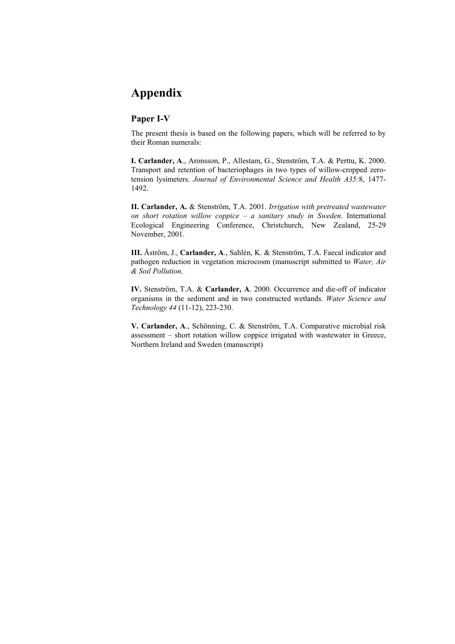## **Appendix**

### **Paper I-V**

The present thesis is based on the following papers, which will be referred to by their Roman numerals:

**I. Carlander, A**., Aronsson, P., Allestam, G., Stenström, T.A. & Perttu, K. 2000. Transport and retention of bacteriophages in two types of willow-cropped zerotension lysimeters. *Journal of Environmental Science and Health A35:*8, 1477- 1492.

**II. Carlander, A.** & Stenström, T.A. 2001. *Irrigation with pretreated wastewater on short rotation willow coppice – a sanitary study in Sweden*. International Ecological Engineering Conference, Christchurch, New Zealand, 25-29 November, 2001.

**III.** Åström, J., **Carlander, A**., Sahlén, K. & Stenström, T.A. Faecal indicator and pathogen reduction in vegetation microcosm (manuscript submitted to *Water, Air & Soil Pollution.* 

**IV.** Stenström, T.A. & **Carlander, A**. 2000. Occurrence and die-off of indicator organisms in the sediment and in two constructed wetlands. *Water Science and Technology 44* (11-12), 223-230.

**V. Carlander, A**., Schönning, C. & Stenström, T.A. Comparative microbial risk assessment – short rotation willow coppice irrigated with wastewater in Greece, Northern Ireland and Sweden (manuscript)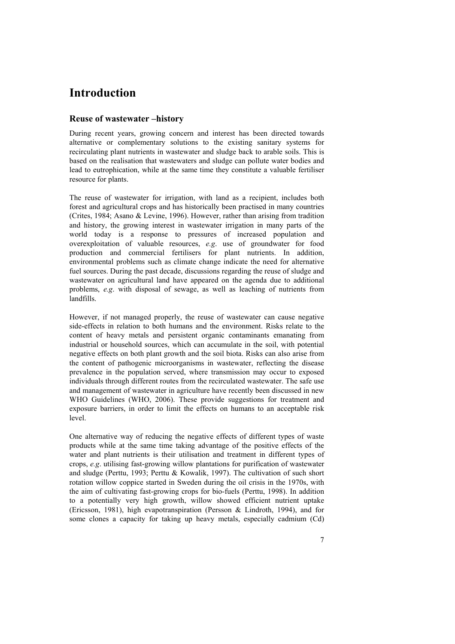## **Introduction**

### **Reuse of wastewater –history**

During recent years, growing concern and interest has been directed towards alternative or complementary solutions to the existing sanitary systems for recirculating plant nutrients in wastewater and sludge back to arable soils. This is based on the realisation that wastewaters and sludge can pollute water bodies and lead to eutrophication, while at the same time they constitute a valuable fertiliser resource for plants.

The reuse of wastewater for irrigation, with land as a recipient, includes both forest and agricultural crops and has historically been practised in many countries (Crites, 1984; Asano & Levine, 1996). However, rather than arising from tradition and history, the growing interest in wastewater irrigation in many parts of the world today is a response to pressures of increased population and overexploitation of valuable resources, *e.g*. use of groundwater for food production and commercial fertilisers for plant nutrients. In addition, environmental problems such as climate change indicate the need for alternative fuel sources. During the past decade, discussions regarding the reuse of sludge and wastewater on agricultural land have appeared on the agenda due to additional problems, *e.g*. with disposal of sewage, as well as leaching of nutrients from landfills.

However, if not managed properly, the reuse of wastewater can cause negative side-effects in relation to both humans and the environment. Risks relate to the content of heavy metals and persistent organic contaminants emanating from industrial or household sources, which can accumulate in the soil, with potential negative effects on both plant growth and the soil biota. Risks can also arise from the content of pathogenic microorganisms in wastewater, reflecting the disease prevalence in the population served, where transmission may occur to exposed individuals through different routes from the recirculated wastewater. The safe use and management of wastewater in agriculture have recently been discussed in new WHO Guidelines (WHO, 2006). These provide suggestions for treatment and exposure barriers, in order to limit the effects on humans to an acceptable risk level.

One alternative way of reducing the negative effects of different types of waste products while at the same time taking advantage of the positive effects of the water and plant nutrients is their utilisation and treatment in different types of crops, *e.g*. utilising fast-growing willow plantations for purification of wastewater and sludge (Perttu, 1993; Perttu & Kowalik, 1997). The cultivation of such short rotation willow coppice started in Sweden during the oil crisis in the 1970s, with the aim of cultivating fast-growing crops for bio-fuels (Perttu, 1998). In addition to a potentially very high growth, willow showed efficient nutrient uptake (Ericsson, 1981), high evapotranspiration (Persson & Lindroth, 1994), and for some clones a capacity for taking up heavy metals, especially cadmium (Cd)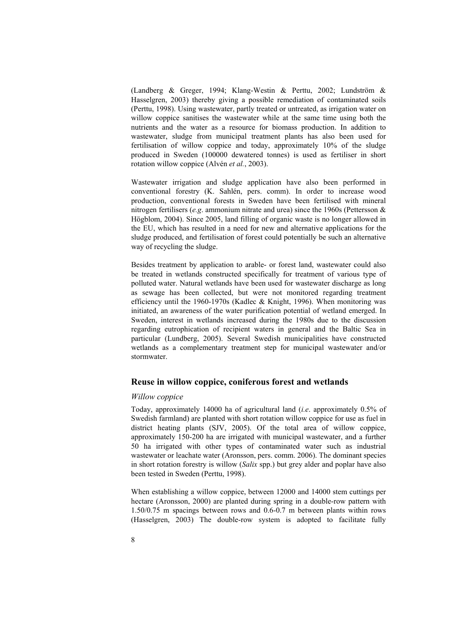(Landberg & Greger, 1994; Klang-Westin & Perttu, 2002; Lundström & Hasselgren, 2003) thereby giving a possible remediation of contaminated soils (Perttu, 1998). Using wastewater, partly treated or untreated, as irrigation water on willow coppice sanitises the wastewater while at the same time using both the nutrients and the water as a resource for biomass production. In addition to wastewater, sludge from municipal treatment plants has also been used for fertilisation of willow coppice and today, approximately 10% of the sludge produced in Sweden (100000 dewatered tonnes) is used as fertiliser in short rotation willow coppice (Alvén *et al.*, 2003).

Wastewater irrigation and sludge application have also been performed in conventional forestry (K. Sahlén, pers. comm). In order to increase wood production, conventional forests in Sweden have been fertilised with mineral nitrogen fertilisers (*e.g*. ammonium nitrate and urea) since the 1960s (Pettersson & Högblom, 2004). Since 2005, land filling of organic waste is no longer allowed in the EU, which has resulted in a need for new and alternative applications for the sludge produced, and fertilisation of forest could potentially be such an alternative way of recycling the sludge.

Besides treatment by application to arable- or forest land, wastewater could also be treated in wetlands constructed specifically for treatment of various type of polluted water. Natural wetlands have been used for wastewater discharge as long as sewage has been collected, but were not monitored regarding treatment efficiency until the 1960-1970s (Kadlec & Knight, 1996). When monitoring was initiated, an awareness of the water purification potential of wetland emerged. In Sweden, interest in wetlands increased during the 1980s due to the discussion regarding eutrophication of recipient waters in general and the Baltic Sea in particular (Lundberg, 2005). Several Swedish municipalities have constructed wetlands as a complementary treatment step for municipal wastewater and/or stormwater.

#### **Reuse in willow coppice, coniferous forest and wetlands**

#### *Willow coppice*

Today, approximately 14000 ha of agricultural land (*i.e*. approximately 0.5% of Swedish farmland) are planted with short rotation willow coppice for use as fuel in district heating plants (SJV, 2005). Of the total area of willow coppice, approximately 150-200 ha are irrigated with municipal wastewater, and a further 50 ha irrigated with other types of contaminated water such as industrial wastewater or leachate water (Aronsson, pers. comm. 2006). The dominant species in short rotation forestry is willow (*Salix* spp.) but grey alder and poplar have also been tested in Sweden (Perttu, 1998).

When establishing a willow coppice, between 12000 and 14000 stem cuttings per hectare (Aronsson, 2000) are planted during spring in a double-row pattern with 1.50/0.75 m spacings between rows and 0.6-0.7 m between plants within rows (Hasselgren, 2003) The double-row system is adopted to facilitate fully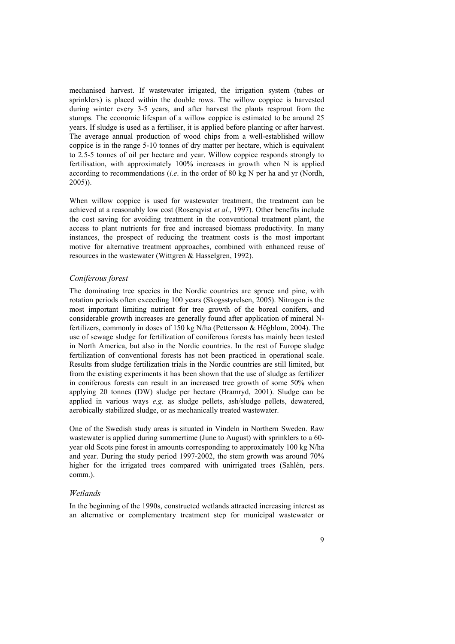mechanised harvest. If wastewater irrigated, the irrigation system (tubes or sprinklers) is placed within the double rows. The willow coppice is harvested during winter every 3-5 years, and after harvest the plants resprout from the stumps. The economic lifespan of a willow coppice is estimated to be around 25 years. If sludge is used as a fertiliser, it is applied before planting or after harvest. The average annual production of wood chips from a well-established willow coppice is in the range 5-10 tonnes of dry matter per hectare, which is equivalent to 2.5-5 tonnes of oil per hectare and year. Willow coppice responds strongly to fertilisation, with approximately 100% increases in growth when N is applied according to recommendations (*i.e*. in the order of 80 kg N per ha and yr (Nordh, 2005)).

When willow coppice is used for wastewater treatment, the treatment can be achieved at a reasonably low cost (Rosenqvist *et al.*, 1997). Other benefits include the cost saving for avoiding treatment in the conventional treatment plant, the access to plant nutrients for free and increased biomass productivity. In many instances, the prospect of reducing the treatment costs is the most important motive for alternative treatment approaches, combined with enhanced reuse of resources in the wastewater (Wittgren & Hasselgren, 1992).

#### *Coniferous forest*

The dominating tree species in the Nordic countries are spruce and pine, with rotation periods often exceeding 100 years (Skogsstyrelsen, 2005). Nitrogen is the most important limiting nutrient for tree growth of the boreal conifers, and considerable growth increases are generally found after application of mineral Nfertilizers, commonly in doses of 150 kg N/ha (Pettersson & Högblom, 2004). The use of sewage sludge for fertilization of coniferous forests has mainly been tested in North America, but also in the Nordic countries. In the rest of Europe sludge fertilization of conventional forests has not been practiced in operational scale. Results from sludge fertilization trials in the Nordic countries are still limited, but from the existing experiments it has been shown that the use of sludge as fertilizer in coniferous forests can result in an increased tree growth of some 50% when applying 20 tonnes (DW) sludge per hectare (Bramryd, 2001). Sludge can be applied in various ways *e.g.* as sludge pellets, ash/sludge pellets, dewatered, aerobically stabilized sludge, or as mechanically treated wastewater.

One of the Swedish study areas is situated in Vindeln in Northern Sweden. Raw wastewater is applied during summertime (June to August) with sprinklers to a 60 year old Scots pine forest in amounts corresponding to approximately 100 kg N/ha and year. During the study period 1997-2002, the stem growth was around 70% higher for the irrigated trees compared with unirrigated trees (Sahlén, pers. comm.).

#### *Wetlands*

In the beginning of the 1990s, constructed wetlands attracted increasing interest as an alternative or complementary treatment step for municipal wastewater or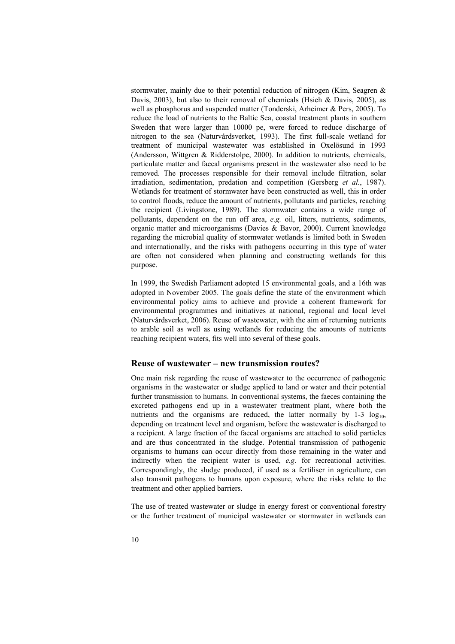stormwater, mainly due to their potential reduction of nitrogen (Kim, Seagren & Davis, 2003), but also to their removal of chemicals (Hsieh & Davis, 2005), as well as phosphorus and suspended matter (Tonderski, Arheimer & Pers, 2005). To reduce the load of nutrients to the Baltic Sea, coastal treatment plants in southern Sweden that were larger than 10000 pe, were forced to reduce discharge of nitrogen to the sea (Naturvårdsverket, 1993). The first full-scale wetland for treatment of municipal wastewater was established in Oxelösund in 1993 (Andersson, Wittgren & Ridderstolpe, 2000). In addition to nutrients, chemicals, particulate matter and faecal organisms present in the wastewater also need to be removed. The processes responsible for their removal include filtration, solar irradiation, sedimentation, predation and competition (Gersberg *et al.*, 1987). Wetlands for treatment of stormwater have been constructed as well, this in order to control floods, reduce the amount of nutrients, pollutants and particles, reaching the recipient (Livingstone, 1989). The stormwater contains a wide range of pollutants, dependent on the run off area, *e.g.* oil, litters, nutrients, sediments, organic matter and microorganisms (Davies & Bavor, 2000). Current knowledge regarding the microbial quality of stormwater wetlands is limited both in Sweden and internationally, and the risks with pathogens occurring in this type of water are often not considered when planning and constructing wetlands for this purpose.

In 1999, the Swedish Parliament adopted 15 environmental goals, and a 16th was adopted in November 2005. The goals define the state of the environment which environmental policy aims to achieve and provide a coherent framework for environmental programmes and initiatives at national, regional and local level (Naturvårdsverket, 2006). Reuse of wastewater, with the aim of returning nutrients to arable soil as well as using wetlands for reducing the amounts of nutrients reaching recipient waters, fits well into several of these goals.

### **Reuse of wastewater – new transmission routes?**

One main risk regarding the reuse of wastewater to the occurrence of pathogenic organisms in the wastewater or sludge applied to land or water and their potential further transmission to humans. In conventional systems, the faeces containing the excreted pathogens end up in a wastewater treatment plant, where both the nutrients and the organisms are reduced, the latter normally by  $1-3 \log_{10}$ , depending on treatment level and organism, before the wastewater is discharged to a recipient. A large fraction of the faecal organisms are attached to solid particles and are thus concentrated in the sludge. Potential transmission of pathogenic organisms to humans can occur directly from those remaining in the water and indirectly when the recipient water is used, *e.g*. for recreational activities. Correspondingly, the sludge produced, if used as a fertiliser in agriculture, can also transmit pathogens to humans upon exposure, where the risks relate to the treatment and other applied barriers.

The use of treated wastewater or sludge in energy forest or conventional forestry or the further treatment of municipal wastewater or stormwater in wetlands can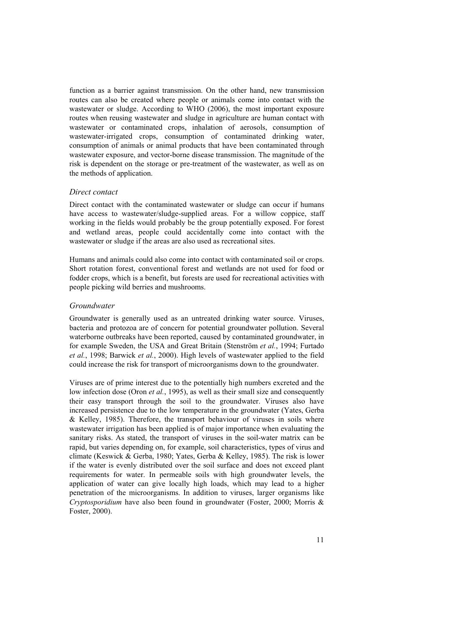function as a barrier against transmission. On the other hand, new transmission routes can also be created where people or animals come into contact with the wastewater or sludge. According to WHO (2006), the most important exposure routes when reusing wastewater and sludge in agriculture are human contact with wastewater or contaminated crops, inhalation of aerosols, consumption of wastewater-irrigated crops, consumption of contaminated drinking water, consumption of animals or animal products that have been contaminated through wastewater exposure, and vector-borne disease transmission. The magnitude of the risk is dependent on the storage or pre-treatment of the wastewater, as well as on the methods of application.

#### *Direct contact*

Direct contact with the contaminated wastewater or sludge can occur if humans have access to wastewater/sludge-supplied areas. For a willow coppice, staff working in the fields would probably be the group potentially exposed. For forest and wetland areas, people could accidentally come into contact with the wastewater or sludge if the areas are also used as recreational sites.

Humans and animals could also come into contact with contaminated soil or crops. Short rotation forest, conventional forest and wetlands are not used for food or fodder crops, which is a benefit, but forests are used for recreational activities with people picking wild berries and mushrooms.

#### *Groundwater*

Groundwater is generally used as an untreated drinking water source. Viruses, bacteria and protozoa are of concern for potential groundwater pollution. Several waterborne outbreaks have been reported, caused by contaminated groundwater, in for example Sweden, the USA and Great Britain (Stenström *et al.*, 1994; Furtado *et al.*, 1998; Barwick *et al.*, 2000). High levels of wastewater applied to the field could increase the risk for transport of microorganisms down to the groundwater.

Viruses are of prime interest due to the potentially high numbers excreted and the low infection dose (Oron *et al.*, 1995), as well as their small size and consequently their easy transport through the soil to the groundwater. Viruses also have increased persistence due to the low temperature in the groundwater (Yates, Gerba & Kelley, 1985). Therefore, the transport behaviour of viruses in soils where wastewater irrigation has been applied is of major importance when evaluating the sanitary risks. As stated, the transport of viruses in the soil-water matrix can be rapid, but varies depending on, for example, soil characteristics, types of virus and climate (Keswick & Gerba, 1980; Yates, Gerba & Kelley, 1985). The risk is lower if the water is evenly distributed over the soil surface and does not exceed plant requirements for water. In permeable soils with high groundwater levels, the application of water can give locally high loads, which may lead to a higher penetration of the microorganisms. In addition to viruses, larger organisms like *Cryptosporidium* have also been found in groundwater (Foster, 2000; Morris & Foster, 2000).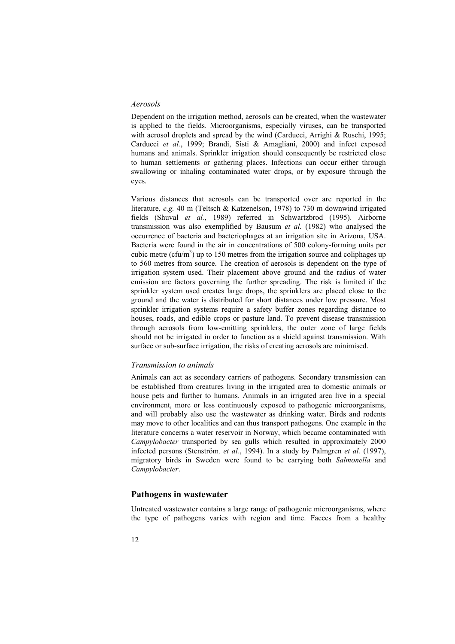#### *Aerosols*

Dependent on the irrigation method, aerosols can be created, when the wastewater is applied to the fields. Microorganisms, especially viruses, can be transported with aerosol droplets and spread by the wind (Carducci, Arrighi & Ruschi, 1995; Carducci *et al.*, 1999; Brandi, Sisti & Amagliani, 2000) and infect exposed humans and animals. Sprinkler irrigation should consequently be restricted close to human settlements or gathering places. Infections can occur either through swallowing or inhaling contaminated water drops, or by exposure through the eyes.

Various distances that aerosols can be transported over are reported in the literature, *e.g.* 40 m (Teltsch & Katzenelson, 1978) to 730 m downwind irrigated fields (Shuval *et al.*, 1989) referred in Schwartzbrod (1995). Airborne transmission was also exemplified by Bausum *et al.* (1982) who analysed the occurrence of bacteria and bacteriophages at an irrigation site in Arizona, USA. Bacteria were found in the air in concentrations of 500 colony-forming units per cubic metre ( $c$ fu/m<sup>3</sup>) up to 150 metres from the irrigation source and coliphages up to 560 metres from source. The creation of aerosols is dependent on the type of irrigation system used. Their placement above ground and the radius of water emission are factors governing the further spreading. The risk is limited if the sprinkler system used creates large drops, the sprinklers are placed close to the ground and the water is distributed for short distances under low pressure. Most sprinkler irrigation systems require a safety buffer zones regarding distance to houses, roads, and edible crops or pasture land. To prevent disease transmission through aerosols from low-emitting sprinklers, the outer zone of large fields should not be irrigated in order to function as a shield against transmission. With surface or sub-surface irrigation, the risks of creating aerosols are minimised.

#### *Transmission to animals*

Animals can act as secondary carriers of pathogens. Secondary transmission can be established from creatures living in the irrigated area to domestic animals or house pets and further to humans. Animals in an irrigated area live in a special environment, more or less continuously exposed to pathogenic microorganisms, and will probably also use the wastewater as drinking water. Birds and rodents may move to other localities and can thus transport pathogens. One example in the literature concerns a water reservoir in Norway, which became contaminated with *Campylobacter* transported by sea gulls which resulted in approximately 2000 infected persons (Stenström*, et al.*, 1994). In a study by Palmgren *et al.* (1997), migratory birds in Sweden were found to be carrying both *Salmonella* and *Campylobacter*.

#### **Pathogens in wastewater**

Untreated wastewater contains a large range of pathogenic microorganisms, where the type of pathogens varies with region and time. Faeces from a healthy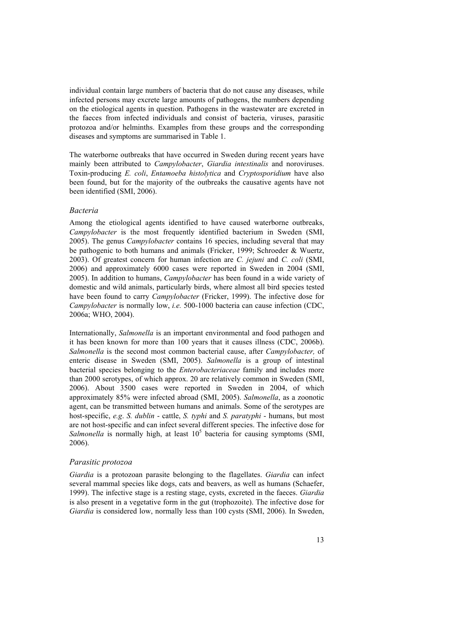individual contain large numbers of bacteria that do not cause any diseases, while infected persons may excrete large amounts of pathogens, the numbers depending on the etiological agents in question. Pathogens in the wastewater are excreted in the faeces from infected individuals and consist of bacteria, viruses, parasitic protozoa and/or helminths. Examples from these groups and the corresponding diseases and symptoms are summarised in Table 1.

The waterborne outbreaks that have occurred in Sweden during recent years have mainly been attributed to *Campylobacter*, *Giardia intestinalis* and noroviruses. Toxin-producing *E. coli*, *Entamoeba histolytica* and *Cryptosporidium* have also been found, but for the majority of the outbreaks the causative agents have not been identified (SMI, 2006).

#### *Bacteria*

Among the etiological agents identified to have caused waterborne outbreaks, *Campylobacter* is the most frequently identified bacterium in Sweden (SMI, 2005). The genus *Campylobacter* contains 16 species, including several that may be pathogenic to both humans and animals (Fricker, 1999; Schroeder & Wuertz, 2003). Of greatest concern for human infection are *C. jejuni* and *C. coli* (SMI, 2006) and approximately 6000 cases were reported in Sweden in 2004 (SMI, 2005). In addition to humans, *Campylobacter* has been found in a wide variety of domestic and wild animals, particularly birds, where almost all bird species tested have been found to carry *Campylobacter* (Fricker, 1999). The infective dose for *Campylobacter* is normally low, *i.e.* 500-1000 bacteria can cause infection (CDC, 2006a; WHO, 2004).

Internationally, *Salmonella* is an important environmental and food pathogen and it has been known for more than 100 years that it causes illness (CDC, 2006b). *Salmonella* is the second most common bacterial cause, after *Campylobacter,* of enteric disease in Sweden (SMI, 2005). *Salmonella* is a group of intestinal bacterial species belonging to the *Enterobacteriaceae* family and includes more than 2000 serotypes, of which approx. 20 are relatively common in Sweden (SMI, 2006). About 3500 cases were reported in Sweden in 2004, of which approximately 85% were infected abroad (SMI, 2005). *Salmonella*, as a zoonotic agent, can be transmitted between humans and animals. Some of the serotypes are host-specific, *e.g*. *S. dublin* - cattle, *S. typhi* and *S. paratyphi* - humans, but most are not host-specific and can infect several different species. The infective dose for Salmonella is normally high, at least  $10<sup>5</sup>$  bacteria for causing symptoms (SMI, 2006).

#### *Parasitic protozoa*

*Giardia* is a protozoan parasite belonging to the flagellates. *Giardia* can infect several mammal species like dogs, cats and beavers, as well as humans (Schaefer, 1999). The infective stage is a resting stage, cysts, excreted in the faeces. *Giardia* is also present in a vegetative form in the gut (trophozoite). The infective dose for *Giardia* is considered low, normally less than 100 cysts (SMI, 2006). In Sweden,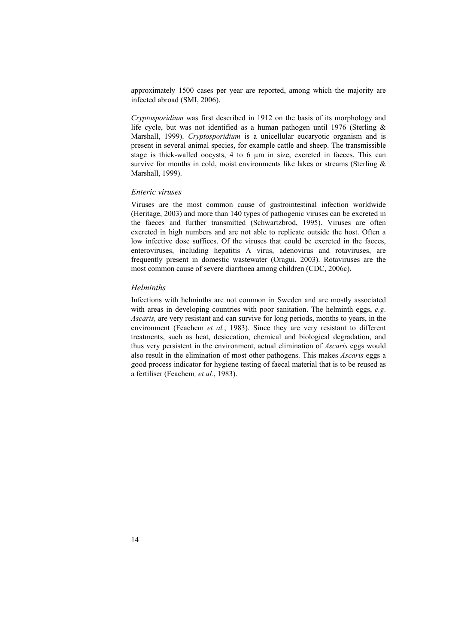approximately 1500 cases per year are reported, among which the majority are infected abroad (SMI, 2006).

*Cryptosporidium* was first described in 1912 on the basis of its morphology and life cycle, but was not identified as a human pathogen until 1976 (Sterling & Marshall, 1999). *Cryptosporidium* is a unicellular eucaryotic organism and is present in several animal species, for example cattle and sheep. The transmissible stage is thick-walled oocysts, 4 to 6  $\mu$ m in size, excreted in faeces. This can survive for months in cold, moist environments like lakes or streams (Sterling & Marshall, 1999).

#### *Enteric viruses*

Viruses are the most common cause of gastrointestinal infection worldwide (Heritage, 2003) and more than 140 types of pathogenic viruses can be excreted in the faeces and further transmitted (Schwartzbrod, 1995). Viruses are often excreted in high numbers and are not able to replicate outside the host. Often a low infective dose suffices. Of the viruses that could be excreted in the faeces, enteroviruses, including hepatitis A virus, adenovirus and rotaviruses, are frequently present in domestic wastewater (Oragui, 2003). Rotaviruses are the most common cause of severe diarrhoea among children (CDC, 2006c).

#### *Helminths*

Infections with helminths are not common in Sweden and are mostly associated with areas in developing countries with poor sanitation. The helminth eggs, *e.g*. *Ascaris,* are very resistant and can survive for long periods, months to years, in the environment (Feachem *et al.*, 1983). Since they are very resistant to different treatments, such as heat, desiccation, chemical and biological degradation, and thus very persistent in the environment, actual elimination of *Ascaris* eggs would also result in the elimination of most other pathogens. This makes *Ascaris* eggs a good process indicator for hygiene testing of faecal material that is to be reused as a fertiliser (Feachem*, et al.*, 1983).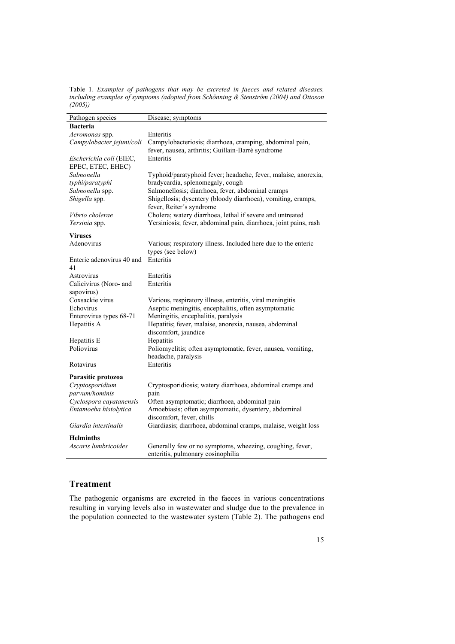Table 1. *Examples of pathogens that may be excreted in faeces and related diseases, including examples of symptoms (adopted from Schönning & Stenström (2004) and Ottoson (2005))* 

| Pathogen species                      | Disease; symptoms                                                |
|---------------------------------------|------------------------------------------------------------------|
| <b>Bacteria</b>                       |                                                                  |
| Aeromonas spp.                        | Enteritis                                                        |
| Campylobacter jejuni/coli             | Campylobacteriosis; diarrhoea, cramping, abdominal pain,         |
|                                       | fever, nausea, arthritis; Guillain-Barré syndrome                |
| Escherichia coli (EIEC,               | Enteritis                                                        |
| EPEC, ETEC, EHEC)                     |                                                                  |
| Salmonella                            | Typhoid/paratyphoid fever; headache, fever, malaise, anorexia,   |
| typhi/paratyphi                       | bradycardia, splenomegaly, cough                                 |
| Salmonella spp.                       | Salmonellosis; diarrhoea, fever, abdominal cramps                |
| Shigella spp.                         | Shigellosis; dysentery (bloody diarrhoea), vomiting, cramps,     |
|                                       | fever, Reiter's syndrome                                         |
| Vibrio cholerae                       | Cholera; watery diarrhoea, lethal if severe and untreated        |
| Yersinia spp.                         | Yersiniosis; fever, abdominal pain, diarrhoea, joint pains, rash |
| <b>Viruses</b>                        |                                                                  |
| Adenovirus                            | Various; respiratory illness. Included here due to the enteric   |
|                                       | types (see below)                                                |
| Enteric adenovirus 40 and             | Enteritis                                                        |
| 41                                    |                                                                  |
| Astrovirus                            | Enteritis                                                        |
| Calicivirus (Noro- and                | Enteritis                                                        |
| sapovirus)                            |                                                                  |
| Coxsackie virus                       | Various, respiratory illness, enteritis, viral meningitis        |
| Echovirus                             | Aseptic meningitis, encephalitis, often asymptomatic             |
| Enterovirus types 68-71               | Meningitis, encephalitis, paralysis                              |
| Hepatitis A                           | Hepatitis; fever, malaise, anorexia, nausea, abdominal           |
|                                       | discomfort, jaundice                                             |
| Hepatitis E                           | Hepatitis                                                        |
| Poliovirus                            | Poliomyelitis; often asymptomatic, fever, nausea, vomiting,      |
|                                       | headache, paralysis                                              |
| Rotavirus                             | Enteritis                                                        |
|                                       |                                                                  |
| Parasitic protozoa<br>Cryptosporidium | Cryptosporidiosis; watery diarrhoea, abdominal cramps and        |
| parvum/hominis                        | pain                                                             |
| Cyclospora cayatanensis               | Often asymptomatic; diarrhoea, abdominal pain                    |
| Entamoeba histolytica                 | Amoebiasis; often asymptomatic, dysentery, abdominal             |
|                                       | discomfort, fever, chills                                        |
| Giardia intestinalis                  | Giardiasis; diarrhoea, abdominal cramps, malaise, weight loss    |
|                                       |                                                                  |
| <b>Helminths</b>                      |                                                                  |
| Ascaris lumbricoides                  | Generally few or no symptoms, wheezing, coughing, fever,         |
|                                       | enteritis, pulmonary eosinophilia                                |

## **Treatment**

The pathogenic organisms are excreted in the faeces in various concentrations resulting in varying levels also in wastewater and sludge due to the prevalence in the population connected to the wastewater system (Table 2). The pathogens end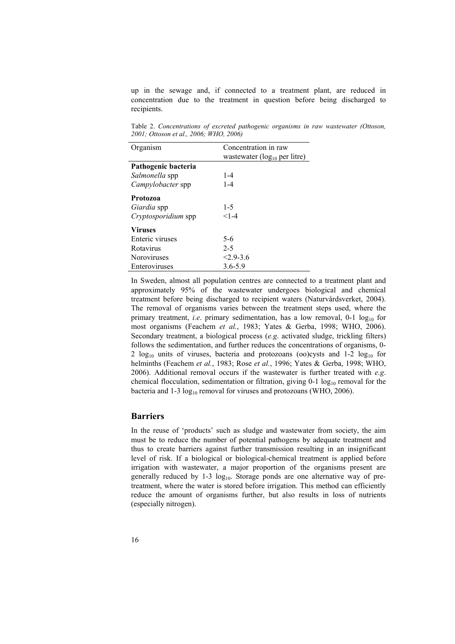up in the sewage and, if connected to a treatment plant, are reduced in concentration due to the treatment in question before being discharged to recipients.

Table 2. *Concentrations of excreted pathogenic organisms in raw wastewater (Ottoson, 2001; Ottoson et al., 2006; WHO, 2006)* 

| Organism                   | Concentration in raw               |
|----------------------------|------------------------------------|
|                            | wastewater ( $log_{10}$ per litre) |
| Pathogenic bacteria        |                                    |
| Salmonella spp             | $1 - 4$                            |
| Campylobacter spp          | $1 - 4$                            |
| <b>Protozoa</b>            |                                    |
| <i>Giardia</i> spp         | $1-5$                              |
| <i>Cryptosporidium</i> spp | $< 1 - 4$                          |
| <b>Viruses</b>             |                                    |
| Enteric viruses            | $5-6$                              |
| Rotavirus                  | $2 - 5$                            |
| <b>Noroviruses</b>         | $2.9 - 3.6$                        |
| Enteroviruses              | $3.6 - 5.9$                        |

In Sweden, almost all population centres are connected to a treatment plant and approximately 95% of the wastewater undergoes biological and chemical treatment before being discharged to recipient waters (Naturvårdsverket, 2004). The removal of organisms varies between the treatment steps used, where the primary treatment, *i.e.* primary sedimentation, has a low removal,  $0-1 \log_{10}$  for most organisms (Feachem *et al.*, 1983; Yates & Gerba, 1998; WHO, 2006). Secondary treatment, a biological process (*e.g*. activated sludge, trickling filters) follows the sedimentation, and further reduces the concentrations of organisms, 0- 2  $log_{10}$  units of viruses, bacteria and protozoans (oo)cysts and 1-2  $log_{10}$  for helminths (Feachem *et al.*, 1983; Rose *et al.*, 1996; Yates & Gerba, 1998; WHO, 2006). Additional removal occurs if the wastewater is further treated with *e.g*. chemical flocculation, sedimentation or filtration, giving  $0-1 \log_{10}$  removal for the bacteria and  $1-3 \log_{10}$  removal for viruses and protozoans (WHO, 2006).

### **Barriers**

In the reuse of 'products' such as sludge and wastewater from society, the aim must be to reduce the number of potential pathogens by adequate treatment and thus to create barriers against further transmission resulting in an insignificant level of risk. If a biological or biological-chemical treatment is applied before irrigation with wastewater, a major proportion of the organisms present are generally reduced by  $1-3 \log_{10}$ . Storage ponds are one alternative way of pretreatment, where the water is stored before irrigation. This method can efficiently reduce the amount of organisms further, but also results in loss of nutrients (especially nitrogen).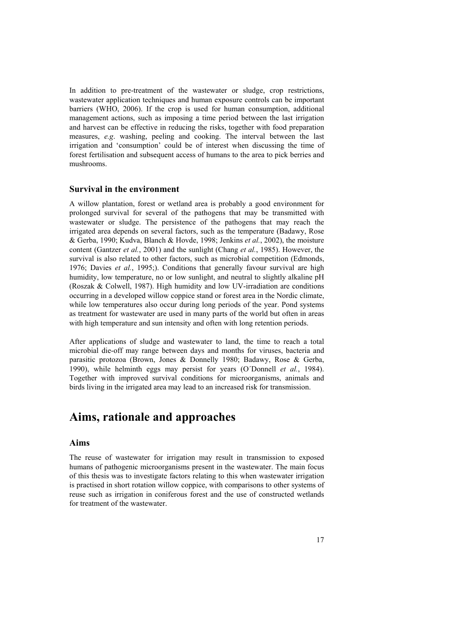In addition to pre-treatment of the wastewater or sludge, crop restrictions, wastewater application techniques and human exposure controls can be important barriers (WHO, 2006). If the crop is used for human consumption, additional management actions, such as imposing a time period between the last irrigation and harvest can be effective in reducing the risks, together with food preparation measures, *e.g*. washing, peeling and cooking. The interval between the last irrigation and 'consumption' could be of interest when discussing the time of forest fertilisation and subsequent access of humans to the area to pick berries and mushrooms.

#### **Survival in the environment**

A willow plantation, forest or wetland area is probably a good environment for prolonged survival for several of the pathogens that may be transmitted with wastewater or sludge. The persistence of the pathogens that may reach the irrigated area depends on several factors, such as the temperature (Badawy, Rose & Gerba, 1990; Kudva, Blanch & Hovde, 1998; Jenkins *et al.*, 2002), the moisture content (Gantzer *et al.*, 2001) and the sunlight (Chang *et al.*, 1985). However, the survival is also related to other factors, such as microbial competition (Edmonds, 1976; Davies *et al.*, 1995;). Conditions that generally favour survival are high humidity, low temperature, no or low sunlight, and neutral to slightly alkaline pH (Roszak & Colwell, 1987). High humidity and low UV-irradiation are conditions occurring in a developed willow coppice stand or forest area in the Nordic climate, while low temperatures also occur during long periods of the year. Pond systems as treatment for wastewater are used in many parts of the world but often in areas with high temperature and sun intensity and often with long retention periods.

After applications of sludge and wastewater to land, the time to reach a total microbial die-off may range between days and months for viruses, bacteria and parasitic protozoa (Brown, Jones & Donnelly 1980; Badawy, Rose & Gerba, 1990), while helminth eggs may persist for years (O´Donnell *et al.*, 1984). Together with improved survival conditions for microorganisms, animals and birds living in the irrigated area may lead to an increased risk for transmission.

## **Aims, rationale and approaches**

### **Aims**

The reuse of wastewater for irrigation may result in transmission to exposed humans of pathogenic microorganisms present in the wastewater. The main focus of this thesis was to investigate factors relating to this when wastewater irrigation is practised in short rotation willow coppice, with comparisons to other systems of reuse such as irrigation in coniferous forest and the use of constructed wetlands for treatment of the wastewater.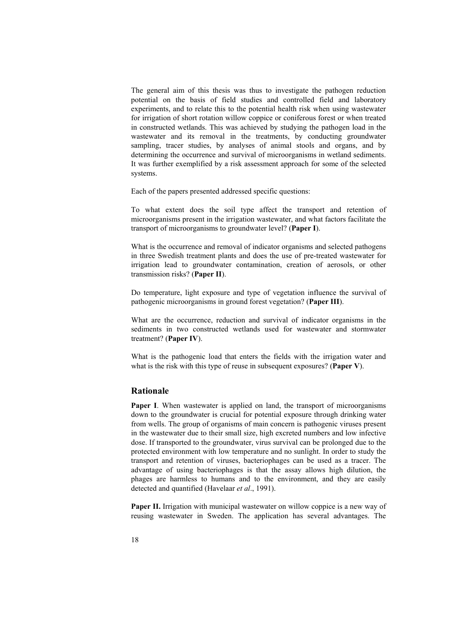The general aim of this thesis was thus to investigate the pathogen reduction potential on the basis of field studies and controlled field and laboratory experiments, and to relate this to the potential health risk when using wastewater for irrigation of short rotation willow coppice or coniferous forest or when treated in constructed wetlands. This was achieved by studying the pathogen load in the wastewater and its removal in the treatments, by conducting groundwater sampling, tracer studies, by analyses of animal stools and organs, and by determining the occurrence and survival of microorganisms in wetland sediments. It was further exemplified by a risk assessment approach for some of the selected systems.

Each of the papers presented addressed specific questions:

To what extent does the soil type affect the transport and retention of microorganisms present in the irrigation wastewater, and what factors facilitate the transport of microorganisms to groundwater level? (**Paper I**).

What is the occurrence and removal of indicator organisms and selected pathogens in three Swedish treatment plants and does the use of pre-treated wastewater for irrigation lead to groundwater contamination, creation of aerosols, or other transmission risks? (**Paper II**).

Do temperature, light exposure and type of vegetation influence the survival of pathogenic microorganisms in ground forest vegetation? (**Paper III**).

What are the occurrence, reduction and survival of indicator organisms in the sediments in two constructed wetlands used for wastewater and stormwater treatment? (**Paper IV**).

What is the pathogenic load that enters the fields with the irrigation water and what is the risk with this type of reuse in subsequent exposures? (**Paper V**).

### **Rationale**

Paper I. When wastewater is applied on land, the transport of microorganisms down to the groundwater is crucial for potential exposure through drinking water from wells. The group of organisms of main concern is pathogenic viruses present in the wastewater due to their small size, high excreted numbers and low infective dose. If transported to the groundwater, virus survival can be prolonged due to the protected environment with low temperature and no sunlight. In order to study the transport and retention of viruses, bacteriophages can be used as a tracer. The advantage of using bacteriophages is that the assay allows high dilution, the phages are harmless to humans and to the environment, and they are easily detected and quantified (Havelaar *et al*., 1991).

**Paper II.** Irrigation with municipal wastewater on willow coppice is a new way of reusing wastewater in Sweden. The application has several advantages. The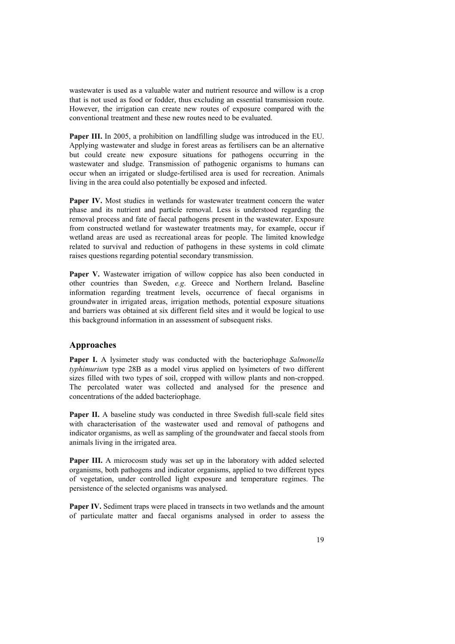wastewater is used as a valuable water and nutrient resource and willow is a crop that is not used as food or fodder, thus excluding an essential transmission route. However, the irrigation can create new routes of exposure compared with the conventional treatment and these new routes need to be evaluated.

**Paper III.** In 2005, a prohibition on landfilling sludge was introduced in the EU. Applying wastewater and sludge in forest areas as fertilisers can be an alternative but could create new exposure situations for pathogens occurring in the wastewater and sludge. Transmission of pathogenic organisms to humans can occur when an irrigated or sludge-fertilised area is used for recreation. Animals living in the area could also potentially be exposed and infected.

Paper IV. Most studies in wetlands for wastewater treatment concern the water phase and its nutrient and particle removal. Less is understood regarding the removal process and fate of faecal pathogens present in the wastewater. Exposure from constructed wetland for wastewater treatments may, for example, occur if wetland areas are used as recreational areas for people. The limited knowledge related to survival and reduction of pathogens in these systems in cold climate raises questions regarding potential secondary transmission.

Paper V. Wastewater irrigation of willow coppice has also been conducted in other countries than Sweden, *e.g*. Greece and Northern Ireland**.** Baseline information regarding treatment levels, occurrence of faecal organisms in groundwater in irrigated areas, irrigation methods, potential exposure situations and barriers was obtained at six different field sites and it would be logical to use this background information in an assessment of subsequent risks.

#### **Approaches**

**Paper I.** A lysimeter study was conducted with the bacteriophage *Salmonella typhimurium* type 28B as a model virus applied on lysimeters of two different sizes filled with two types of soil, cropped with willow plants and non-cropped. The percolated water was collected and analysed for the presence and concentrations of the added bacteriophage.

**Paper II.** A baseline study was conducted in three Swedish full-scale field sites with characterisation of the wastewater used and removal of pathogens and indicator organisms, as well as sampling of the groundwater and faecal stools from animals living in the irrigated area.

**Paper III.** A microcosm study was set up in the laboratory with added selected organisms, both pathogens and indicator organisms, applied to two different types of vegetation, under controlled light exposure and temperature regimes. The persistence of the selected organisms was analysed.

**Paper IV.** Sediment traps were placed in transects in two wetlands and the amount of particulate matter and faecal organisms analysed in order to assess the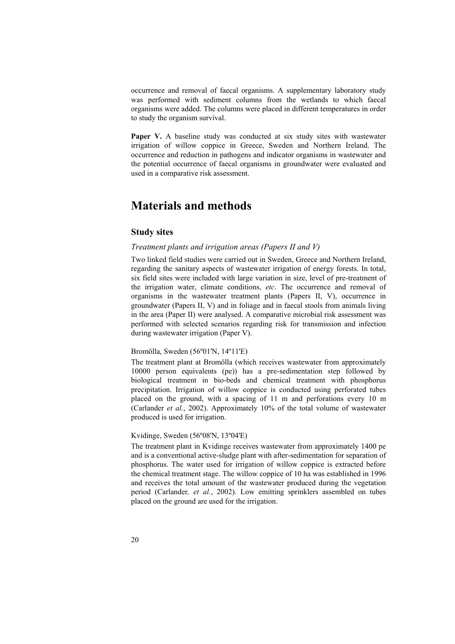occurrence and removal of faecal organisms. A supplementary laboratory study was performed with sediment columns from the wetlands to which faecal organisms were added. The columns were placed in different temperatures in order to study the organism survival.

Paper V. A baseline study was conducted at six study sites with wastewater irrigation of willow coppice in Greece, Sweden and Northern Ireland. The occurrence and reduction in pathogens and indicator organisms in wastewater and the potential occurrence of faecal organisms in groundwater were evaluated and used in a comparative risk assessment.

## **Materials and methods**

### **Study sites**

#### *Treatment plants and irrigation areas (Papers II and V)*

Two linked field studies were carried out in Sweden, Greece and Northern Ireland, regarding the sanitary aspects of wastewater irrigation of energy forests. In total, six field sites were included with large variation in size, level of pre-treatment of the irrigation water, climate conditions, *etc*. The occurrence and removal of organisms in the wastewater treatment plants (Papers II, V), occurrence in groundwater (Papers II, V) and in foliage and in faecal stools from animals living in the area (Paper II) were analysed. A comparative microbial risk assessment was performed with selected scenarios regarding risk for transmission and infection during wastewater irrigation (Paper V).

#### Bromölla, Sweden (56º01'N, 14º11'E)

The treatment plant at Bromölla (which receives wastewater from approximately 10000 person equivalents (pe)) has a pre-sedimentation step followed by biological treatment in bio-beds and chemical treatment with phosphorus precipitation. Irrigation of willow coppice is conducted using perforated tubes placed on the ground, with a spacing of 11 m and perforations every 10 m (Carlander *et al.*, 2002). Approximately 10% of the total volume of wastewater produced is used for irrigation.

#### Kvidinge, Sweden (56º08'N, 13º04'E)

The treatment plant in Kvidinge receives wastewater from approximately 1400 pe and is a conventional active-sludge plant with after-sedimentation for separation of phosphorus. The water used for irrigation of willow coppice is extracted before the chemical treatment stage. The willow coppice of 10 ha was established in 1996 and receives the total amount of the wastewater produced during the vegetation period (Carlander*, et al.*, 2002). Low emitting sprinklers assembled on tubes placed on the ground are used for the irrigation.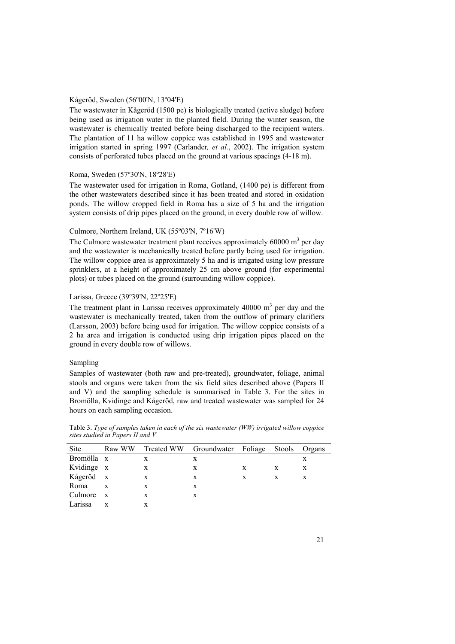#### Kågeröd, Sweden (56º00'N, 13º04'E)

The wastewater in Kågeröd (1500 pe) is biologically treated (active sludge) before being used as irrigation water in the planted field. During the winter season, the wastewater is chemically treated before being discharged to the recipient waters. The plantation of 11 ha willow coppice was established in 1995 and wastewater irrigation started in spring 1997 (Carlander*, et al.*, 2002). The irrigation system consists of perforated tubes placed on the ground at various spacings (4-18 m).

#### Roma, Sweden (57º30'N, 18º28'E)

The wastewater used for irrigation in Roma, Gotland, (1400 pe) is different from the other wastewaters described since it has been treated and stored in oxidation ponds. The willow cropped field in Roma has a size of 5 ha and the irrigation system consists of drip pipes placed on the ground, in every double row of willow.

#### Culmore, Northern Ireland, UK (55º03'N, 7º16'W)

The Culmore wastewater treatment plant receives approximately 60000  $m<sup>3</sup>$  per day and the wastewater is mechanically treated before partly being used for irrigation. The willow coppice area is approximately 5 ha and is irrigated using low pressure sprinklers, at a height of approximately 25 cm above ground (for experimental plots) or tubes placed on the ground (surrounding willow coppice).

#### Larissa, Greece (39º39'N, 22º25'E)

The treatment plant in Larissa receives approximately 40000  $m<sup>3</sup>$  per day and the wastewater is mechanically treated, taken from the outflow of primary clarifiers (Larsson, 2003) before being used for irrigation. The willow coppice consists of a 2 ha area and irrigation is conducted using drip irrigation pipes placed on the ground in every double row of willows.

#### Sampling

Samples of wastewater (both raw and pre-treated), groundwater, foliage, animal stools and organs were taken from the six field sites described above (Papers II and V) and the sampling schedule is summarised in Table 3. For the sites in Bromölla, Kvidinge and Kågeröd, raw and treated wastewater was sampled for 24 hours on each sampling occasion.

Table 3. *Type of samples taken in each of the six wastewater (WW) irrigated willow coppice sites studied in Papers II and V* 

| Site       | Raw WW       | <b>Treated WW</b> | Groundwater Foliage |   | Stools | Organs |
|------------|--------------|-------------------|---------------------|---|--------|--------|
| Bromölla x |              | X                 | X                   |   |        | X      |
| Kvidinge x |              | X                 | X                   | X | X      | X      |
| Kågeröd x  |              | X                 | X                   | X | X      | X      |
| Roma       | X            | X                 | X                   |   |        |        |
| Culmore    | $\mathbf{x}$ | X                 | X                   |   |        |        |
| Larissa    | X            | X                 |                     |   |        |        |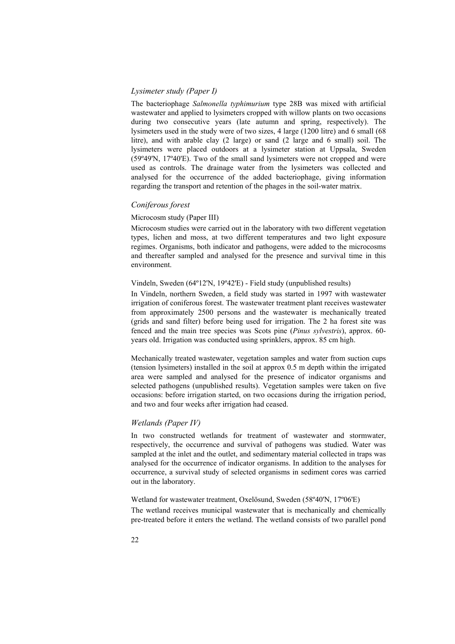### *Lysimeter study (Paper I)*

The bacteriophage *Salmonella typhimurium* type 28B was mixed with artificial wastewater and applied to lysimeters cropped with willow plants on two occasions during two consecutive years (late autumn and spring, respectively). The lysimeters used in the study were of two sizes, 4 large (1200 litre) and 6 small (68 litre), and with arable clay (2 large) or sand (2 large and 6 small) soil. The lysimeters were placed outdoors at a lysimeter station at Uppsala, Sweden (59º49'N, 17º40'E). Two of the small sand lysimeters were not cropped and were used as controls. The drainage water from the lysimeters was collected and analysed for the occurrence of the added bacteriophage, giving information regarding the transport and retention of the phages in the soil-water matrix.

#### *Coniferous forest*

#### Microcosm study (Paper III)

Microcosm studies were carried out in the laboratory with two different vegetation types, lichen and moss, at two different temperatures and two light exposure regimes. Organisms, both indicator and pathogens, were added to the microcosms and thereafter sampled and analysed for the presence and survival time in this environment.

#### Vindeln, Sweden (64º12'N, 19º42'E) - Field study (unpublished results)

In Vindeln, northern Sweden, a field study was started in 1997 with wastewater irrigation of coniferous forest. The wastewater treatment plant receives wastewater from approximately 2500 persons and the wastewater is mechanically treated (grids and sand filter) before being used for irrigation. The 2 ha forest site was fenced and the main tree species was Scots pine (*Pinus sylvestris*), approx. 60 years old. Irrigation was conducted using sprinklers, approx. 85 cm high.

Mechanically treated wastewater, vegetation samples and water from suction cups (tension lysimeters) installed in the soil at approx 0.5 m depth within the irrigated area were sampled and analysed for the presence of indicator organisms and selected pathogens (unpublished results). Vegetation samples were taken on five occasions: before irrigation started, on two occasions during the irrigation period, and two and four weeks after irrigation had ceased.

#### *Wetlands (Paper IV)*

In two constructed wetlands for treatment of wastewater and stormwater, respectively, the occurrence and survival of pathogens was studied. Water was sampled at the inlet and the outlet, and sedimentary material collected in traps was analysed for the occurrence of indicator organisms. In addition to the analyses for occurrence, a survival study of selected organisms in sediment cores was carried out in the laboratory.

#### Wetland for wastewater treatment, Oxelösund, Sweden (58º40'N, 17º06'E)

The wetland receives municipal wastewater that is mechanically and chemically pre-treated before it enters the wetland. The wetland consists of two parallel pond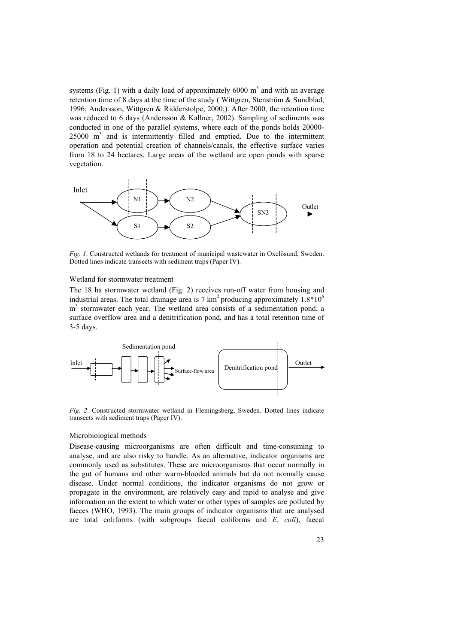systems (Fig. 1) with a daily load of approximately 6000  $m<sup>3</sup>$  and with an average retention time of 8 days at the time of the study ( Wittgren, Stenström & Sundblad, 1996; Andersson, Wittgren & Ridderstolpe, 2000;). After 2000, the retention time was reduced to 6 days (Andersson & Kallner, 2002). Sampling of sediments was conducted in one of the parallel systems, where each of the ponds holds 20000-  $25000 \text{ m}^3$  and is intermittently filled and emptied. Due to the intermittent operation and potential creation of channels/canals, the effective surface varies from 18 to 24 hectares. Large areas of the wetland are open ponds with sparse vegetation.



*Fig. 1*. Constructed wetlands for treatment of municipal wastewater in Oxelösund, Sweden. Dotted lines indicate transects with sediment traps (Paper IV).

#### Wetland for stormwater treatment

The 18 ha stormwater wetland (Fig. 2) receives run-off water from housing and industrial areas. The total drainage area is 7 km<sup>2</sup> producing approximately  $1.8*10^6$ m<sup>3</sup> stormwater each year. The wetland area consists of a sedimentation pond, a surface overflow area and a denitrification pond, and has a total retention time of 3-5 days.



*Fig. 2*. Constructed stormwater wetland in Flemingsberg, Sweden. Dotted lines indicate transects with sediment traps (Paper IV).

#### Microbiological methods

Disease-causing microorganisms are often difficult and time-consuming to analyse, and are also risky to handle. As an alternative, indicator organisms are commonly used as substitutes. These are microorganisms that occur normally in the gut of humans and other warm-blooded animals but do not normally cause disease. Under normal conditions, the indicator organisms do not grow or propagate in the environment, are relatively easy and rapid to analyse and give information on the extent to which water or other types of samples are polluted by faeces (WHO, 1993). The main groups of indicator organisms that are analysed are total coliforms (with subgroups faecal coliforms and *E. coli*), faecal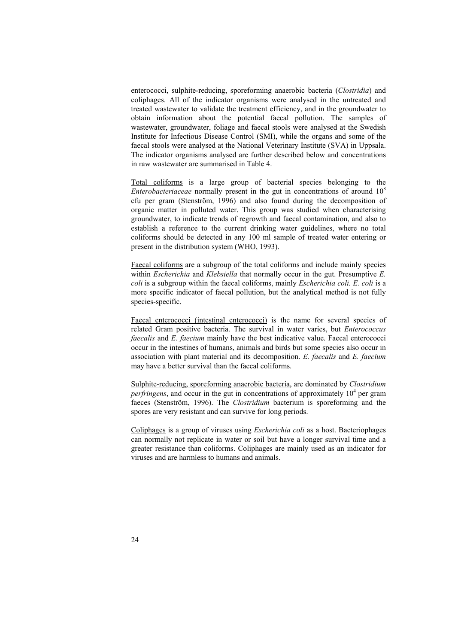enterococci, sulphite-reducing, sporeforming anaerobic bacteria (*Clostridia*) and coliphages. All of the indicator organisms were analysed in the untreated and treated wastewater to validate the treatment efficiency, and in the groundwater to obtain information about the potential faecal pollution. The samples of wastewater, groundwater, foliage and faecal stools were analysed at the Swedish Institute for Infectious Disease Control (SMI), while the organs and some of the faecal stools were analysed at the National Veterinary Institute (SVA) in Uppsala. The indicator organisms analysed are further described below and concentrations in raw wastewater are summarised in Table 4.

Total coliforms is a large group of bacterial species belonging to the *Enterobacteriaceae* normally present in the gut in concentrations of around 10<sup>8</sup> cfu per gram (Stenström, 1996) and also found during the decomposition of organic matter in polluted water. This group was studied when characterising groundwater, to indicate trends of regrowth and faecal contamination, and also to establish a reference to the current drinking water guidelines, where no total coliforms should be detected in any 100 ml sample of treated water entering or present in the distribution system (WHO, 1993).

Faecal coliforms are a subgroup of the total coliforms and include mainly species within *Escherichia* and *Klebsiella* that normally occur in the gut. Presumptive *E. coli* is a subgroup within the faecal coliforms, mainly *Escherichia coli. E. coli* is a more specific indicator of faecal pollution, but the analytical method is not fully species-specific.

Faecal enterococci (intestinal enterococci) is the name for several species of related Gram positive bacteria. The survival in water varies, but *Enterococcus faecalis* and *E. faecium* mainly have the best indicative value. Faecal enterococci occur in the intestines of humans, animals and birds but some species also occur in association with plant material and its decomposition. *E. faecalis* and *E. faecium* may have a better survival than the faecal coliforms.

Sulphite-reducing, sporeforming anaerobic bacteria, are dominated by *Clostridium perfringens*, and occur in the gut in concentrations of approximately  $10<sup>4</sup>$  per gram faeces (Stenström, 1996). The *Clostridium* bacterium is sporeforming and the spores are very resistant and can survive for long periods.

Coliphages is a group of viruses using *Escherichia coli* as a host. Bacteriophages can normally not replicate in water or soil but have a longer survival time and a greater resistance than coliforms. Coliphages are mainly used as an indicator for viruses and are harmless to humans and animals.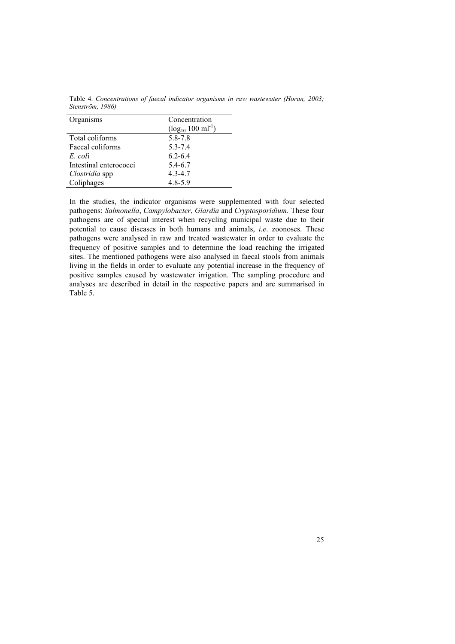|                  | Table 4. Concentrations of faecal indicator organisms in raw wastewater (Horan, 2003; |  |  |  |  |
|------------------|---------------------------------------------------------------------------------------|--|--|--|--|
| Stenström, 1986) |                                                                                       |  |  |  |  |

| Organisms              | Concentration                     |
|------------------------|-----------------------------------|
|                        | $(\log_{10} 100 \text{ ml}^{-1})$ |
| Total coliforms        | 5.8-7.8                           |
| Faecal coliforms       | $5.3 - 7.4$                       |
| E coli                 | $6.2 - 6.4$                       |
| Intestinal enterococci | 5.4-6.7                           |
| Clostridia spp         | $4.3 - 4.7$                       |
| Coliphages             | 4.8-5.9                           |

In the studies, the indicator organisms were supplemented with four selected pathogens: *Salmonella*, *Campylobacter*, *Giardia* and *Cryptosporidium.* These four pathogens are of special interest when recycling municipal waste due to their potential to cause diseases in both humans and animals, *i.e*. zoonoses. These pathogens were analysed in raw and treated wastewater in order to evaluate the frequency of positive samples and to determine the load reaching the irrigated sites. The mentioned pathogens were also analysed in faecal stools from animals living in the fields in order to evaluate any potential increase in the frequency of positive samples caused by wastewater irrigation. The sampling procedure and analyses are described in detail in the respective papers and are summarised in Table 5.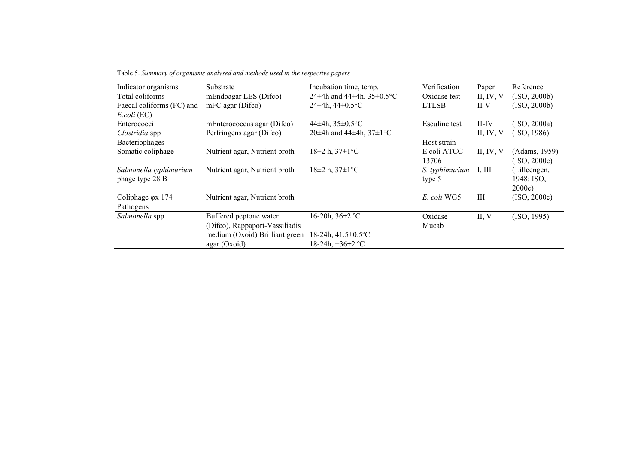Table 5. *Summary of organisms analysed and methods used in the respective papers* 

| Indicator organisms        | Substrate                      | Incubation time, temp.                | Verification   | Paper       | Reference     |
|----------------------------|--------------------------------|---------------------------------------|----------------|-------------|---------------|
| Total coliforms            | mEndoagar LES (Difco)          | 24±4h and 44±4h, $35\pm0.5^{\circ}$ C | Oxidase test   | II, IV, $V$ | (ISO, 2000b)  |
| Faecal coliforms (FC) and  | mFC agar (Difco)               | 24±4h, $44\pm0.5$ °C                  | <b>LTLSB</b>   | $II-V$      | (ISO, 2000b)  |
| $E. coli$ (EC)             |                                |                                       |                |             |               |
| Enterococci                | mEnterococcus agar (Difco)     | 44±4h, $35\pm0.5$ °C                  | Esculine test  | $II$ -IV    | (ISO, 2000a)  |
| Clostridia spp             | Perfringens agar (Difco)       | 20±4h and 44±4h, $37\pm1$ °C          |                | II, IV, $V$ | (ISO, 1986)   |
| Bacteriophages             |                                |                                       | Host strain    |             |               |
| Somatic coliphage          | Nutrient agar, Nutrient broth  | $18\pm2$ h, $37\pm1$ °C               | E.coli ATCC    | II, IV, $V$ | (Adams, 1959) |
|                            |                                |                                       | 13706          |             | (ISO, 2000c)  |
| Salmonella typhimurium     | Nutrient agar, Nutrient broth  | $18\pm2$ h, $37\pm1$ °C               | S. typhimurium | I, III      | (Lilleengen,  |
| phage type 28 B            |                                |                                       | type 5         |             | 1948; ISO,    |
|                            |                                |                                       |                |             | 2000c         |
| Coliphage $\varphi$ at 174 | Nutrient agar, Nutrient broth  |                                       | E. coli WG5    | Ш           | (ISO, 2000c)  |
| Pathogens                  |                                |                                       |                |             |               |
| Salmonella spp             | Buffered peptone water         | 16-20h, $36\pm2$ °C                   | Oxidase        | II, V       | (ISO, 1995)   |
|                            | (Difco), Rappaport-Vassiliadis |                                       | Mucab          |             |               |
|                            | medium (Oxoid) Brilliant green | 18-24h, 41.5±0.5°C                    |                |             |               |
|                            | agar (Oxoid)                   | 18-24h, $+36\pm2$ °C                  |                |             |               |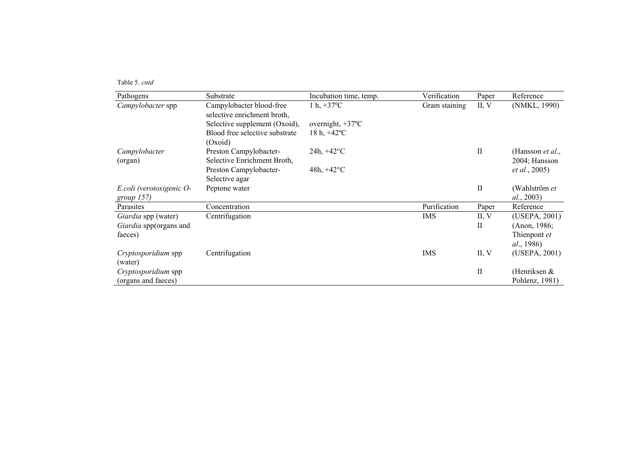Table 5. *cntd*

| Pathogens                  | Substrate                      | Incubation time, temp.     | Verification  | Paper        | Reference                |
|----------------------------|--------------------------------|----------------------------|---------------|--------------|--------------------------|
| Campylobacter spp          | Campylobacter blood-free       | 1 h, $+37^{\circ}$ C       | Gram staining | II, V        | (NMKL, 1990)             |
|                            | selective enrichment broth,    |                            |               |              |                          |
|                            | Selective supplement (Oxoid),  | overnight, $+37^{\circ}$ C |               |              |                          |
|                            | Blood free selective substrate | 18 h, $+42^{\circ}$ C      |               |              |                          |
|                            | (Oxoid)                        |                            |               |              |                          |
| Campylobacter              | Preston Campylobacter-         | $24h, +42^{\circ}C$        |               | $\mathbf{I}$ | (Hansson <i>et al.</i> , |
| (organ)                    | Selective Enrichment Broth,    |                            |               |              | 2004; Hansson            |
|                            | Preston Campylobacter-         | 48h, $+42^{\circ}$ C       |               |              | <i>et al.</i> , 2005)    |
|                            | Selective agar                 |                            |               |              |                          |
| E.coli (verotoxigenic O-   | Peptone water                  |                            |               | $\mathbf{I}$ | (Wahlström et            |
| group 157)                 |                                |                            |               |              | al., 2003)               |
| Parasites                  | Concentration                  |                            | Purification  | Paper        | Reference                |
| Giardia spp (water)        | Centrifugation                 |                            | <b>IMS</b>    | II, V        | (USEPA, 2001)            |
| Giardia spp(organs and     |                                |                            |               | $\rm{II}$    | (Anon, 1986;             |
| faeces)                    |                                |                            |               |              | Thienpont et             |
|                            |                                |                            |               |              | <i>al.</i> , 1986)       |
| <i>Cryptosporidium</i> spp | Centrifugation                 |                            | <b>IMS</b>    | II, V        | (USEPA, 2001)            |
| (water)                    |                                |                            |               |              |                          |
| Cryptosporidium spp        |                                |                            |               | $\mathbf{I}$ | (Henriksen &             |
| (organs and faeces)        |                                |                            |               |              | Pohlenz, 1981)           |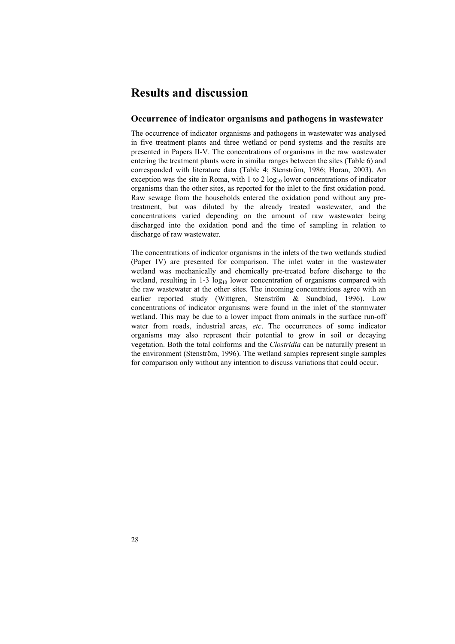## **Results and discussion**

### **Occurrence of indicator organisms and pathogens in wastewater**

The occurrence of indicator organisms and pathogens in wastewater was analysed in five treatment plants and three wetland or pond systems and the results are presented in Papers II-V. The concentrations of organisms in the raw wastewater entering the treatment plants were in similar ranges between the sites (Table 6) and corresponded with literature data (Table 4; Stenström, 1986; Horan, 2003). An exception was the site in Roma, with 1 to 2  $log_{10}$  lower concentrations of indicator organisms than the other sites, as reported for the inlet to the first oxidation pond. Raw sewage from the households entered the oxidation pond without any pretreatment, but was diluted by the already treated wastewater, and the concentrations varied depending on the amount of raw wastewater being discharged into the oxidation pond and the time of sampling in relation to discharge of raw wastewater.

The concentrations of indicator organisms in the inlets of the two wetlands studied (Paper IV) are presented for comparison. The inlet water in the wastewater wetland was mechanically and chemically pre-treated before discharge to the wetland, resulting in  $1-3 \log_{10}$  lower concentration of organisms compared with the raw wastewater at the other sites. The incoming concentrations agree with an earlier reported study (Wittgren, Stenström & Sundblad, 1996). Low concentrations of indicator organisms were found in the inlet of the stormwater wetland. This may be due to a lower impact from animals in the surface run-off water from roads, industrial areas, *etc*. The occurrences of some indicator organisms may also represent their potential to grow in soil or decaying vegetation. Both the total coliforms and the *Clostridia* can be naturally present in the environment (Stenström, 1996). The wetland samples represent single samples for comparison only without any intention to discuss variations that could occur.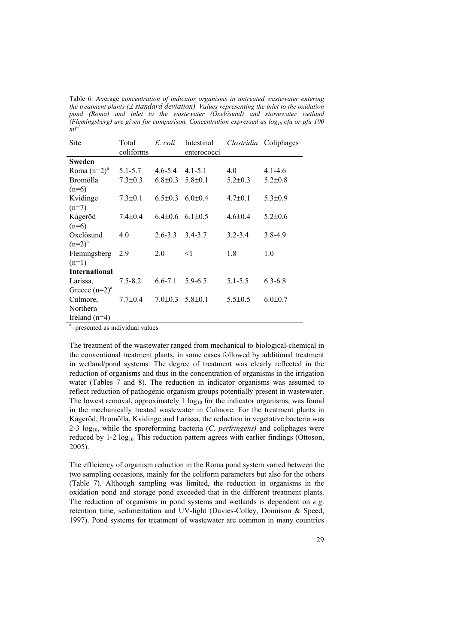Table 6. Average c*oncentration of indicator organisms in untreated wastewater entering the treatment plants (*± *standard deviation). Values representing the inlet to the oxidation pond (Roma) and inlet to the wastewater (Oxelösund) and stormwater wetland (Flemingsberg) are given for comparison. Concentration expressed as log10 cfu or pfu 100*   $ml<sup>-1</sup>$ 

| Site                 | Total<br>coliforms | E. coli       | Intestinal<br>enterococci | Clostridia    | Coliphages    |
|----------------------|--------------------|---------------|---------------------------|---------------|---------------|
| Sweden               |                    |               |                           |               |               |
| Roma $(n=2)^a$       | $5.1 - 5.7$        | $4.6 - 5.4$   | $4.1 - 5.1$               | 4.0           | $4.1 - 4.6$   |
| <b>Bromölla</b>      | $7.3 \pm 0.3$      | $6.8 \pm 0.3$ | $5.8 \pm 0.1$             | $5.2 \pm 0.3$ | $5.2 \pm 0.8$ |
| $(n=6)$              |                    |               |                           |               |               |
| Kvidinge             | $7.3 \pm 0.1$      | $6.5 \pm 0.3$ | $6.0{\pm}0.4$             | $4.7 \pm 0.1$ | $5.3 \pm 0.9$ |
| $(n=7)$              |                    |               |                           |               |               |
| Kågeröd              | $7.4 \pm 0.4$      | $6.4 \pm 0.6$ | $6.1 \pm 0.5$             | $4.6 \pm 0.4$ | $5.2 \pm 0.6$ |
| $(n=6)$              |                    |               |                           |               |               |
| Oxelösund            | 4.0                | $2.6 - 3.3$   | 3.4-3.7                   | $3.2 - 3.4$   | $3.8 - 4.9$   |
| $(n=2)^{a}$          |                    |               |                           |               |               |
| Flemingsberg         | 2.9                | 2.0           | $<$ 1                     | 1.8           | 1.0           |
| $(n=1)$              |                    |               |                           |               |               |
| <b>International</b> |                    |               |                           |               |               |
| Larissa,             | $7.5 - 8.2$        | $6.6 - 7.1$   | $5.9 - 6.5$               | $5.1 - 5.5$   | $6.3 - 6.8$   |
| Greece $(n=2)^a$     |                    |               |                           |               |               |
| Culmore,             | $7.7 \pm 0.4$      | $7.0 \pm 0.3$ | $5.8 \pm 0.1$             | $5.5 \pm 0.5$ | $6.0 \pm 0.7$ |
| Northern             |                    |               |                           |               |               |
| Ireland $(n=4)$      |                    |               |                           |               |               |

<sup>a</sup>=presented as individual values

The treatment of the wastewater ranged from mechanical to biological-chemical in the conventional treatment plants, in some cases followed by additional treatment in wetland/pond systems. The degree of treatment was clearly reflected in the reduction of organisms and thus in the concentration of organisms in the irrigation water (Tables 7 and 8). The reduction in indicator organisms was assumed to reflect reduction of pathogenic organism groups potentially present in wastewater. The lowest removal, approximately  $1 \log_{10}$  for the indicator organisms, was found in the mechanically treated wastewater in Culmore. For the treatment plants in Kågeröd, Bromölla, Kvidinge and Larissa, the reduction in vegetative bacteria was 2-3 log<sub>10</sub>, while the sporeforming bacteria (*C. perfringens*) and coliphages were reduced by  $1-2 \log_{10}$ . This reduction pattern agrees with earlier findings (Ottoson, 2005).

The efficiency of organism reduction in the Roma pond system varied between the two sampling occasions, mainly for the coliform parameters but also for the others (Table 7). Although sampling was limited, the reduction in organisms in the oxidation pond and storage pond exceeded that in the different treatment plants. The reduction of organisms in pond systems and wetlands is dependent on *e.g*. retention time, sedimentation and UV-light (Davies-Colley, Donnison & Speed, 1997). Pond systems for treatment of wastewater are common in many countries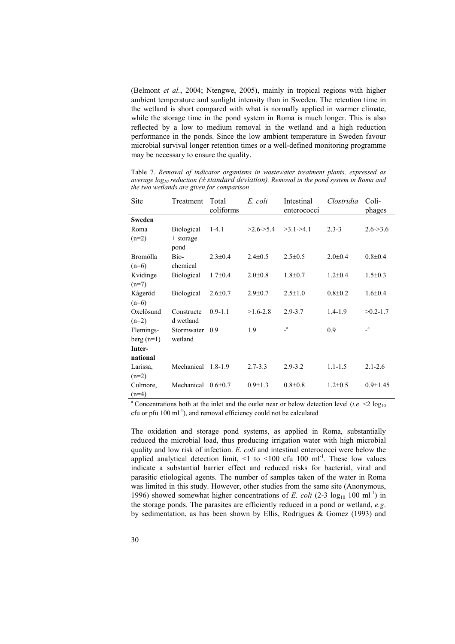(Belmont *et al.*, 2004; Ntengwe, 2005), mainly in tropical regions with higher ambient temperature and sunlight intensity than in Sweden. The retention time in the wetland is short compared with what is normally applied in warmer climate, while the storage time in the pond system in Roma is much longer. This is also reflected by a low to medium removal in the wetland and a high reduction performance in the ponds. Since the low ambient temperature in Sweden favour microbial survival longer retention times or a well-defined monitoring programme may be necessary to ensure the quality.

| <b>Site</b>   | Treatment              | Total<br>coliforms | E. coli                | Intestinal<br>enterococci | Clostridia    | Coli-<br>phages |
|---------------|------------------------|--------------------|------------------------|---------------------------|---------------|-----------------|
| <b>Sweden</b> |                        |                    |                        |                           |               |                 |
| Roma          | <b>Biological</b>      | $1-4.1$            | $>2.6 \rightarrow 5.4$ | $>3.1-24.1$               | $2.3 - 3$     | $2.6 - 3.6$     |
| $(n=2)$       | $+$ storage            |                    |                        |                           |               |                 |
|               | pond                   |                    |                        |                           |               |                 |
| Bromölla      | Bio-                   | $2.3 \pm 0.4$      | $2.4 \pm 0.5$          | $2.5 \pm 0.5$             | $2.0 \pm 0.4$ | $0.8{\pm}0.4$   |
| $(n=6)$       | chemical               |                    |                        |                           |               |                 |
| Kvidinge      | <b>Biological</b>      | $1.7 \pm 0.4$      | $2.0 \pm 0.8$          | $1.8 \pm 0.7$             | $1.2 \pm 0.4$ | $1.5 \pm 0.3$   |
| $(n=7)$       |                        |                    |                        |                           |               |                 |
| Kågeröd       | <b>Biological</b>      | $2.6 \pm 0.7$      | $2.9 \pm 0.7$          | $2.5 \pm 1.0$             | $0.8{\pm}0.2$ | $1.6 \pm 0.4$   |
| $(n=6)$       |                        |                    |                        |                           |               |                 |
| Oxelösund     | Constructe             | $0.9 - 1.1$        | $>1.6 - 2.8$           | $2.9 - 3.7$               | $1.4 - 1.9$   | $>0.2 - 1.7$    |
| $(n=2)$       | d wetland              |                    |                        |                           |               |                 |
| Flemings-     | Stormwater             | 0.9                | 1.9                    | $\mathsf{L}^a$            | 0.9           | $\mathbf{a}$    |
| berg $(n=1)$  | wetland                |                    |                        |                           |               |                 |
| Inter-        |                        |                    |                        |                           |               |                 |
| national      |                        |                    |                        |                           |               |                 |
| Larissa,      | Mechanical 1.8-1.9     |                    | $2.7 - 3.3$            | $2.9 - 3.2$               | $1.1 - 1.5$   | $2.1 - 2.6$     |
| $(n=2)$       |                        |                    |                        |                           |               |                 |
| Culmore,      | Mechanical $0.6\pm0.7$ |                    | $0.9 \pm 1.3$          | $0.8 + 0.8$               | $1.2 \pm 0.5$ | $0.9 \pm 1.45$  |
| $(n=4)$       |                        |                    |                        |                           |               |                 |

Table 7. *Removal of indicator organisms in wastewater treatment plants, expressed as average log10 reduction (*± *standard deviation). Removal in the pond system in Roma and the two wetlands are given for comparison* 

<sup>a</sup> Concentrations both at the inlet and the outlet near or below detection level (*i.e.* <2  $\log_{10}$ cfu or pfu  $100 \text{ ml}^{-1}$ ), and removal efficiency could not be calculated

The oxidation and storage pond systems, as applied in Roma, substantially reduced the microbial load, thus producing irrigation water with high microbial quality and low risk of infection. *E. coli* and intestinal enterococci were below the applied analytical detection limit,  $\leq 1$  to  $\leq 100$  cfu 100 ml<sup>-1</sup>. These low values indicate a substantial barrier effect and reduced risks for bacterial, viral and parasitic etiological agents. The number of samples taken of the water in Roma was limited in this study. However, other studies from the same site (Anonymous, 1996) showed somewhat higher concentrations of *E. coli* (2-3  $log_{10}$  100 ml<sup>-1</sup>) in the storage ponds. The parasites are efficiently reduced in a pond or wetland, *e.g*. by sedimentation, as has been shown by Ellis, Rodrigues & Gomez (1993) and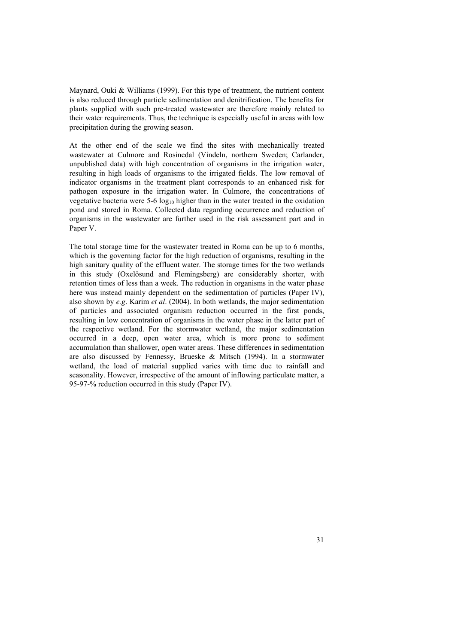Maynard, Ouki & Williams (1999). For this type of treatment, the nutrient content is also reduced through particle sedimentation and denitrification. The benefits for plants supplied with such pre-treated wastewater are therefore mainly related to their water requirements. Thus, the technique is especially useful in areas with low precipitation during the growing season.

At the other end of the scale we find the sites with mechanically treated wastewater at Culmore and Rosinedal (Vindeln, northern Sweden; Carlander, unpublished data) with high concentration of organisms in the irrigation water, resulting in high loads of organisms to the irrigated fields. The low removal of indicator organisms in the treatment plant corresponds to an enhanced risk for pathogen exposure in the irrigation water. In Culmore, the concentrations of vegetative bacteria were  $5-6 \log_{10}$  higher than in the water treated in the oxidation pond and stored in Roma. Collected data regarding occurrence and reduction of organisms in the wastewater are further used in the risk assessment part and in Paper V.

The total storage time for the wastewater treated in Roma can be up to 6 months, which is the governing factor for the high reduction of organisms, resulting in the high sanitary quality of the effluent water. The storage times for the two wetlands in this study (Oxelösund and Flemingsberg) are considerably shorter, with retention times of less than a week. The reduction in organisms in the water phase here was instead mainly dependent on the sedimentation of particles (Paper IV), also shown by *e.g*. Karim *et al*. (2004). In both wetlands, the major sedimentation of particles and associated organism reduction occurred in the first ponds, resulting in low concentration of organisms in the water phase in the latter part of the respective wetland. For the stormwater wetland, the major sedimentation occurred in a deep, open water area, which is more prone to sediment accumulation than shallower, open water areas. These differences in sedimentation are also discussed by Fennessy, Brueske & Mitsch (1994). In a stormwater wetland, the load of material supplied varies with time due to rainfall and seasonality. However, irrespective of the amount of inflowing particulate matter, a 95-97-% reduction occurred in this study (Paper IV).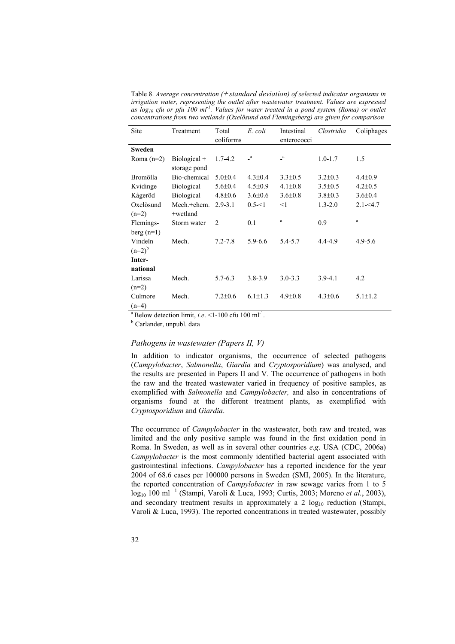Table 8. *Average concentration (*± *standard deviation) of selected indicator organisms in irrigation water, representing the outlet after wastewater treatment. Values are expressed as log10 cfu or pfu 100 ml-1. Values for water treated in a pond system (Roma) or outlet concentrations from two wetlands (Oxelösund and Flemingsberg) are given for comparison* 

| Site         | Treatment         | Total          | E. coli       | Intestinal    | Clostridia    | Coliphages    |
|--------------|-------------------|----------------|---------------|---------------|---------------|---------------|
|              |                   | coliforms      |               | enterococci   |               |               |
| Sweden       |                   |                |               |               |               |               |
| Roma $(n=2)$ | $Biological +$    | $1.7 - 4.2$    | $\mathbf{a}$  | $\mathbf{a}$  | $1.0 - 1.7$   | 1.5           |
|              | storage pond      |                |               |               |               |               |
| Bromölla     | Bio-chemical      | $5.0 \pm 0.4$  | $4.3 \pm 0.4$ | $3.3 \pm 0.5$ | $3.2 \pm 0.3$ | $4.4 \pm 0.9$ |
| Kvidinge     | <b>Biological</b> | $5.6 \pm 0.4$  | $4.5 \pm 0.9$ | $4.1 \pm 0.8$ | $3.5 \pm 0.5$ | $4.2 \pm 0.5$ |
| Kågeröd      | <b>Biological</b> | $4.8 \pm 0.6$  | $3.6 \pm 0.6$ | $3.6 \pm 0.8$ | $3.8 \pm 0.3$ | $3.6 \pm 0.4$ |
| Oxelösund    | Mech.+chem.       | $2.9 - 3.1$    | $0.5 - 1$     | $<$ 1         | $1.3 - 2.0$   | $2.1 - 54.7$  |
| $(n=2)$      | +wetland          |                |               |               |               |               |
| Flemings-    | Storm water       | $\overline{2}$ | 0.1           | $\rm{a}$      | 0.9           | $\rm{a}$      |
| berg $(n=1)$ |                   |                |               |               |               |               |
| Vindeln      | Mech.             | $7.2 - 7.8$    | $5.9 - 6.6$   | 5.4-5.7       | 4.4-4.9       | $4.9 - 5.6$   |
| $(n=2)^{b}$  |                   |                |               |               |               |               |
| Inter-       |                   |                |               |               |               |               |
| national     |                   |                |               |               |               |               |
| Larissa      | Mech.             | $5.7 - 6.3$    | $3.8 - 3.9$   | $3.0 - 3.3$   | $3.9 - 4.1$   | 4.2           |
| $(n=2)$      |                   |                |               |               |               |               |
| Culmore      | Mech.             | $7.2 \pm 0.6$  | $6.1 \pm 1.3$ | $4.9 \pm 0.8$ | $4.3 \pm 0.6$ | $5.1 \pm 1.2$ |
| $(n=4)$      |                   |                |               |               |               |               |

<sup>a</sup> Below detection limit, *i.e.* <1-100 cfu 100 ml<sup>-1</sup>.

Carlander, unpubl. data

#### *Pathogens in wastewater (Papers II, V)*

In addition to indicator organisms, the occurrence of selected pathogens (*Campylobacter*, *Salmonella*, *Giardia* and *Cryptosporidium*) was analysed, and the results are presented in Papers II and V. The occurrence of pathogens in both the raw and the treated wastewater varied in frequency of positive samples, as exemplified with *Salmonella* and *Campylobacter,* and also in concentrations of organisms found at the different treatment plants, as exemplified with *Cryptosporidium* and *Giardia*.

The occurrence of *Campylobacter* in the wastewater, both raw and treated, was limited and the only positive sample was found in the first oxidation pond in Roma. In Sweden, as well as in several other countries *e.g*. USA (CDC, 2006a) *Campylobacter* is the most commonly identified bacterial agent associated with gastrointestinal infections. *Campylobacter* has a reported incidence for the year 2004 of 68.6 cases per 100000 persons in Sweden (SMI, 2005). In the literature, the reported concentration of *Campylobacter* in raw sewage varies from 1 to 5 log10 100 ml –1 (Stampi, Varoli & Luca, 1993; Curtis, 2003; Moreno *et al.*, 2003), and secondary treatment results in approximately a 2  $log_{10}$  reduction (Stampi, Varoli & Luca, 1993). The reported concentrations in treated wastewater, possibly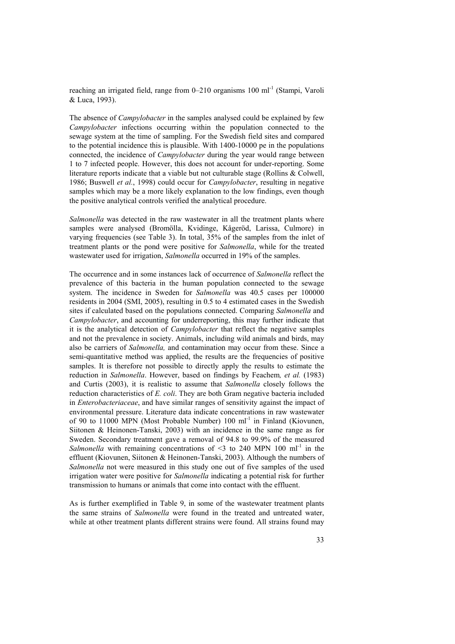reaching an irrigated field, range from  $0-210$  organisms  $100$  ml<sup>-1</sup> (Stampi, Varoli & Luca, 1993).

The absence of *Campylobacter* in the samples analysed could be explained by few *Campylobacter* infections occurring within the population connected to the sewage system at the time of sampling. For the Swedish field sites and compared to the potential incidence this is plausible. With 1400-10000 pe in the populations connected, the incidence of *Campylobacter* during the year would range between 1 to 7 infected people. However, this does not account for under-reporting. Some literature reports indicate that a viable but not culturable stage (Rollins & Colwell, 1986; Buswell *et al.*, 1998) could occur for *Campylobacter*, resulting in negative samples which may be a more likely explanation to the low findings, even though the positive analytical controls verified the analytical procedure.

*Salmonella* was detected in the raw wastewater in all the treatment plants where samples were analysed (Bromölla, Kvidinge, Kågeröd, Larissa, Culmore) in varying frequencies (see Table 3). In total, 35% of the samples from the inlet of treatment plants or the pond were positive for *Salmonella*, while for the treated wastewater used for irrigation, *Salmonella* occurred in 19% of the samples.

The occurrence and in some instances lack of occurrence of *Salmonella* reflect the prevalence of this bacteria in the human population connected to the sewage system. The incidence in Sweden for *Salmonella* was 40.5 cases per 100000 residents in 2004 (SMI, 2005), resulting in 0.5 to 4 estimated cases in the Swedish sites if calculated based on the populations connected. Comparing *Salmonella* and *Campylobacter*, and accounting for underreporting, this may further indicate that it is the analytical detection of *Campylobacter* that reflect the negative samples and not the prevalence in society. Animals, including wild animals and birds, may also be carriers of *Salmonella,* and contamination may occur from these. Since a semi-quantitative method was applied, the results are the frequencies of positive samples. It is therefore not possible to directly apply the results to estimate the reduction in *Salmonella*. However, based on findings by Feachem*, et al.* (1983) and Curtis (2003), it is realistic to assume that *Salmonella* closely follows the reduction characteristics of *E. coli*. They are both Gram negative bacteria included in *Enterobacteriaceae*, and have similar ranges of sensitivity against the impact of environmental pressure. Literature data indicate concentrations in raw wastewater of 90 to 11000 MPN (Most Probable Number) 100 ml<sup>-1</sup> in Finland (Kiovunen, Siitonen & Heinonen-Tanski, 2003) with an incidence in the same range as for Sweden. Secondary treatment gave a removal of 94.8 to 99.9% of the measured *Salmonella* with remaining concentrations of  $\leq$  3 to 240 MPN 100 ml<sup>-1</sup> in the effluent (Kiovunen, Siitonen & Heinonen-Tanski, 2003). Although the numbers of *Salmonella* not were measured in this study one out of five samples of the used irrigation water were positive for *Salmonella* indicating a potential risk for further transmission to humans or animals that come into contact with the effluent.

As is further exemplified in Table 9, in some of the wastewater treatment plants the same strains of *Salmonella* were found in the treated and untreated water, while at other treatment plants different strains were found. All strains found may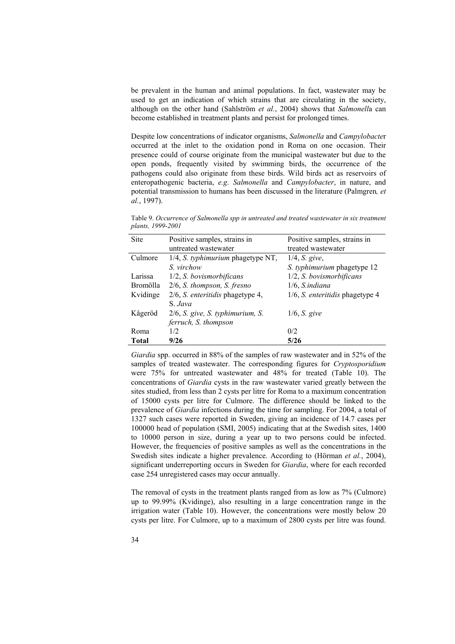be prevalent in the human and animal populations. In fact, wastewater may be used to get an indication of which strains that are circulating in the society, although on the other hand (Sahlström *et al.*, 2004) shows that *Salmonell*a can become established in treatment plants and persist for prolonged times.

Despite low concentrations of indicator organisms, *Salmonella* and *Campylobacte*r occurred at the inlet to the oxidation pond in Roma on one occasion. Their presence could of course originate from the municipal wastewater but due to the open ponds, frequently visited by swimming birds, the occurrence of the pathogens could also originate from these birds. Wild birds act as reservoirs of enteropathogenic bacteria, *e.g*. *Salmonella* and *Campylobacter*, in nature, and potential transmission to humans has been discussed in the literature (Palmgren*, et al.*, 1997).

Table 9. *Occurrence of Salmonella spp in untreated and treated wastewater in six treatment plants, 1999-2001* 

| Site            | Positive samples, strains in        | Positive samples, strains in           |
|-----------------|-------------------------------------|----------------------------------------|
|                 | untreated wastewater                | treated wastewater                     |
| Culmore         | 1/4, S. typhimurium phagetype NT,   | $1/4$ , <i>S.</i> give,                |
|                 | S virchow                           | S. typhimurium phagetype 12            |
| Larissa         | 1/2, S. bovismorbificans            | 1/2, S. bovismorbificans               |
| <b>Bromölla</b> | $2/6$ , S. thompson, S. fresno      | $1/6$ , S.indiana                      |
| Kvidinge        | 2/6, S. enteritidis phagetype 4,    | 1/6, <i>S. enteritidis</i> phagetype 4 |
|                 | S Java                              |                                        |
| Kågeröd         | $2/6$ , S. give, S. typhimurium, S. | $1/6$ , <i>S.</i> give                 |
|                 | ferruch, S. thompson                |                                        |
| Roma            | 1/2                                 | 0/2                                    |
| Total           | 9/26                                | 5/26                                   |

*Giardia* spp. occurred in 88% of the samples of raw wastewater and in 52% of the samples of treated wastewater. The corresponding figures for *Cryptosporidium* were 75% for untreated wastewater and 48% for treated (Table 10). The concentrations of *Giardia* cysts in the raw wastewater varied greatly between the sites studied, from less than 2 cysts per litre for Roma to a maximum concentration of 15000 cysts per litre for Culmore. The difference should be linked to the prevalence of *Giardia* infections during the time for sampling. For 2004, a total of 1327 such cases were reported in Sweden, giving an incidence of 14.7 cases per 100000 head of population (SMI, 2005) indicating that at the Swedish sites, 1400 to 10000 person in size, during a year up to two persons could be infected. However, the frequencies of positive samples as well as the concentrations in the Swedish sites indicate a higher prevalence. According to (Hörman *et al.*, 2004), significant underreporting occurs in Sweden for *Giardia*, where for each recorded case 254 unregistered cases may occur annually.

The removal of cysts in the treatment plants ranged from as low as 7% (Culmore) up to 99.99% (Kvidinge), also resulting in a large concentration range in the irrigation water (Table 10). However, the concentrations were mostly below 20 cysts per litre. For Culmore, up to a maximum of 2800 cysts per litre was found.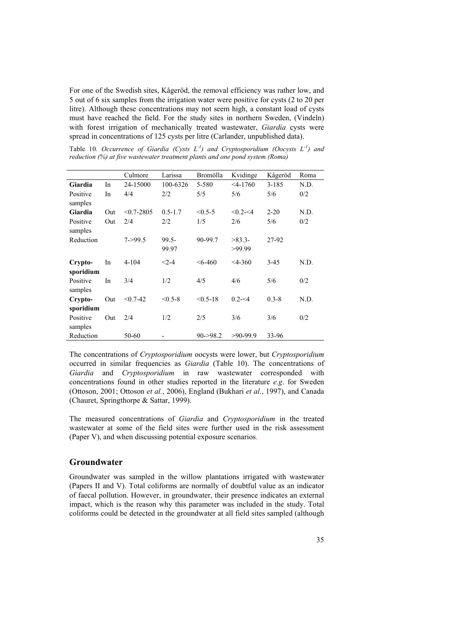For one of the Swedish sites, Kågeröd, the removal efficiency was rather low, and 5 out of 6 six samples from the irrigation water were positive for cysts (2 to 20 per litre). Although these concentrations may not seem high, a constant load of cysts must have reached the field. For the study sites in northern Sweden, (Vindeln) with forest irrigation of mechanically treated wastewater, *Giardia* cysts were spread in concentrations of 125 cysts per litre (Carlander, unpublished data).

Table 10*. Occurrence of Giardia (Cysts L-1) and Cryptosporidium (Oocysts L-1) and reduction (%) at five wastewater treatment plants and one pond system (Roma)* 

|                      |     | Culmore        | Larissa           | Bromölla     | Kvidinge           | Kågeröd   | Roma |
|----------------------|-----|----------------|-------------------|--------------|--------------------|-----------|------|
| Giardia              | In  | 24-15000       | 100-6326          | 5-580        | $< 4 - 1760$       | $3 - 185$ | N.D. |
| Positive<br>samples  | In  | 4/4            | 2/2               | 5/5          | 5/6                | 5/6       | 0/2  |
| Giardia              | Out | $< 0.7 - 2805$ | $0.5 - 1.7$       | $< 0.5 - 5$  | $< 0.2 - 4$        | $2 - 20$  | N.D. |
| Positive<br>samples  | Out | 2/4            | 2/2               | 1/5          | 2/6                | 5/6       | 0/2  |
| Reduction            |     | $7 - 99.5$     | $99.5 -$<br>99.97 | 90-99.7      | $>83.3-$<br>>99.99 | 27-92     |      |
| Crypto-<br>sporidium | In  | $4 - 104$      | $< 2 - 4$         | $< 6-460$    | $<$ 4-360          | $3-45$    | N.D. |
| Positive<br>samples  | In  | 3/4            | 1/2               | 4/5          | 4/6                | 5/6       | 0/2  |
| Crypto-<br>sporidium | Out | $< 0.7 - 42$   | $< 0.5 - 8$       | $< 0.5 - 18$ | $0.2 - 54$         | $0.3 - 8$ | N.D. |
| Positive<br>samples  | Out | 2/4            | 1/2               | 2/5          | 3/6                | 3/6       | 0/2  |
| Reduction            |     | 50-60          |                   | $90 - 98.2$  | $>90-99.9$         | 33-96     |      |

The concentrations of *Cryptosporidium* oocysts were lower, but *Cryptosporidium* occurred in similar frequencies as *Giardia* (Table 10). The concentrations of *Giardia* and *Cryptosporidium* in raw wastewater corresponded with concentrations found in other studies reported in the literature *e.g*. for Sweden (Ottoson, 2001; Ottoson *et al.*, 2006), England (Bukhari *et al.*, 1997), and Canada (Chauret, Springthorpe & Sattar, 1999).

The measured concentrations of *Giardia* and *Cryptosporidium* in the treated wastewater at some of the field sites were further used in the risk assessment (Paper V), and when discussing potential exposure scenarios.

## **Groundwater**

Groundwater was sampled in the willow plantations irrigated with wastewater (Papers II and V). Total coliforms are normally of doubtful value as an indicator of faecal pollution. However, in groundwater, their presence indicates an external impact, which is the reason why this parameter was included in the study. Total coliforms could be detected in the groundwater at all field sites sampled (although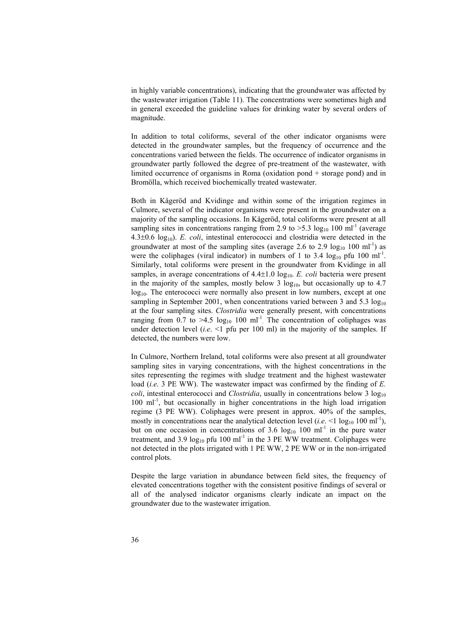in highly variable concentrations), indicating that the groundwater was affected by the wastewater irrigation (Table 11). The concentrations were sometimes high and in general exceeded the guideline values for drinking water by several orders of magnitude.

In addition to total coliforms, several of the other indicator organisms were detected in the groundwater samples, but the frequency of occurrence and the concentrations varied between the fields. The occurrence of indicator organisms in groundwater partly followed the degree of pre-treatment of the wastewater, with limited occurrence of organisms in Roma (oxidation pond + storage pond) and in Bromölla, which received biochemically treated wastewater.

Both in Kågeröd and Kvidinge and within some of the irrigation regimes in Culmore, several of the indicator organisms were present in the groundwater on a majority of the sampling occasions. In Kågeröd, total coliforms were present at all sampling sites in concentrations ranging from 2.9 to  $>5.3 \log_{10} 100 \text{ ml}^{-1}$  (average  $4.3\pm0.6$  log<sub>10</sub>). *E. coli*, intestinal enterococci and clostridia were detected in the groundwater at most of the sampling sites (average 2.6 to 2.9  $log_{10}$  100 ml<sup>-1</sup>) as were the coliphages (viral indicator) in numbers of 1 to 3.4  $log_{10}$  pfu 100 ml<sup>-1</sup>. Similarly, total coliforms were present in the groundwater from Kvidinge in all samples, in average concentrations of  $4.4\pm1.0$  log<sub>10</sub>. *E. coli* bacteria were present in the majority of the samples, mostly below 3  $log_{10}$ , but occasionally up to 4.7 log<sub>10</sub>. The enterococci were normally also present in low numbers, except at one sampling in September 2001, when concentrations varied between 3 and 5.3  $log_{10}$ at the four sampling sites. *Clostridia* were generally present, with concentrations ranging from  $0.7$  to  $>4.5$  log<sub>10</sub> 100 ml<sup>-1</sup>. The concentration of coliphages was under detection level (*i.e.* <1 pfu per 100 ml) in the majority of the samples. If detected, the numbers were low.

In Culmore, Northern Ireland, total coliforms were also present at all groundwater sampling sites in varying concentrations, with the highest concentrations in the sites representing the regimes with sludge treatment and the highest wastewater load (*i.e*. 3 PE WW). The wastewater impact was confirmed by the finding of *E. coli*, intestinal enterococci and *Clostridia*, usually in concentrations below 3  $log_{10}$  $100 \text{ ml}^{-1}$ , but occasionally in higher concentrations in the high load irrigation regime (3 PE WW). Coliphages were present in approx. 40% of the samples, mostly in concentrations near the analytical detection level (*i.e.* <1  $\log_{10}$  100 ml<sup>-1</sup>), but on one occasion in concentrations of 3.6  $log_{10}$  100 ml<sup>-1</sup> in the pure water treatment, and 3.9  $log_{10}$  pfu 100 ml<sup>-1</sup> in the 3 PE WW treatment. Coliphages were not detected in the plots irrigated with 1 PE WW, 2 PE WW or in the non-irrigated control plots.

Despite the large variation in abundance between field sites, the frequency of elevated concentrations together with the consistent positive findings of several or all of the analysed indicator organisms clearly indicate an impact on the groundwater due to the wastewater irrigation.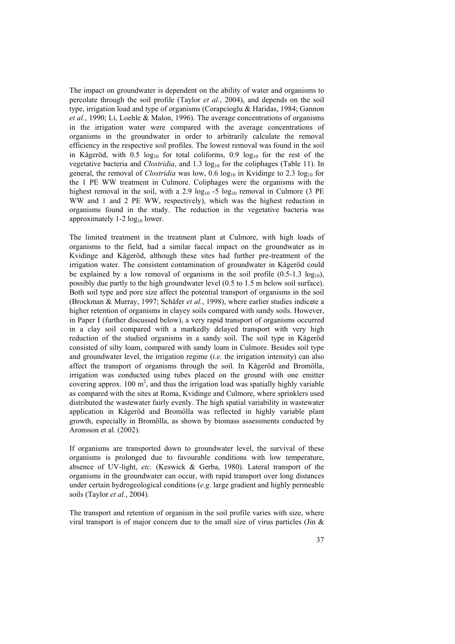The impact on groundwater is dependent on the ability of water and organisms to percolate through the soil profile (Taylor *et al.*, 2004), and depends on the soil type, irrigation load and type of organisms (Corapcioglu & Haridas, 1984; Gannon *et al.*, 1990; Li, Loehle & Malon, 1996). The average concentrations of organisms in the irrigation water were compared with the average concentrations of organisms in the groundwater in order to arbitrarily calculate the removal efficiency in the respective soil profiles. The lowest removal was found in the soil in Kågeröd, with  $0.5 \log_{10}$  for total coliforms,  $0.9 \log_{10}$  for the rest of the vegetative bacteria and *Clostridia*, and 1.3 log<sub>10</sub> for the coliphages (Table 11). In general, the removal of *Clostridia* was low,  $0.6 \log_{10}$  in Kvidinge to 2.3  $\log_{10}$  for the 1 PE WW treatment in Culmore. Coliphages were the organisms with the highest removal in the soil, with a 2.9  $log_{10}$  -5  $log_{10}$  removal in Culmore (3 PE WW and 1 and 2 PE WW, respectively), which was the highest reduction in organisms found in the study. The reduction in the vegetative bacteria was approximately  $1-2 \log_{10}$  lower.

The limited treatment in the treatment plant at Culmore, with high loads of organisms to the field, had a similar faecal impact on the groundwater as in Kvidinge and Kågeröd, although these sites had further pre-treatment of the irrigation water. The consistent contamination of groundwater in Kågeröd could be explained by a low removal of organisms in the soil profile  $(0.5-1.3 \text{ log}_{10})$ , possibly due partly to the high groundwater level (0.5 to 1.5 m below soil surface). Both soil type and pore size affect the potential transport of organisms in the soil (Brockman & Murray, 1997; Schäfer *et al.*, 1998), where earlier studies indicate a higher retention of organisms in clayey soils compared with sandy soils. However, in Paper I (further discussed below), a very rapid transport of organisms occurred in a clay soil compared with a markedly delayed transport with very high reduction of the studied organisms in a sandy soil. The soil type in Kågeröd consisted of silty loam, compared with sandy loam in Culmore. Besides soil type and groundwater level, the irrigation regime (*i.e*. the irrigation intensity) can also affect the transport of organisms through the soil. In Kågeröd and Bromölla, irrigation was conducted using tubes placed on the ground with one emitter covering approx.  $100 \text{ m}^2$ , and thus the irrigation load was spatially highly variable as compared with the sites at Roma, Kvidinge and Culmore, where sprinklers used distributed the wastewater fairly evenly. The high spatial variability in wastewater application in Kågeröd and Bromölla was reflected in highly variable plant growth, especially in Bromölla, as shown by biomass assessments conducted by Aronsson et al. (2002).

If organisms are transported down to groundwater level, the survival of these organisms is prolonged due to favourable conditions with low temperature, absence of UV-light, *etc.* (Keswick & Gerba, 1980). Lateral transport of the organisms in the groundwater can occur, with rapid transport over long distances under certain hydrogeological conditions (*e.g*. large gradient and highly permeable soils (Taylor *et al.*, 2004).

The transport and retention of organism in the soil profile varies with size, where viral transport is of major concern due to the small size of virus particles (Jin  $\&$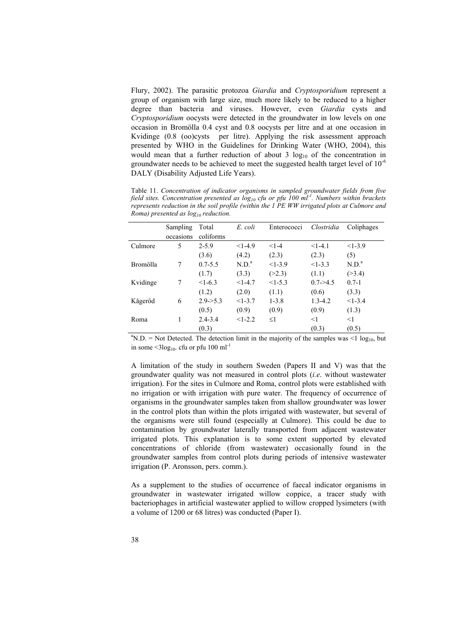Flury, 2002). The parasitic protozoa *Giardia* and *Cryptosporidium* represent a group of organism with large size, much more likely to be reduced to a higher degree than bacteria and viruses. However, even *Giardia* cysts and *Cryptosporidium* oocysts were detected in the groundwater in low levels on one occasion in Bromölla 0.4 cyst and 0.8 oocysts per litre and at one occasion in Kvidinge (0.8 (oo)cysts per litre). Applying the risk assessment approach presented by WHO in the Guidelines for Drinking Water (WHO, 2004), this would mean that a further reduction of about 3  $log_{10}$  of the concentration in groundwater needs to be achieved to meet the suggested health target level of  $10^{-6}$ DALY (Disability Adjusted Life Years).

Table 11. *Concentration of indicator organisms in sampled groundwater fields from five field sites. Concentration presented as log10 cfu or pfu 100 ml-1. Numbers within brackets represents reduction in the soil profile (within the 1 PE WW irrigated plots at Culmore and Roma)* presented as  $log_{10}$  reduction.

|                                                                                                                     | Sampling  | Total       | E. coli           | Enterococci | Clostridia    | Coliphages        |  |
|---------------------------------------------------------------------------------------------------------------------|-----------|-------------|-------------------|-------------|---------------|-------------------|--|
|                                                                                                                     | occasions | coliforms   |                   |             |               |                   |  |
| Culmore                                                                                                             | 5         | $2 - 5.9$   | $<1-4.9$          | $<1-4$      | $<1-4.1$      | $<1-3.9$          |  |
|                                                                                                                     |           | (3.6)       | (4.2)             | (2.3)       | (2.3)         | (5)               |  |
| Bromölla                                                                                                            | 7         | $0.7 - 5.5$ | N.D. <sup>a</sup> | $<1-3.9$    | $<1-3.3$      | N.D. <sup>a</sup> |  |
|                                                                                                                     |           | (1.7)       | (3.3)             | (>2.3)      | (1.1)         | ( > 3.4)          |  |
| Kvidinge                                                                                                            | 7         | $<1-6.3$    | $<1-4.7$          | $<1-5.3$    | $0.7 - > 4.5$ | $0.7 - 1$         |  |
|                                                                                                                     |           | (1.2)       | (2.0)             | (1.1)       | (0.6)         | (3.3)             |  |
| Kågeröd                                                                                                             | 6         | $2.9 - 5.3$ | $<1-3.7$          | $1 - 3.8$   | $1.3 - 4.2$   | $<1-3.4$          |  |
|                                                                                                                     |           | (0.5)       | (0.9)             | (0.9)       | (0.9)         | (1.3)             |  |
| Roma                                                                                                                |           | $2.4 - 3.4$ | $<1-2.2$          | $\leq$ 1    | $<$ 1         | $<$ 1             |  |
|                                                                                                                     |           | (0.3)       |                   |             | (0.3)         | (0.5)             |  |
| <sup>a</sup> N.D. = Not Detected. The detection limit in the majority of the samples was <1 log <sub>10</sub> , but |           |             |                   |             |               |                   |  |

in some  $\leq 3\log_{10}$  cfu or pfu 100 ml<sup>-1</sup>

A limitation of the study in southern Sweden (Papers II and V) was that the groundwater quality was not measured in control plots (*i.e*. without wastewater irrigation). For the sites in Culmore and Roma, control plots were established with no irrigation or with irrigation with pure water. The frequency of occurrence of organisms in the groundwater samples taken from shallow groundwater was lower in the control plots than within the plots irrigated with wastewater, but several of the organisms were still found (especially at Culmore). This could be due to contamination by groundwater laterally transported from adjacent wastewater irrigated plots. This explanation is to some extent supported by elevated concentrations of chloride (from wastewater) occasionally found in the groundwater samples from control plots during periods of intensive wastewater irrigation (P. Aronsson, pers. comm.).

As a supplement to the studies of occurrence of faecal indicator organisms in groundwater in wastewater irrigated willow coppice, a tracer study with bacteriophages in artificial wastewater applied to willow cropped lysimeters (with a volume of 1200 or 68 litres) was conducted (Paper I).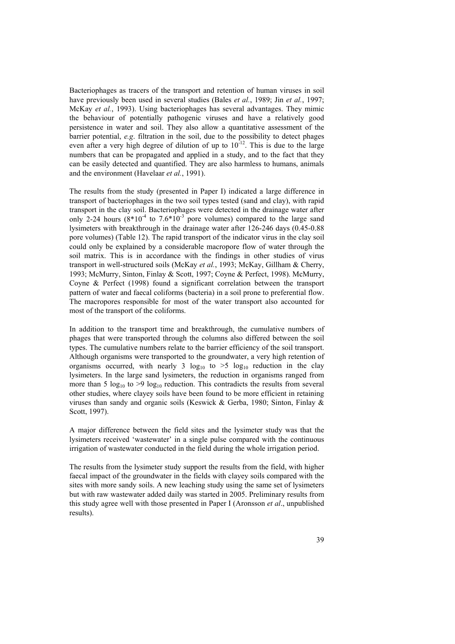Bacteriophages as tracers of the transport and retention of human viruses in soil have previously been used in several studies (Bales *et al.*, 1989; Jin *et al.*, 1997; McKay *et al.*, 1993). Using bacteriophages has several advantages. They mimic the behaviour of potentially pathogenic viruses and have a relatively good persistence in water and soil. They also allow a quantitative assessment of the barrier potential, *e.g*. filtration in the soil, due to the possibility to detect phages even after a very high degree of dilution of up to  $10^{-12}$ . This is due to the large numbers that can be propagated and applied in a study, and to the fact that they can be easily detected and quantified. They are also harmless to humans, animals and the environment (Havelaar *et al.*, 1991).

The results from the study (presented in Paper I) indicated a large difference in transport of bacteriophages in the two soil types tested (sand and clay), with rapid transport in the clay soil. Bacteriophages were detected in the drainage water after only 2-24 hours  $(8*10^{-4}$  to  $7.6*10^{-3}$  pore volumes) compared to the large sand lysimeters with breakthrough in the drainage water after 126-246 days (0.45-0.88 pore volumes) (Table 12). The rapid transport of the indicator virus in the clay soil could only be explained by a considerable macropore flow of water through the soil matrix. This is in accordance with the findings in other studies of virus transport in well-structured soils (McKay *et al.*, 1993; McKay, Gillham & Cherry, 1993; McMurry, Sinton, Finlay & Scott, 1997; Coyne & Perfect, 1998). McMurry, Coyne & Perfect (1998) found a significant correlation between the transport pattern of water and faecal coliforms (bacteria) in a soil prone to preferential flow. The macropores responsible for most of the water transport also accounted for most of the transport of the coliforms.

In addition to the transport time and breakthrough, the cumulative numbers of phages that were transported through the columns also differed between the soil types. The cumulative numbers relate to the barrier efficiency of the soil transport. Although organisms were transported to the groundwater, a very high retention of organisms occurred, with nearly 3  $log_{10}$  to >5  $log_{10}$  reduction in the clay lysimeters. In the large sand lysimeters, the reduction in organisms ranged from more than 5  $\log_{10}$  to >9  $\log_{10}$  reduction. This contradicts the results from several other studies, where clayey soils have been found to be more efficient in retaining viruses than sandy and organic soils (Keswick & Gerba, 1980; Sinton, Finlay & Scott, 1997).

A major difference between the field sites and the lysimeter study was that the lysimeters received 'wastewater' in a single pulse compared with the continuous irrigation of wastewater conducted in the field during the whole irrigation period.

The results from the lysimeter study support the results from the field, with higher faecal impact of the groundwater in the fields with clayey soils compared with the sites with more sandy soils. A new leaching study using the same set of lysimeters but with raw wastewater added daily was started in 2005. Preliminary results from this study agree well with those presented in Paper I (Aronsson *et al*., unpublished results).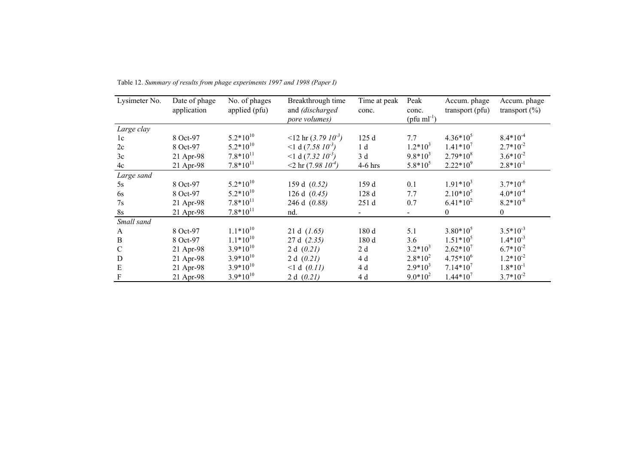| Lysimeter No. | Date of phage<br>application | No. of phages<br>applied (pfu) | Breakthrough time<br>and (discharged<br>pore volumes) | Time at peak<br>conc. | Peak<br>conc.<br>$(\text{pfu ml}^{-1})$ | Accum. phage<br>transport (pfu) | Accum. phage<br>transport $(\% )$ |
|---------------|------------------------------|--------------------------------|-------------------------------------------------------|-----------------------|-----------------------------------------|---------------------------------|-----------------------------------|
| Large clay    |                              |                                |                                                       |                       |                                         |                                 |                                   |
| 1c            | 8 Oct-97                     | $5.2*10^{10}$                  | $\langle 12 \text{ hr} (3.79 \text{ 10}^3) \rangle$   | 125 d                 | 7.7                                     | $4.36*10^{5}$                   | $8.4*10^{-4}$                     |
| 2c            | 8 Oct-97                     | $5.2*10^{10}$                  | $<$ 1 d (7.58 $10^{-3}$ )                             | 1 <sub>d</sub>        | $1.2*10^3$                              | $1.41*10^{7}$                   | $2.7*10^{-2}$                     |
| 3c            | 21 Apr-98                    | $7.8*10^{11}$                  | $<$ 1 d (7.32 $10^{-3}$ )                             | 3d                    | $9.8*10^3$                              | $2.79*10^{8}$                   | $3.6*10^{-2}$                     |
| 4c            | 21 Apr-98                    | $7.8*10^{11}$                  | $<$ 2 hr (7.98 $10^{-4}$ )                            | $4-6$ hrs             | $5.8*10^5$                              | $2.22*10^9$                     | $2.8*10^{-1}$                     |
| Large sand    |                              |                                |                                                       |                       |                                         |                                 |                                   |
| 5s            | 8 Oct-97                     | $5.2*10^{10}$                  | 159 d (0.52)                                          | 159 d                 | 0.1                                     | $1.91*10^{3}$                   | $3.7*10^{-6}$                     |
| 6s            | 8 Oct-97                     | $5.2*10^{10}$                  | 126 d $(0.45)$                                        | 128 d                 | 7.7                                     | $2.10*105$                      | $4.0*10^{-4}$                     |
| 7s            | 21 Apr-98                    | $7.8*10^{11}$                  | 246 d (0.88)                                          | 251 d                 | 0.7                                     | $6.41*10^{2}$                   | $8.2*10^{-8}$                     |
| $8s$          | 21 Apr-98                    | $7.8*10^{11}$                  | nd.                                                   |                       | $\blacksquare$                          | $\mathbf{0}$                    | $\boldsymbol{0}$                  |
| Small sand    |                              |                                |                                                       |                       |                                         |                                 |                                   |
| A             | 8 Oct-97                     | $1.1*10^{10}$                  | 21 d $(1.65)$                                         | 180 d                 | 5.1                                     | $3.80*10^5$                     | $3.5*10^{-3}$                     |
| $\, {\bf B}$  | 8 Oct-97                     | $1.1*10^{10}$                  | 27 d (2.35)                                           | 180 d                 | 3.6                                     | $1.51*10^5$                     | $1.4*10^{-3}$                     |
| $\mathcal{C}$ | 21 Apr-98                    | $3.9*10^{10}$                  | 2 d $(0.21)$                                          | 2d                    | $3.2*10^3$                              | $2.62*10^7$                     | $6.7*10^{-2}$                     |
| $\mathbf D$   | 21 Apr-98                    | $3.9*10^{10}$                  | 2 d $(0.21)$                                          | 4 d                   | $2.8*10^2$                              | $4.75*10^{6}$                   | $1.2*10^{-2}$                     |
| ${\bf E}$     | 21 Apr-98                    | $3.9*10^{10}$                  | <1 d (0.11)                                           | 4 d                   | $2.9*10^3$                              | $7.14*10^7$                     | $1.8*10^{-1}$                     |
| $\mathbf F$   | 21 Apr-98                    | $3.9*10^{10}$                  | 2 d $(0.21)$                                          | 4 d                   | $9.0*10^2$                              | $1.44*10^{7}$                   | $3.7*10^{-2}$                     |

Table 12. *Summary of results from phage experiments 1997 and 1998 (Paper I)*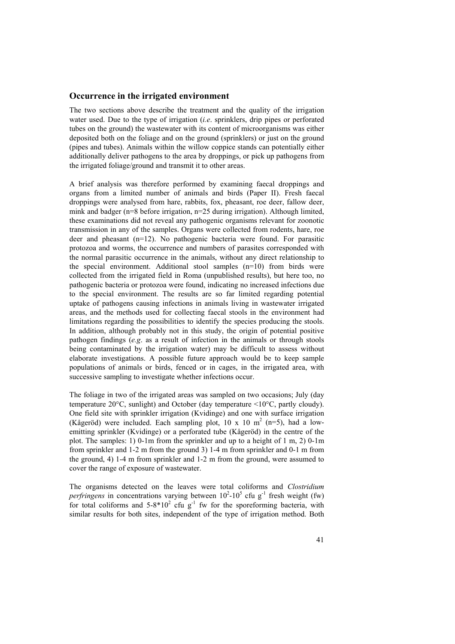#### **Occurrence in the irrigated environment**

The two sections above describe the treatment and the quality of the irrigation water used. Due to the type of irrigation (*i.e*. sprinklers, drip pipes or perforated tubes on the ground) the wastewater with its content of microorganisms was either deposited both on the foliage and on the ground (sprinklers) or just on the ground (pipes and tubes). Animals within the willow coppice stands can potentially either additionally deliver pathogens to the area by droppings, or pick up pathogens from the irrigated foliage/ground and transmit it to other areas.

A brief analysis was therefore performed by examining faecal droppings and organs from a limited number of animals and birds (Paper II). Fresh faecal droppings were analysed from hare, rabbits, fox, pheasant, roe deer, fallow deer, mink and badger (n=8 before irrigation, n=25 during irrigation). Although limited, these examinations did not reveal any pathogenic organisms relevant for zoonotic transmission in any of the samples. Organs were collected from rodents, hare, roe deer and pheasant (n=12). No pathogenic bacteria were found. For parasitic protozoa and worms, the occurrence and numbers of parasites corresponded with the normal parasitic occurrence in the animals, without any direct relationship to the special environment. Additional stool samples (n=10) from birds were collected from the irrigated field in Roma (unpublished results), but here too, no pathogenic bacteria or protozoa were found, indicating no increased infections due to the special environment. The results are so far limited regarding potential uptake of pathogens causing infections in animals living in wastewater irrigated areas, and the methods used for collecting faecal stools in the environment had limitations regarding the possibilities to identify the species producing the stools. In addition, although probably not in this study, the origin of potential positive pathogen findings (*e.g*. as a result of infection in the animals or through stools being contaminated by the irrigation water) may be difficult to assess without elaborate investigations. A possible future approach would be to keep sample populations of animals or birds, fenced or in cages, in the irrigated area, with successive sampling to investigate whether infections occur.

The foliage in two of the irrigated areas was sampled on two occasions; July (day temperature 20°C, sunlight) and October (day temperature <10°C, partly cloudy). One field site with sprinkler irrigation (Kvidinge) and one with surface irrigation (Kågeröd) were included. Each sampling plot, 10 x 10 m<sup>2</sup> (n=5), had a lowemitting sprinkler (Kvidinge) or a perforated tube (Kågeröd) in the centre of the plot. The samples: 1) 0-1m from the sprinkler and up to a height of 1 m, 2) 0-1m from sprinkler and 1-2 m from the ground 3) 1-4 m from sprinkler and 0-1 m from the ground, 4) 1-4 m from sprinkler and 1-2 m from the ground, were assumed to cover the range of exposure of wastewater.

The organisms detected on the leaves were total coliforms and *Clostridium perfringens* in concentrations varying between  $10^2$ - $10^5$  cfu g<sup>-1</sup> fresh weight (fw) for total coliforms and  $5-8*10^2$  cfu g<sup>-1</sup> fw for the sporeforming bacteria, with similar results for both sites, independent of the type of irrigation method. Both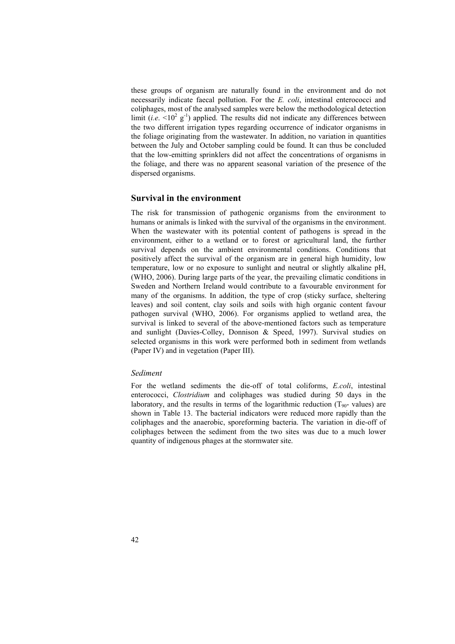these groups of organism are naturally found in the environment and do not necessarily indicate faecal pollution. For the *E. coli*, intestinal enterococci and coliphages, most of the analysed samples were below the methodological detection limit (*i.e.*  $\leq 10^2$  g<sup>-1</sup>) applied. The results did not indicate any differences between the two different irrigation types regarding occurrence of indicator organisms in the foliage originating from the wastewater. In addition, no variation in quantities between the July and October sampling could be found. It can thus be concluded that the low-emitting sprinklers did not affect the concentrations of organisms in the foliage, and there was no apparent seasonal variation of the presence of the dispersed organisms.

### **Survival in the environment**

The risk for transmission of pathogenic organisms from the environment to humans or animals is linked with the survival of the organisms in the environment. When the wastewater with its potential content of pathogens is spread in the environment, either to a wetland or to forest or agricultural land, the further survival depends on the ambient environmental conditions. Conditions that positively affect the survival of the organism are in general high humidity, low temperature, low or no exposure to sunlight and neutral or slightly alkaline pH, (WHO, 2006). During large parts of the year, the prevailing climatic conditions in Sweden and Northern Ireland would contribute to a favourable environment for many of the organisms. In addition, the type of crop (sticky surface, sheltering leaves) and soil content, clay soils and soils with high organic content favour pathogen survival (WHO, 2006). For organisms applied to wetland area, the survival is linked to several of the above-mentioned factors such as temperature and sunlight (Davies-Colley, Donnison & Speed, 1997). Survival studies on selected organisms in this work were performed both in sediment from wetlands (Paper IV) and in vegetation (Paper III).

#### *Sediment*

For the wetland sediments the die-off of total coliforms, *E.coli*, intestinal enterococci, *Clostridium* and coliphages was studied during 50 days in the laboratory, and the results in terms of the logarithmic reduction  $(T_{90}$ - values) are shown in Table 13. The bacterial indicators were reduced more rapidly than the coliphages and the anaerobic, sporeforming bacteria. The variation in die-off of coliphages between the sediment from the two sites was due to a much lower quantity of indigenous phages at the stormwater site.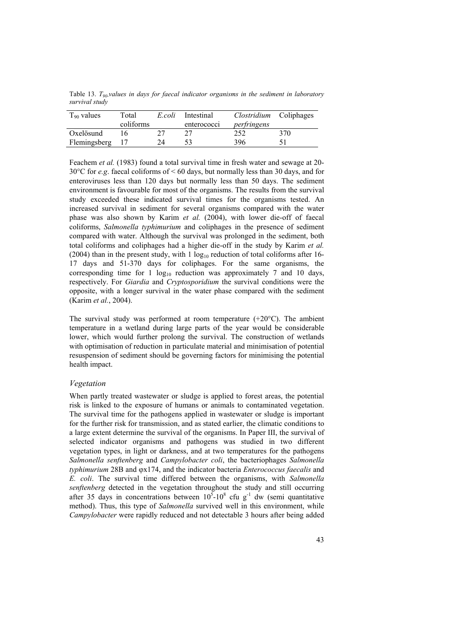Table 13. *T90-values in days for faecal indicator organisms in the sediment in laboratory survival study* 

| $T_{90}$ values | Total<br>coliforms | E.coli | Intestinal<br>enterococci | Clostridium<br>perfringens | Coliphages |
|-----------------|--------------------|--------|---------------------------|----------------------------|------------|
| Oxelösund       |                    |        |                           | 252                        | 370        |
| Flemingsberg    |                    |        | 53                        | 396                        |            |

Feachem *et al.* (1983) found a total survival time in fresh water and sewage at 20- 30°C for *e.g*. faecal coliforms of < 60 days, but normally less than 30 days, and for enteroviruses less than 120 days but normally less than 50 days. The sediment environment is favourable for most of the organisms. The results from the survival study exceeded these indicated survival times for the organisms tested. An increased survival in sediment for several organisms compared with the water phase was also shown by Karim *et al.* (2004), with lower die-off of faecal coliforms, *Salmonella typhimurium* and coliphages in the presence of sediment compared with water. Although the survival was prolonged in the sediment, both total coliforms and coliphages had a higher die-off in the study by Karim *et al.* (2004) than in the present study, with  $1 \log_{10}$  reduction of total coliforms after 16-17 days and 51-370 days for coliphages. For the same organisms, the corresponding time for 1  $log_{10}$  reduction was approximately 7 and 10 days, respectively. For *Giardia* and *Cryptosporidium* the survival conditions were the opposite, with a longer survival in the water phase compared with the sediment (Karim *et al.*, 2004).

The survival study was performed at room temperature  $(+20^{\circ}C)$ . The ambient temperature in a wetland during large parts of the year would be considerable lower, which would further prolong the survival. The construction of wetlands with optimisation of reduction in particulate material and minimisation of potential resuspension of sediment should be governing factors for minimising the potential health impact.

#### *Vegetation*

When partly treated wastewater or sludge is applied to forest areas, the potential risk is linked to the exposure of humans or animals to contaminated vegetation. The survival time for the pathogens applied in wastewater or sludge is important for the further risk for transmission, and as stated earlier, the climatic conditions to a large extent determine the survival of the organisms. In Paper III, the survival of selected indicator organisms and pathogens was studied in two different vegetation types, in light or darkness, and at two temperatures for the pathogens *Salmonella senftenberg* and *Campylobacter coli*, the bacteriophages *Salmonella typhimurium* 28B and ϕx174, and the indicator bacteria *Enterococcus faecalis* and *E. coli*. The survival time differed between the organisms, with *Salmonella senftenberg* detected in the vegetation throughout the study and still occurring after 35 days in concentrations between  $10^5$ - $10^8$  cfu g<sup>-1</sup> dw (semi quantitative method). Thus, this type of *Salmonella* survived well in this environment, while *Campylobacter* were rapidly reduced and not detectable 3 hours after being added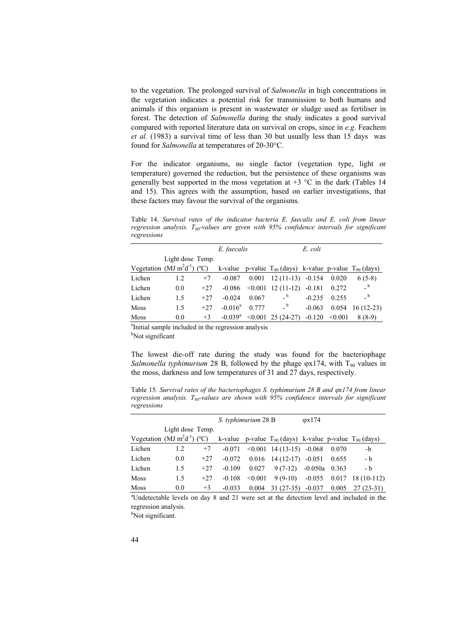to the vegetation. The prolonged survival of *Salmonella* in high concentrations in the vegetation indicates a potential risk for transmission to both humans and animals if this organism is present in wastewater or sludge used as fertiliser in forest. The detection of *Salmonella* during the study indicates a good survival compared with reported literature data on survival on crops, since in *e.g*. Feachem *et al.* (1983) a survival time of less than 30 but usually less than 15 days was found for *Salmonella* at temperatures of 20-30°C.

For the indicator organisms, no single factor (vegetation type, light or temperature) governed the reduction, but the persistence of these organisms was generally best supported in the moss vegetation at  $+3$  °C in the dark (Tables 14 and 15). This agrees with the assumption, based on earlier investigations, that these factors may favour the survival of the organisms.

Table 14. *Survival rates of the indicator bacteria E. faecalis and E. coli from linear regression analysis. T90-values are given with 95% confidence intervals for significant regressions* 

|                                                                 |                                   |       | E. faecalis           |       |                                                                 | E. coli  |         |              |
|-----------------------------------------------------------------|-----------------------------------|-------|-----------------------|-------|-----------------------------------------------------------------|----------|---------|--------------|
|                                                                 | Light dose Temp.                  |       |                       |       |                                                                 |          |         |              |
|                                                                 | Vegetation (MJ $m^2d^{-1}$ ) (°C) |       |                       |       | k-value p-value $T_{90}$ (days) k-value p-value $T_{90}$ (days) |          |         |              |
| Lichen                                                          | 1.2                               | $+7$  | $-0.087$              | 0.001 | $12(11-13)$                                                     | $-0.154$ | 0.020   | $6(5-8)$     |
| Lichen                                                          | 0.0                               | $+27$ | $-0.086$              |       | $\leq 0.001$ 12 (11-12)                                         | $-0.181$ | 0.272   | b            |
| Lichen                                                          | 1.5                               | $+27$ | $-0.024$              | 0.067 | $\overline{a}$                                                  | $-0.235$ | 0.255   | $\mathsf{b}$ |
| <b>Moss</b>                                                     | 1.5                               | $+27$ | $-0.016^a$            | 0.777 | b                                                               | $-0.063$ | 0.054   | $16(12-23)$  |
| Moss                                                            | 0.0                               | $+3$  | $-0.039$ <sup>a</sup> |       | $\leq 0.001$ 25 (24-27)                                         | $-0.120$ | < 0.001 | $8(8-9)$     |
| <sup>a</sup> Initial sample included in the regression analysis |                                   |       |                       |       |                                                                 |          |         |              |

<sup>b</sup>Not significant

The lowest die-off rate during the study was found for the bacteriophage *Salmonella typhimurium* 28 B, followed by the phage  $\varphi$ x174, with T<sub>90</sub> values in the moss, darkness and low temperatures of 31 and 27 days, respectively.

Table 15. Survival rates of the bacteriophages S. typhimurium 28 B and  $\varphi x$ 174 from linear *regression analysis. T90-values are shown with 95% confidence intervals for significant regressions* 

|             |                                   |       | S. typhimurium 28 B |         |                                                                 | $\varphi$ x174 |       |                     |
|-------------|-----------------------------------|-------|---------------------|---------|-----------------------------------------------------------------|----------------|-------|---------------------|
|             | Light dose Temp.                  |       |                     |         |                                                                 |                |       |                     |
|             | Vegetation (MJ $m^2d^{-1}$ ) (°C) |       |                     |         | k-value p-value $T_{90}$ (days) k-value p-value $T_{90}$ (days) |                |       |                     |
| Lichen      | 1.2                               | $+7$  | $-0.071$            |         | $\leq 0.001$ 14 (13-15) -0.068                                  |                | 0.070 | -b                  |
| Lichen      | 0.0                               | $+27$ | $-0.072$            |         | $0.016$ 14 (12-17) -0.051                                       |                | 0.655 | - b                 |
| Lichen      | 1.5                               | $+27$ | $-0.109$            | 0.027   | $9(7-12)$                                                       | $-0.050a$      | 0.363 | - b                 |
| <b>Moss</b> | 1.5                               | $+27$ | $-0.108$            | < 0.001 | $9(9-10)$                                                       | $-0.055$       |       | $0.017$ 18 (10-112) |
| Moss        | 0.0                               | $+3$  | $-0.033$            | 0.004   | $31(27-35)$                                                     | $-0.037$       | 0.005 | $27(23-31)$         |

a Undetectable levels on day 8 and 21 were set at the detection level and included in the regression analysis.

<sup>b</sup>Not significant.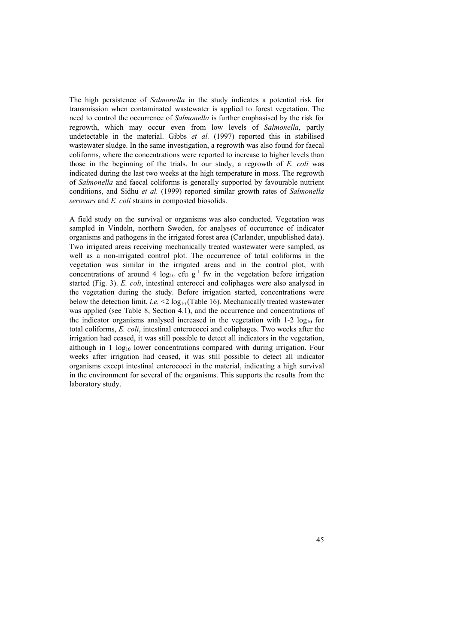The high persistence of *Salmonella* in the study indicates a potential risk for transmission when contaminated wastewater is applied to forest vegetation. The need to control the occurrence of *Salmonella* is further emphasised by the risk for regrowth, which may occur even from low levels of *Salmonella*, partly undetectable in the material. Gibbs *et al.* (1997) reported this in stabilised wastewater sludge. In the same investigation, a regrowth was also found for faecal coliforms, where the concentrations were reported to increase to higher levels than those in the beginning of the trials. In our study, a regrowth of *E. coli* was indicated during the last two weeks at the high temperature in moss. The regrowth of *Salmonella* and faecal coliforms is generally supported by favourable nutrient conditions, and Sidhu *et al.* (1999) reported similar growth rates of *Salmonella serovars* and *E. coli* strains in composted biosolids.

A field study on the survival or organisms was also conducted. Vegetation was sampled in Vindeln, northern Sweden, for analyses of occurrence of indicator organisms and pathogens in the irrigated forest area (Carlander, unpublished data). Two irrigated areas receiving mechanically treated wastewater were sampled, as well as a non-irrigated control plot. The occurrence of total coliforms in the vegetation was similar in the irrigated areas and in the control plot, with concentrations of around 4  $\log_{10}$  cfu g<sup>-1</sup> fw in the vegetation before irrigation started (Fig. 3). *E. coli*, intestinal enterocci and coliphages were also analysed in the vegetation during the study. Before irrigation started, concentrations were below the detection limit, *i.e.*  $\leq 2 \log_{10}(\text{Table 16})$ . Mechanically treated wastewater was applied (see Table 8, Section 4.1), and the occurrence and concentrations of the indicator organisms analysed increased in the vegetation with  $1-2 \log_{10}$  for total coliforms, *E. coli*, intestinal enterococci and coliphages. Two weeks after the irrigation had ceased, it was still possible to detect all indicators in the vegetation, although in 1  $log_{10}$  lower concentrations compared with during irrigation. Four weeks after irrigation had ceased, it was still possible to detect all indicator organisms except intestinal enterococci in the material, indicating a high survival in the environment for several of the organisms. This supports the results from the laboratory study.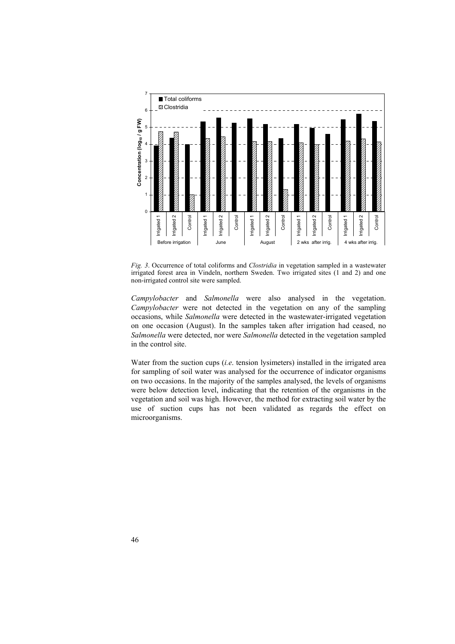

*Fig. 3*. Occurrence of total coliforms and *Clostridia* in vegetation sampled in a wastewater irrigated forest area in Vindeln, northern Sweden. Two irrigated sites (1 and 2) and one non-irrigated control site were sampled.

*Campylobacter* and *Salmonella* were also analysed in the vegetation. *Campylobacter* were not detected in the vegetation on any of the sampling occasions, while *Salmonella* were detected in the wastewater-irrigated vegetation on one occasion (August). In the samples taken after irrigation had ceased, no *Salmonella* were detected, nor were *Salmonella* detected in the vegetation sampled in the control site.

Water from the suction cups (*i.e*. tension lysimeters) installed in the irrigated area for sampling of soil water was analysed for the occurrence of indicator organisms on two occasions. In the majority of the samples analysed, the levels of organisms were below detection level, indicating that the retention of the organisms in the vegetation and soil was high. However, the method for extracting soil water by the use of suction cups has not been validated as regards the effect on microorganisms.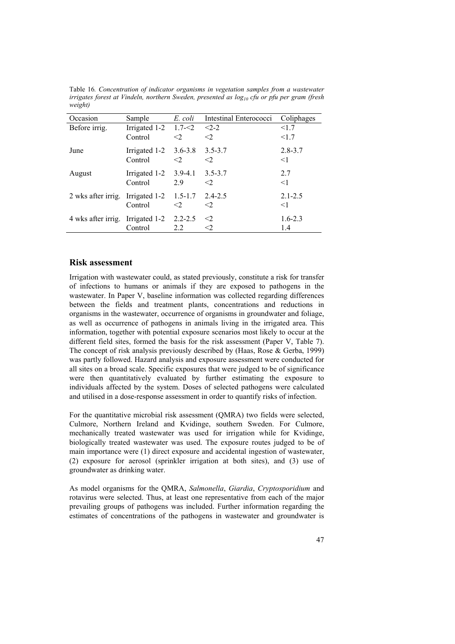| Occasion                                   | Sample                                   | E. coli  | Intestinal Enterococci   | Coliphages              |
|--------------------------------------------|------------------------------------------|----------|--------------------------|-------------------------|
| Before irrig.                              | Irrigated $1-2$ 1.7- $\leq$ 2<br>Control | $\leq$ 2 | $<2-2$<br>$\leq$ 2       | <1.7<br><1.7            |
| June                                       | Irrigated $1-2$ 3.6-3.8<br>Control       | $\leq$ 2 | $3.5 - 3.7$<br>$\leq$ 2  | $2.8 - 3.7$<br>$\leq$ 1 |
| August                                     | Irrigated $1-2$ 3.9-4.1<br>Control       | 29       | $3.5 - 3.7$<br>$\langle$ | 2.7<br>$<$ 1            |
| 2 wks after irrig. Irrigated $1-2$ 1.5-1.7 | Control                                  | $\leq$ 2 | 2.4-2.5<br>$\leq$ 2      | $2.1 - 2.5$<br>$<$ 1    |
| 4 wks after irrig. Irrigated 1-2 2.2-2.5   | Control                                  | 2.2      | $\leq$ 2<br><2           | $1.6 - 2.3$<br>1.4      |

Table 16*. Concentration of indicator organisms in vegetation samples from a wastewater irrigates forest at Vindeln, northern Sweden, presented as log<sub>10</sub> cfu or pfu per gram (fresh weight)* 

#### **Risk assessment**

Irrigation with wastewater could, as stated previously, constitute a risk for transfer of infections to humans or animals if they are exposed to pathogens in the wastewater. In Paper V, baseline information was collected regarding differences between the fields and treatment plants, concentrations and reductions in organisms in the wastewater, occurrence of organisms in groundwater and foliage, as well as occurrence of pathogens in animals living in the irrigated area. This information, together with potential exposure scenarios most likely to occur at the different field sites, formed the basis for the risk assessment (Paper V, Table 7). The concept of risk analysis previously described by (Haas, Rose & Gerba, 1999) was partly followed. Hazard analysis and exposure assessment were conducted for all sites on a broad scale. Specific exposures that were judged to be of significance were then quantitatively evaluated by further estimating the exposure to individuals affected by the system. Doses of selected pathogens were calculated and utilised in a dose-response assessment in order to quantify risks of infection.

For the quantitative microbial risk assessment (QMRA) two fields were selected, Culmore, Northern Ireland and Kvidinge, southern Sweden. For Culmore, mechanically treated wastewater was used for irrigation while for Kvidinge, biologically treated wastewater was used. The exposure routes judged to be of main importance were (1) direct exposure and accidental ingestion of wastewater, (2) exposure for aerosol (sprinkler irrigation at both sites), and (3) use of groundwater as drinking water.

As model organisms for the QMRA, *Salmonella*, *Giardia*, *Cryptosporidium* and rotavirus were selected. Thus, at least one representative from each of the major prevailing groups of pathogens was included. Further information regarding the estimates of concentrations of the pathogens in wastewater and groundwater is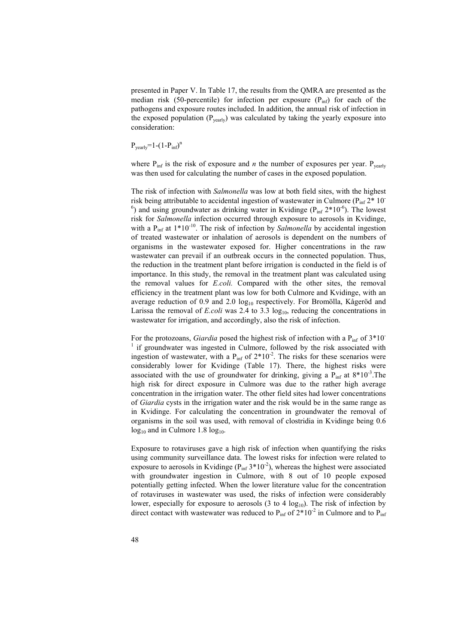presented in Paper V. In Table 17, the results from the QMRA are presented as the median risk (50-percentile) for infection per exposure  $(P_{inf})$  for each of the pathogens and exposure routes included. In addition, the annual risk of infection in the exposed population  $(P_{\text{year}})$  was calculated by taking the yearly exposure into consideration:

$$
P_{\text{yearly}}=1-(1-P_{\text{inf}})^n
$$

where  $P_{\text{inf}}$  is the risk of exposure and *n* the number of exposures per year.  $P_{\text{year}}$ was then used for calculating the number of cases in the exposed population.

The risk of infection with *Salmonella* was low at both field sites, with the highest risk being attributable to accidental ingestion of wastewater in Culmore ( $P_{inf} 2^* 10^ ^{6}$ ) and using groundwater as drinking water in Kvidinge ( $P_{\text{inf}} 2*10^{-6}$ ). The lowest risk for *Salmonella* infection occurred through exposure to aerosols in Kvidinge, with a P<sub>inf</sub> at 1\*10<sup>-10</sup>. The risk of infection by *Salmonella* by accidental ingestion of treated wastewater or inhalation of aerosols is dependent on the numbers of organisms in the wastewater exposed for. Higher concentrations in the raw wastewater can prevail if an outbreak occurs in the connected population. Thus, the reduction in the treatment plant before irrigation is conducted in the field is of importance. In this study, the removal in the treatment plant was calculated using the removal values for *E.coli.* Compared with the other sites, the removal efficiency in the treatment plant was low for both Culmore and Kvidinge, with an average reduction of 0.9 and 2.0  $log_{10}$  respectively. For Bromölla, Kågeröd and Larissa the removal of *E.coli* was 2.4 to 3.3  $log_{10}$ , reducing the concentrations in wastewater for irrigation, and accordingly, also the risk of infection.

For the protozoans, *Giardia* posed the highest risk of infection with a P<sub>inf</sub> of  $3*10^-$ <sup>1</sup> if groundwater was ingested in Culmore, followed by the risk associated with ingestion of wastewater, with a  $P_{inf}$  of  $2*10^{-2}$ . The risks for these scenarios were considerably lower for Kvidinge (Table 17). There, the highest risks were associated with the use of groundwater for drinking, giving a  $P_{inf}$  at  $8*10^{-3}$ . The high risk for direct exposure in Culmore was due to the rather high average concentration in the irrigation water. The other field sites had lower concentrations of *Giardia* cysts in the irrigation water and the risk would be in the same range as in Kvidinge. For calculating the concentration in groundwater the removal of organisms in the soil was used, with removal of clostridia in Kvidinge being 0.6  $log_{10}$  and in Culmore 1.8  $log_{10}$ .

Exposure to rotaviruses gave a high risk of infection when quantifying the risks using community surveillance data. The lowest risks for infection were related to exposure to aerosols in Kvidinge  $(P_{\text{inf}} 3*10^{-2})$ , whereas the highest were associated with groundwater ingestion in Culmore, with 8 out of 10 people exposed potentially getting infected. When the lower literature value for the concentration of rotaviruses in wastewater was used, the risks of infection were considerably lower, especially for exposure to aerosols  $(3 \text{ to } 4 \log_{10})$ . The risk of infection by direct contact with wastewater was reduced to  $P_{\text{inf}}$  of  $2*10^{-2}$  in Culmore and to  $P_{\text{inf}}$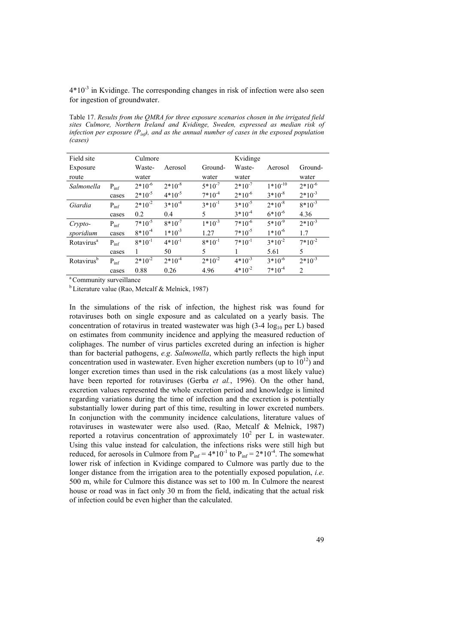$4*10^{-3}$  in Kvidinge. The corresponding changes in risk of infection were also seen for ingestion of groundwater.

Table 17. *Results from the QMRA for three exposure scenarios chosen in the irrigated field sites Culmore, Northern Ireland and Kvidinge, Sweden, expressed as median risk of infection per exposure*  $(P_{in}$ *f*, and as the annual number of cases in the exposed population *(cases)* 

| Field site             |           | Culmore     |             |             | Kvidinge    |              |                |
|------------------------|-----------|-------------|-------------|-------------|-------------|--------------|----------------|
| Exposure               |           | Waste-      | Aerosol     | Ground-     | Waste-      | Aerosol      | Ground-        |
| route                  |           | water       |             | water       | water       |              | water          |
| Salmonella             | $P_{inf}$ | $2*10^{-6}$ | $2*10^{-8}$ | $5*10^{-7}$ | $2*10^{-7}$ | $1*10^{-10}$ | $2*10^{-6}$    |
|                        | cases     | $2*10^{-5}$ | $4*10^{-5}$ | $7*10^{-4}$ | $2*10^{-6}$ | $3*10^{-8}$  | $2*10^{-3}$    |
| Giardia                | $P_{inf}$ | $2*10^{-2}$ | $3*10^{-4}$ | $3*10^{-1}$ | $3*10^{-5}$ | $2*10^{-8}$  | $8*10^{-3}$    |
|                        | cases     | 0.2         | 0.4         | 5.          | $3*10^{-4}$ | $6*10^{-6}$  | 4.36           |
| Crypto-                | $P_{inf}$ | $7*10^{-5}$ | $8*10^{-7}$ | $1*10^{-3}$ | $7*10^{-6}$ | $5*10^{-9}$  | $2*10^{-3}$    |
| sporidium              | cases     | $8*10^{-4}$ | $1*10^{-3}$ | 127         | $7*10^{-5}$ | $1*10^{-6}$  | 1.7            |
| Rotavirus <sup>a</sup> | $P_{inf}$ | $8*10^{-1}$ | $4*10^{-1}$ | $8*10^{-1}$ | $7*10^{-1}$ | $3*10^{-2}$  | $7*10^{-2}$    |
|                        | cases     |             | 50          | 5           |             | 5.61         | 5              |
| Rotavirus <sup>b</sup> | $P_{inf}$ | $2*10^{-2}$ | $2*10^{-4}$ | $2*10^{-2}$ | $4*10^{-3}$ | $3*10^{-6}$  | $2*10^{-3}$    |
|                        | cases     | 0.88        | 0.26        | 4.96        | $4*10^{-2}$ | $7*10^{-4}$  | $\mathfrak{D}$ |
|                        |           |             |             |             |             |              |                |

<sup>a</sup> Community surveillance

 $<sup>b</sup>$  Literature value (Rao, Metcalf & Melnick, 1987)</sup>

In the simulations of the risk of infection, the highest risk was found for rotaviruses both on single exposure and as calculated on a yearly basis. The concentration of rotavirus in treated wastewater was high  $(3-4 \log_{10} \text{per } L)$  based on estimates from community incidence and applying the measured reduction of coliphages. The number of virus particles excreted during an infection is higher than for bacterial pathogens, *e.g*. *Salmonella*, which partly reflects the high input concentration used in wastewater. Even higher excretion numbers (up to  $10^{12}$ ) and longer excretion times than used in the risk calculations (as a most likely value) have been reported for rotaviruses (Gerba *et al.*, 1996). On the other hand, excretion values represented the whole excretion period and knowledge is limited regarding variations during the time of infection and the excretion is potentially substantially lower during part of this time, resulting in lower excreted numbers. In conjunction with the community incidence calculations, literature values of rotaviruses in wastewater were also used. (Rao, Metcalf & Melnick, 1987) reported a rotavirus concentration of approximately  $10^2$  per L in wastewater. Using this value instead for calculation, the infections risks were still high but reduced, for aerosols in Culmore from  $P_{inf} = 4*10^{-1}$  to  $P_{inf} = 2*10^{-4}$ . The somewhat lower risk of infection in Kvidinge compared to Culmore was partly due to the longer distance from the irrigation area to the potentially exposed population, *i.e*. 500 m, while for Culmore this distance was set to 100 m. In Culmore the nearest house or road was in fact only 30 m from the field, indicating that the actual risk of infection could be even higher than the calculated.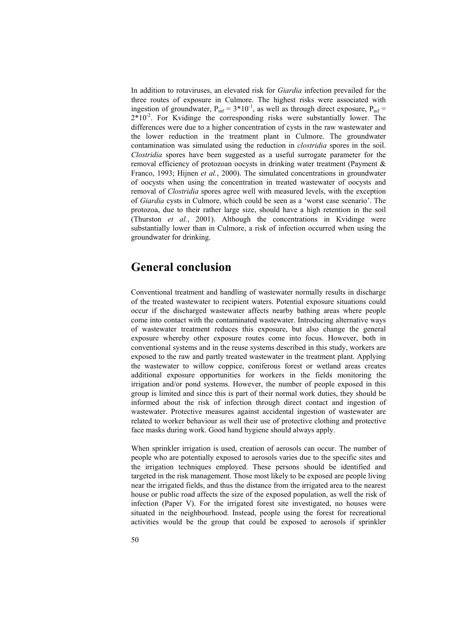In addition to rotaviruses, an elevated risk for *Giardia* infection prevailed for the three routes of exposure in Culmore. The highest risks were associated with ingestion of groundwater,  $P_{inf} = 3*10^{-1}$ , as well as through direct exposure,  $P_{inf}$  =  $2*10<sup>-2</sup>$ . For Kvidinge the corresponding risks were substantially lower. The differences were due to a higher concentration of cysts in the raw wastewater and the lower reduction in the treatment plant in Culmore. The groundwater contamination was simulated using the reduction in *clostridia* spores in the soil. *Clostridia* spores have been suggested as a useful surrogate parameter for the removal efficiency of protozoan oocysts in drinking water treatment (Payment & Franco, 1993; Hijnen *et al.*, 2000). The simulated concentrations in groundwater of oocysts when using the concentration in treated wastewater of oocysts and removal of *Clostridia* spores agree well with measured levels, with the exception of *Giardia* cysts in Culmore, which could be seen as a 'worst case scenario'. The protozoa, due to their rather large size, should have a high retention in the soil (Thurston *et al.*, 2001). Although the concentrations in Kvidinge were substantially lower than in Culmore, a risk of infection occurred when using the groundwater for drinking.

## **General conclusion**

Conventional treatment and handling of wastewater normally results in discharge of the treated wastewater to recipient waters. Potential exposure situations could occur if the discharged wastewater affects nearby bathing areas where people come into contact with the contaminated wastewater. Introducing alternative ways of wastewater treatment reduces this exposure, but also change the general exposure whereby other exposure routes come into focus. However, both in conventional systems and in the reuse systems described in this study, workers are exposed to the raw and partly treated wastewater in the treatment plant. Applying the wastewater to willow coppice, coniferous forest or wetland areas creates additional exposure opportunities for workers in the fields monitoring the irrigation and/or pond systems. However, the number of people exposed in this group is limited and since this is part of their normal work duties, they should be informed about the risk of infection through direct contact and ingestion of wastewater. Protective measures against accidental ingestion of wastewater are related to worker behaviour as well their use of protective clothing and protective face masks during work. Good hand hygiene should always apply.

When sprinkler irrigation is used, creation of aerosols can occur. The number of people who are potentially exposed to aerosols varies due to the specific sites and the irrigation techniques employed. These persons should be identified and targeted in the risk management. Those most likely to be exposed are people living near the irrigated fields, and thus the distance from the irrigated area to the nearest house or public road affects the size of the exposed population, as well the risk of infection (Paper V). For the irrigated forest site investigated, no houses were situated in the neighbourhood. Instead, people using the forest for recreational activities would be the group that could be exposed to aerosols if sprinkler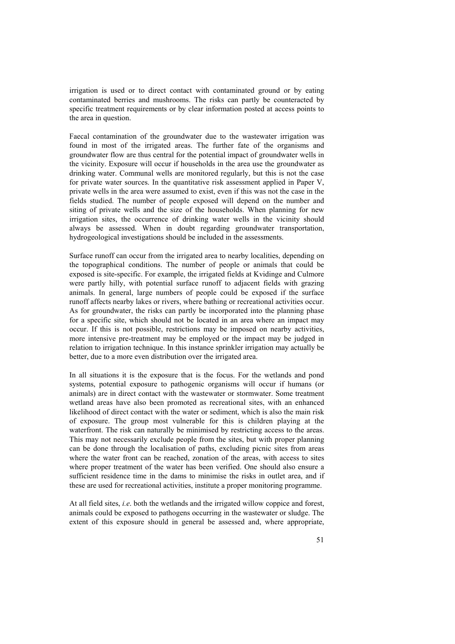irrigation is used or to direct contact with contaminated ground or by eating contaminated berries and mushrooms. The risks can partly be counteracted by specific treatment requirements or by clear information posted at access points to the area in question.

Faecal contamination of the groundwater due to the wastewater irrigation was found in most of the irrigated areas. The further fate of the organisms and groundwater flow are thus central for the potential impact of groundwater wells in the vicinity. Exposure will occur if households in the area use the groundwater as drinking water. Communal wells are monitored regularly, but this is not the case for private water sources. In the quantitative risk assessment applied in Paper V, private wells in the area were assumed to exist, even if this was not the case in the fields studied. The number of people exposed will depend on the number and siting of private wells and the size of the households. When planning for new irrigation sites, the occurrence of drinking water wells in the vicinity should always be assessed. When in doubt regarding groundwater transportation, hydrogeological investigations should be included in the assessments.

Surface runoff can occur from the irrigated area to nearby localities, depending on the topographical conditions. The number of people or animals that could be exposed is site-specific. For example, the irrigated fields at Kvidinge and Culmore were partly hilly, with potential surface runoff to adjacent fields with grazing animals. In general, large numbers of people could be exposed if the surface runoff affects nearby lakes or rivers, where bathing or recreational activities occur. As for groundwater, the risks can partly be incorporated into the planning phase for a specific site, which should not be located in an area where an impact may occur. If this is not possible, restrictions may be imposed on nearby activities, more intensive pre-treatment may be employed or the impact may be judged in relation to irrigation technique. In this instance sprinkler irrigation may actually be better, due to a more even distribution over the irrigated area.

In all situations it is the exposure that is the focus. For the wetlands and pond systems, potential exposure to pathogenic organisms will occur if humans (or animals) are in direct contact with the wastewater or stormwater. Some treatment wetland areas have also been promoted as recreational sites, with an enhanced likelihood of direct contact with the water or sediment, which is also the main risk of exposure. The group most vulnerable for this is children playing at the waterfront. The risk can naturally be minimised by restricting access to the areas. This may not necessarily exclude people from the sites, but with proper planning can be done through the localisation of paths, excluding picnic sites from areas where the water front can be reached, zonation of the areas, with access to sites where proper treatment of the water has been verified. One should also ensure a sufficient residence time in the dams to minimise the risks in outlet area, and if these are used for recreational activities, institute a proper monitoring programme.

At all field sites, *i.e*. both the wetlands and the irrigated willow coppice and forest, animals could be exposed to pathogens occurring in the wastewater or sludge. The extent of this exposure should in general be assessed and, where appropriate,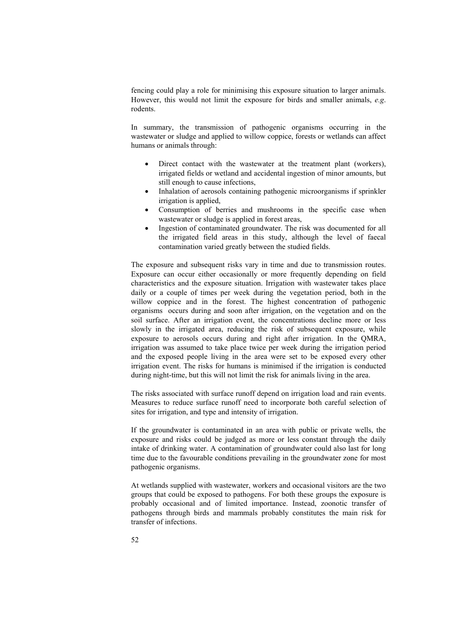fencing could play a role for minimising this exposure situation to larger animals. However, this would not limit the exposure for birds and smaller animals, *e.g*. rodents.

In summary, the transmission of pathogenic organisms occurring in the wastewater or sludge and applied to willow coppice, forests or wetlands can affect humans or animals through:

- Direct contact with the wastewater at the treatment plant (workers), irrigated fields or wetland and accidental ingestion of minor amounts, but still enough to cause infections,
- Inhalation of aerosols containing pathogenic microorganisms if sprinkler irrigation is applied,
- Consumption of berries and mushrooms in the specific case when wastewater or sludge is applied in forest areas.
- Ingestion of contaminated groundwater. The risk was documented for all the irrigated field areas in this study, although the level of faecal contamination varied greatly between the studied fields.

The exposure and subsequent risks vary in time and due to transmission routes. Exposure can occur either occasionally or more frequently depending on field characteristics and the exposure situation. Irrigation with wastewater takes place daily or a couple of times per week during the vegetation period, both in the willow coppice and in the forest. The highest concentration of pathogenic organisms occurs during and soon after irrigation, on the vegetation and on the soil surface. After an irrigation event, the concentrations decline more or less slowly in the irrigated area, reducing the risk of subsequent exposure, while exposure to aerosols occurs during and right after irrigation. In the QMRA, irrigation was assumed to take place twice per week during the irrigation period and the exposed people living in the area were set to be exposed every other irrigation event. The risks for humans is minimised if the irrigation is conducted during night-time, but this will not limit the risk for animals living in the area.

The risks associated with surface runoff depend on irrigation load and rain events. Measures to reduce surface runoff need to incorporate both careful selection of sites for irrigation, and type and intensity of irrigation.

If the groundwater is contaminated in an area with public or private wells, the exposure and risks could be judged as more or less constant through the daily intake of drinking water. A contamination of groundwater could also last for long time due to the favourable conditions prevailing in the groundwater zone for most pathogenic organisms.

At wetlands supplied with wastewater, workers and occasional visitors are the two groups that could be exposed to pathogens. For both these groups the exposure is probably occasional and of limited importance. Instead, zoonotic transfer of pathogens through birds and mammals probably constitutes the main risk for transfer of infections.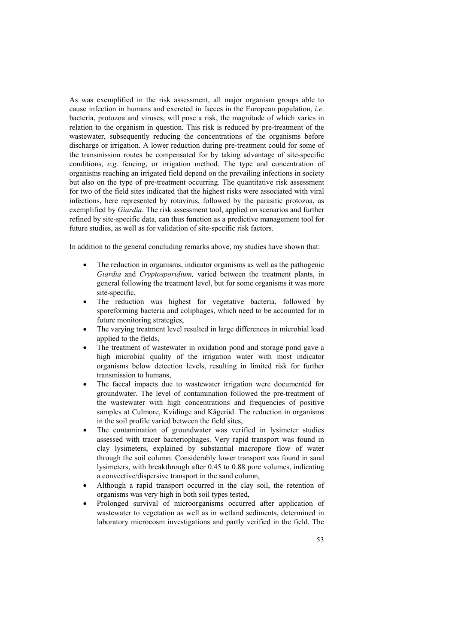As was exemplified in the risk assessment, all major organism groups able to cause infection in humans and excreted in faeces in the European population, *i.e*. bacteria, protozoa and viruses, will pose a risk, the magnitude of which varies in relation to the organism in question. This risk is reduced by pre-treatment of the wastewater, subsequently reducing the concentrations of the organisms before discharge or irrigation. A lower reduction during pre-treatment could for some of the transmission routes be compensated for by taking advantage of site-specific conditions, *e.g.* fencing, or irrigation method. The type and concentration of organisms reaching an irrigated field depend on the prevailing infections in society but also on the type of pre-treatment occurring. The quantitative risk assessment for two of the field sites indicated that the highest risks were associated with viral infections, here represented by rotavirus, followed by the parasitic protozoa, as exemplified by *Giardia*. The risk assessment tool, applied on scenarios and further refined by site-specific data, can thus function as a predictive management tool for future studies, as well as for validation of site-specific risk factors.

In addition to the general concluding remarks above, my studies have shown that:

- The reduction in organisms, indicator organisms as well as the pathogenic *Giardia* and *Cryptosporidium,* varied between the treatment plants, in general following the treatment level, but for some organisms it was more site-specific
- The reduction was highest for vegetative bacteria, followed by sporeforming bacteria and coliphages, which need to be accounted for in future monitoring strategies,
- The varying treatment level resulted in large differences in microbial load applied to the fields,
- The treatment of wastewater in oxidation pond and storage pond gave a high microbial quality of the irrigation water with most indicator organisms below detection levels, resulting in limited risk for further transmission to humans,
- The faecal impacts due to wastewater irrigation were documented for groundwater. The level of contamination followed the pre-treatment of the wastewater with high concentrations and frequencies of positive samples at Culmore, Kvidinge and Kågeröd. The reduction in organisms in the soil profile varied between the field sites,
- The contamination of groundwater was verified in lysimeter studies assessed with tracer bacteriophages. Very rapid transport was found in clay lysimeters, explained by substantial macropore flow of water through the soil column. Considerably lower transport was found in sand lysimeters, with breakthrough after 0.45 to 0.88 pore volumes, indicating a convective/dispersive transport in the sand column,
- Although a rapid transport occurred in the clay soil, the retention of organisms was very high in both soil types tested,
- Prolonged survival of microorganisms occurred after application of wastewater to vegetation as well as in wetland sediments, determined in laboratory microcosm investigations and partly verified in the field. The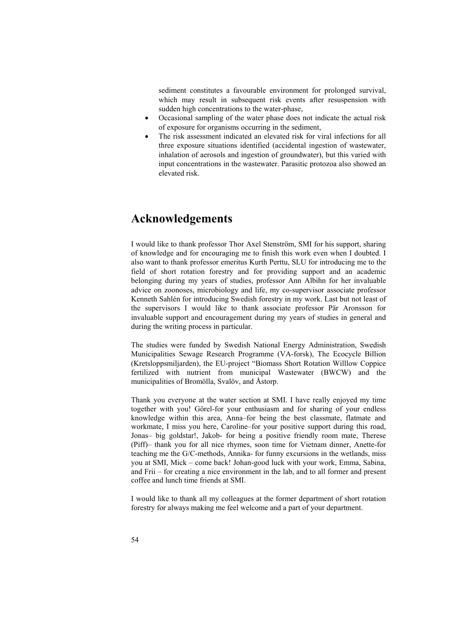sediment constitutes a favourable environment for prolonged survival, which may result in subsequent risk events after resuspension with sudden high concentrations to the water-phase,

- Occasional sampling of the water phase does not indicate the actual risk of exposure for organisms occurring in the sediment,
- The risk assessment indicated an elevated risk for viral infections for all three exposure situations identified (accidental ingestion of wastewater, inhalation of aerosols and ingestion of groundwater), but this varied with input concentrations in the wastewater. Parasitic protozoa also showed an elevated risk.

## **Acknowledgements**

I would like to thank professor Thor Axel Stenström, SMI for his support, sharing of knowledge and for encouraging me to finish this work even when I doubted. I also want to thank professor emeritus Kurth Perttu, SLU for introducing me to the field of short rotation forestry and for providing support and an academic belonging during my years of studies, professor Ann Albihn for her invaluable advice on zoonoses, microbiology and life, my co-supervisor associate professor Kenneth Sahlén for introducing Swedish forestry in my work. Last but not least of the supervisors I would like to thank associate professor Pär Aronsson for invaluable support and encouragement during my years of studies in general and during the writing process in particular.

The studies were funded by Swedish National Energy Administration, Swedish Municipalities Sewage Research Programme (VA-forsk), The Ecocycle Billion (Kretsloppsmiljarden), the EU-project "Biomass Short Rotation Willlow Coppice fertilized with nutrient from municipal Wastewater (BWCW) and the municipalities of Bromölla, Svalöv, and Åstorp.

Thank you everyone at the water section at SMI. I have really enjoyed my time together with you! Görel-for your enthusiasm and for sharing of your endless knowledge within this area, Anna–for being the best classmate, flatmate and workmate, I miss you here, Caroline–for your positive support during this road, Jonas– big goldstar!, Jakob- for being a positive friendly room mate, Therese (Piff)– thank you for all nice rhymes, soon time for Vietnam dinner, Anette-for teaching me the G/C-methods, Annika- for funny excursions in the wetlands, miss you at SMI, Mick – come back! Johan-good luck with your work, Emma, Sabina, and Frii – for creating a nice environment in the lab, and to all former and present coffee and lunch time friends at SMI.

I would like to thank all my colleagues at the former department of short rotation forestry for always making me feel welcome and a part of your department.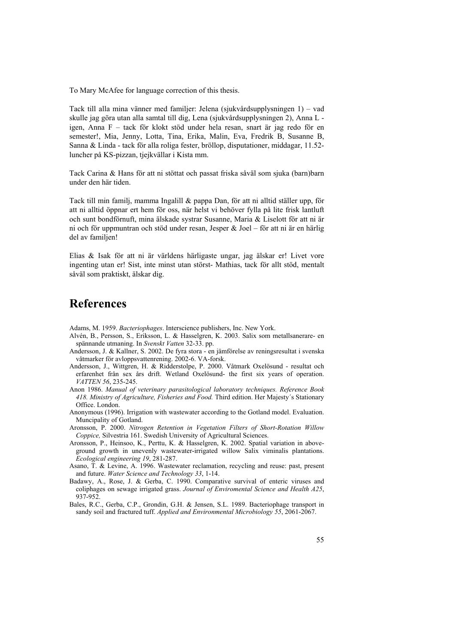To Mary McAfee for language correction of this thesis.

Tack till alla mina vänner med familjer: Jelena (sjukvårdsupplysningen 1) – vad skulle jag göra utan alla samtal till dig, Lena (sjukvårdsupplysningen 2), Anna L igen, Anna F – tack för klokt stöd under hela resan, snart är jag redo för en semester!, Mia, Jenny, Lotta, Tina, Erika, Malin, Eva, Fredrik B, Susanne B, Sanna & Linda - tack för alla roliga fester, bröllop, disputationer, middagar, 11.52 luncher på KS-pizzan, tjejkvällar i Kista mm.

Tack Carina & Hans för att ni stöttat och passat friska såväl som sjuka (barn)barn under den här tiden.

Tack till min familj, mamma Ingalill & pappa Dan, för att ni alltid ställer upp, för att ni alltid öppnar ert hem för oss, när helst vi behöver fylla på lite frisk lantluft och sunt bondförnuft, mina älskade systrar Susanne, Maria & Liselott för att ni är ni och för uppmuntran och stöd under resan, Jesper & Joel – för att ni är en härlig del av familjen!

Elias & Isak för att ni är världens härligaste ungar, jag älskar er! Livet vore ingenting utan er! Sist, inte minst utan störst- Mathias, tack för allt stöd, mentalt såväl som praktiskt, älskar dig.

## **References**

Adams, M. 1959. *Bacteriophages*. Interscience publishers, Inc. New York.

- Alvén, B., Persson, S., Eriksson, L. & Hasselgren, K. 2003. Salix som metallsanerare- en spännande utmaning. In *Svenskt Vatten* 32-33. pp.
- Andersson, J. & Kallner, S. 2002. De fyra stora en jämförelse av reningsresultat i svenska våtmarker för avloppsvattenrening. 2002-6. VA-forsk.
- Andersson, J., Wittgren, H. & Ridderstolpe, P. 2000. Våtmark Oxelösund resultat och erfarenhet från sex års drift. Wetland Oxelösund- the first six years of operation. *VATTEN 56*, 235-245.
- Anon 1986. *Manual of veterinary parasitological laboratory techniques. Reference Book 418. Ministry of Agriculture, Fisheries and Food.* Third edition. Her Majesty´s Stationary Office. London.
- Anonymous (1996). Irrigation with wastewater according to the Gotland model. Evaluation. Muncipality of Gotland.
- Aronsson, P. 2000. *Nitrogen Retention in Vegetation Filters of Short-Rotation Willow Coppice,* Silvestria 161. Swedish University of Agricultural Sciences.
- Aronsson, P., Heinsoo, K., Perttu, K. & Hasselgren, K. 2002. Spatial variation in aboveground growth in unevenly wastewater-irrigated willow Salix viminalis plantations. *Ecological engineering 19*, 281-287.
- Asano, T. & Levine, A. 1996. Wastewater reclamation, recycling and reuse: past, present and future. *Water Science and Technology 33*, 1-14.
- Badawy, A., Rose, J. & Gerba, C. 1990. Comparative survival of enteric viruses and coliphages on sewage irrigated grass. *Journal of Enviromental Science and Health A25*, 937-952.
- Bales, R.C., Gerba, C.P., Grondin, G.H. & Jensen, S.L. 1989. Bacteriophage transport in sandy soil and fractured tuff. *Applied and Environmental Microbiology 55*, 2061-2067.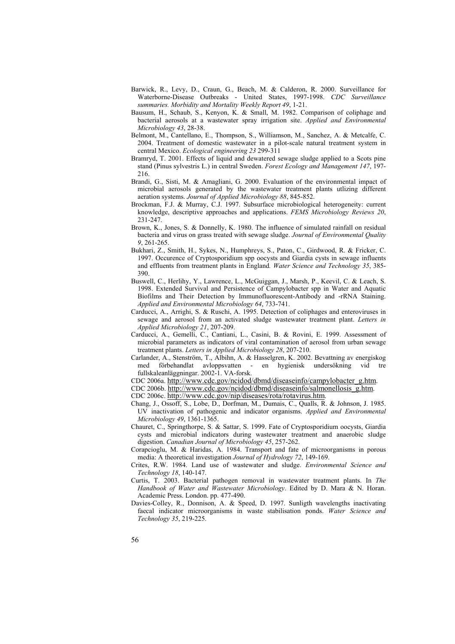- Barwick, R., Levy, D., Craun, G., Beach, M. & Calderon, R. 2000. Surveillance for Waterborne-Disease Outbreaks - United States, 1997-1998. *CDC Surveillance summaries. Morbidity and Mortality Weekly Report 49*, 1-21.
- Bausum, H., Schaub, S., Kenyon, K. & Small, M. 1982. Comparison of coliphage and bacterial aerosols at a wastewater spray irrigation site. *Applied and Environmental Microbiology 43*, 28-38.
- Belmont, M., Cantellano, E., Thompson, S., Williamson, M., Sanchez, A. & Metcalfe, C. 2004. Treatment of domestic wastewater in a pilot-scale natural treatment system in central Mexico. *Ecological engineering 23* 299-311
- Bramryd, T. 2001. Effects of liquid and dewatered sewage sludge applied to a Scots pine stand (Pinus sylvestris L.) in central Sweden. *Forest Ecology and Management 147*, 197- 216.
- Brandi, G., Sisti, M. & Amagliani, G. 2000. Evaluation of the environmental impact of microbial aerosols generated by the wastewater treatment plants utlizing different aeration systems. *Journal of Applied Microbiology 88*, 845-852.
- Brockman, F.J. & Murray, C.J. 1997. Subsurface microbiological heterogeneity: current knowledge, descriptive approaches and applications. *FEMS Microbiology Reviews 20*, 231-247.
- Brown, K., Jones, S. & Donnelly, K. 1980. The influence of simulated rainfall on residual bacteria and virus on grass treated with sewage sludge. *Journal of Environmental Quality 9*, 261-265.
- Bukhari, Z., Smith, H., Sykes, N., Humphreys, S., Paton, C., Girdwood, R. & Fricker, C. 1997. Occurence of Cryptosporidium spp oocysts and Giardia cysts in sewage influents and effluents from treatment plants in England*. Water Science and Technology 35*, 385- 390.
- Buswell, C., Herlihy, Y., Lawrence, L., McGuiggan, J., Marsh, P., Keevil, C. & Leach, S. 1998. Extended Survival and Persistence of Campylobacter spp in Water and Aquatic Biofilms and Their Detection by Immunofluorescent-Antibody and -rRNA Staining. *Applied and Environmental Microbiology 64*, 733-741.
- Carducci, A., Arrighi, S. & Ruschi, A. 1995. Detection of coliphages and enteroviruses in sewage and aerosol from an activated sludge wastewater treatment plant. *Letters in Applied Microbiology 21*, 207-209.
- Carducci, A., Gemelli, C., Cantiani, L., Casini, B. & Rovini, E. 1999. Assessment of microbial parameters as indicators of viral contamination of aerosol from urban sewage treatment plants. *Letters in Applied Microbiology 28*, 207-210.
- Carlander, A., Stenström, T., Albihn, A. & Hasselgren, K. 2002. Bevattning av energiskog med förbehandlat avloppsvatten - en hygienisk undersökning vid tre fullskaleanläggningar. 2002-1. VA-forsk.
- CDC 2006a. http://www.cdc.gov/ncidod/dbmd/diseaseinfo/campylobacter\_g.htm.

CDC 2006b. http://www.cdc.gov/ncidod/dbmd/diseaseinfo/salmonellosis\_g.htm.

CDC 2006c. http://www.cdc.gov/nip/diseases/rota/rotavirus.htm.

- Chang, J., Ossoff, S., Lobe, D., Dorfman, M., Dumais, C., Qualls, R. & Johnson, J. 1985. UV inactivation of pathogenic and indicator organisms. *Applied and Environmental Microbiology 49*, 1361-1365.
- Chauret, C., Springthorpe, S. & Sattar, S. 1999. Fate of Cryptosporidium oocysts, Giardia cysts and microbial indicators during wastewater treatment and anaerobic sludge digestion. *Canadian Journal of Microbiology 45*, 257-262.
- Corapcioglu, M. & Haridas, A. 1984. Transport and fate of microorganisms in porous media: A theoretical investigation *Journal of Hydrology 72*, 149-169.
- Crites, R.W. 1984. Land use of wastewater and sludge. *Environmental Science and Technology 18*, 140-147.
- Curtis, T. 2003. Bacterial pathogen removal in wastewater treatment plants. In *The Handbook of Water and Wastewater Microbiology*. Edited by D. Mara & N. Horan. Academic Press. London. pp. 477-490.
- Davies-Colley, R., Donnison, A. & Speed, D. 1997. Sunligth wavelengths inactivating faecal indicator microorganisms in waste stabilisation ponds. *Water Science and Technology 35*, 219-225.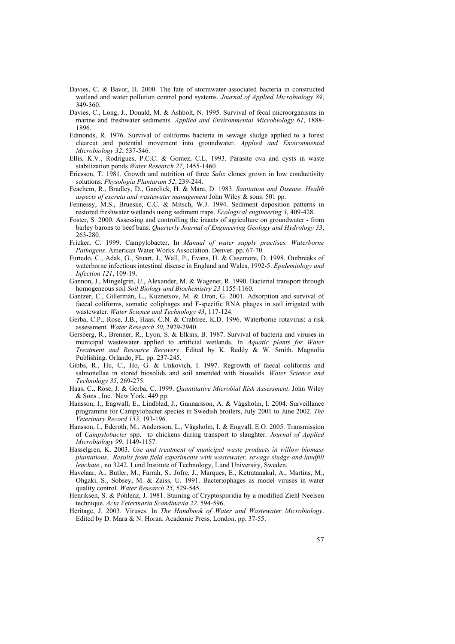- Davies, C. & Bavor, H. 2000. The fate of stormwater-associated bacteria in constructed wetland and water pollution control pond systems. *Journal of Applied Microbiology 89*, 349-360.
- Davies, C., Long, J., Donald, M. & Ashbolt, N. 1995. Survival of fecal microorganisms in marine and freshwater sediments. *Applied and Environmental Microbiology 61*, 1888- 1896.
- Edmonds, R. 1976. Survival of coliforms bacteria in sewage sludge applied to a forest clearcut and potential movement into groundwater. *Applied and Environmental Microbiology 32*, 537-546.
- Ellis, K.V., Rodrigues, P.C.C. & Gomez, C.L. 1993. Parasite ova and cysts in waste stabilization ponds *Water Research 27*, 1455-1460
- Ericsson, T. 1981. Growth and nutrition of three *Salix* clones grown in low conductivity solutions. *Physologia Plantarum 52*, 239-244.
- Feachem, R., Bradley, D., Garelick, H. & Mara, D. 1983. *Sanitation and Disease. Health aspects of excreta and wastewater management* John Wiley & sons. 501 pp.
- Fennessy, M.S., Brueske, C.C. & Mitsch, W.J. 1994. Sediment deposition patterns in restored freshwater wetlands using sediment traps. *Ecological engineering 3*, 409-428.
- Foster, S. 2000. Assessing and controlling the imacts of agriculture on groundwater from barley barons to beef bans. *Quarterly Journal of Engineering Geology and Hydrology 33*, 263-280.
- Fricker, C. 1999. Campylobacter. In *Manual of water supply practises. Waterborne Pathogens*. American Water Works Association. Denver. pp. 67-70.
- Furtado, C., Adak, G., Stuart, J., Wall, P., Evans, H. & Casemore, D. 1998. Outbreaks of waterborne infectious intestinal disease in England and Wales, 1992-5. *Epidemiology and Infection 121*, 109-19.
- Gannon, J., Mingelgrin, U., Alexander, M. & Wagenet, R. 1990. Bacterial transport through homogeneous soil *Soil Biology and Biochemistry 23* 1155-1160.
- Gantzer, C., Gillerman, L., Kuznetsov, M. & Oron, G. 2001. Adsorption and survival of faecal coliforms, somatic coliphages and F-specific RNA phages in soil irrigated with wastewater. *Water Science and Technology 43*, 117-124.
- Gerba, C.P., Rose, J.B., Haas, C.N. & Crabtree, K.D. 1996. Waterborne rotavirus: a risk assessment. *Water Research 30*, 2929-2940.
- Gersberg, R., Brenner, R., Lyon, S. & Elkins, B. 1987. Survival of bacteria and viruses in municipal wastewater applied to artificial wetlands. In *Aquatic plants for Water Treatment and Resource Recovery*. Edited by K. Reddy & W. Smith. Magnolia Publishing. Orlando, FL. pp. 237-245.
- Gibbs, R., Hu, C., Ho, G. & Unkovich, I. 1997. Regrowth of faecal coliforms and salmonellae in stored biosolids and soil amended with biosolids. *Water Science and Technology 35*, 269-275.
- Haas, C., Rose, J. & Gerba, C. 1999. *Quantitative Microbial Risk Assessment*. John Wiley & Sons , Inc. New York. 449 pp.
- Hansson, I., Engwall, E., Lindblad, J., Gunnarsson, A. & Vågsholm, I. 2004. Surveillance programme for Campylobacter species in Swedish broilers, July 2001 to June 2002. *The Veterinary Record 155*, 193-196.
- Hansson, I., Ederoth, M., Andersson, L., Vågsholm, I. & Engvall, E.O. 2005. Transmission of *Campylobacter* spp. to chickens during transport to slaughter. *Journal of Applied Microbiology 99*, 1149-1157.
- Hasselgren, K. 2003. *Use and treatment of municipal waste products in willow biomass plantations. Results from field experiments with wastewater, sewage sludge and landfill leachate.,* no 3242. Lund Institute of Technology, Lund University, Sweden.
- Havelaar, A., Butler, M., Farrah, S., Jofre, J., Marques, E., Ketratanakul, A., Martins, M., Ohgaki, S., Sobsey, M. & Zaiss, U. 1991. Bacteriophages as model viruses in water quality control. *Water Research 25*, 529-545.
- Henriksen, S. & Pohlenz, J. 1981. Staining of Cryptosporidia by a modified Ziehl-Neelsen technique. *Acta Veterinaria Scandinavia 22*, 594-596.
- Heritage, J. 2003. Viruses. In *The Handbook of Water and Wastewater Microbiology*. Edited by D. Mara & N. Horan. Academic Press. London. pp. 37-55.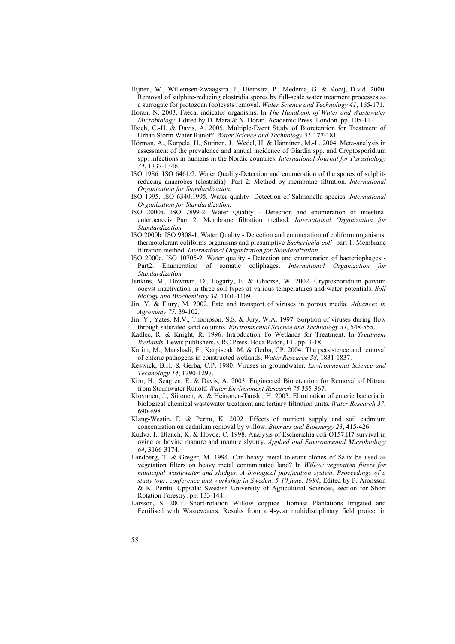Hijnen, W., Willemsen-Zwaagstra, J., Hiemstra, P., Medema, G. & Kooij, D.v.d. 2000. Removal of sulphite-reducing clostridia spores by full-scale water treatment processes as a surrogate for protozoan (oo)cysts removal. *Water Science and Technology 41*, 165-171.

Horan, N. 2003. Faecal indicator organisms. In *The Handbook of Water and Wastewater Microbiology*. Edited by D. Mara & N. Horan. Academic Press. London. pp. 105-112.

- Hsieh, C.-H. & Davis, A. 2005. Multiple-Event Study of Bioretention for Treatment of Urban Storm Water Runoff. *Water Science and Technology 51* 177-181
- Hörman, A., Korpela, H., Sutinen, J., Wedel, H. & Hänninen, M.-L. 2004. Meta-analysis in assessment of the prevalence and annual incidence of Giardia spp. and Cryptosporidium spp. infections in humans in the Nordic countries. *International Journal for Parasitology 34*, 1337-1346.
- ISO 1986. ISO 6461/2. Water Quality-Detection and enumeration of the spores of sulphitreducing anaerobes (clostridia)- Part 2: Method by membrane filtration. *International Organization for Standardization.*
- ISO 1995. ISO 6340:1995. Water quality- Detection of Salmonella species. *International Organization for Standardization.*
- ISO 2000a. ISO 7899-2. Water Quality Detection and enumeration of intestinal enterococci- Part 2: Membrane filtration method. *International Organization for Standardization.*
- ISO 2000b. ISO 9308-1, Water Quality Detection and enumeration of coliform organisms, thermotolerant coliforms organisms and presumptive *Escherichia coli-* part 1. Membrane filtration method. *International Organization for Standardization*.
- ISO 2000c. ISO 10705-2. Water quality Detection and enumeration of bacteriophages Part2. Enumeration of somatic coliphages. *International Organization for Standardization*
- Jenkins, M., Bowman, D., Fogarty, E. & Ghiorse, W. 2002. Cryptosporidium parvum oocyst inactivation in three soil types at various temperatures and water potentials. *Soil biology and Biochemistry 34*, 1101-1109.
- Jin, Y. & Flury, M. 2002. Fate and transport of viruses in porous media. *Advances in Agronomy 77*, 39-102.
- Jin, Y., Yates, M.V., Thompson, S.S. & Jury, W.A. 1997. Sorption of viruses during flow through saturated sand columns. *Environmental Science and Technology 31*, 548-555.
- Kadlec, R. & Knight, R. 1996. Introduction To Wetlands for Treatment. In *Treatment Wetlands*. Lewis publishers, CRC Press. Boca Raton, FL. pp. 3-18.
- Karim, M., Manshadi, F., Karpiscak, M. & Gerba, CP. 2004. The persistence and removal of enteric pathogens in constructed wetlands. *Water Research 38*, 1831-1837.
- Keswick, B.H. & Gerba, C.P. 1980. Viruses in groundwater. *Environmental Science and Technology 14*, 1290-1297.
- Kim, H., Seagren, E. & Davis, A. 2003. Engineered Bioretention for Removal of Nitrate from Stormwater Runoff. *Water Environment Research 75* 355-367.
- Kiovunen, J., Siitonen, A. & Heinonen-Tanski, H. 2003. Elimination of enteric bacteria in biological-chemical wastewater treatment and tertiary filtration units. *Water Research 37*, 690-698.
- Klang-Westin, E. & Perttu, K. 2002. Effects of nutrient supply and soil cadmium concentration on cadmium removal by willow. *Biomass and Bioenergy 23*, 415-426.
- Kudva, I., Blanch, K. & Hovde, C. 1998. Analysis of Escherichia coli O157:H7 survival in ovine or bovine manure and manure slyurry. *Applied and Environmental Microbiology 64*, 3166-3174.
- Landberg, T. & Greger, M. 1994. Can heavy metal tolerant clones of Salix be used as vegetation filters on heavy metal contaminated land? In *Willow vegetation filters for municipal wastewater and sludges. A biological purification system. Proceedings of a study tour, conference and workshop in Sweden, 5-10 june, 1994*, Edited by P. Aronsson & K. Perttu. Uppsala: Swedish University of Agricultural Sciences, section for Short Rotation Forestry. pp. 133-144.
- Larsson, S. 2003. Short-rotation Willow coppice Biomass Plantations Irrigated and Fertilised with Wastewaters. Results from a 4-year multidisciplinary field project in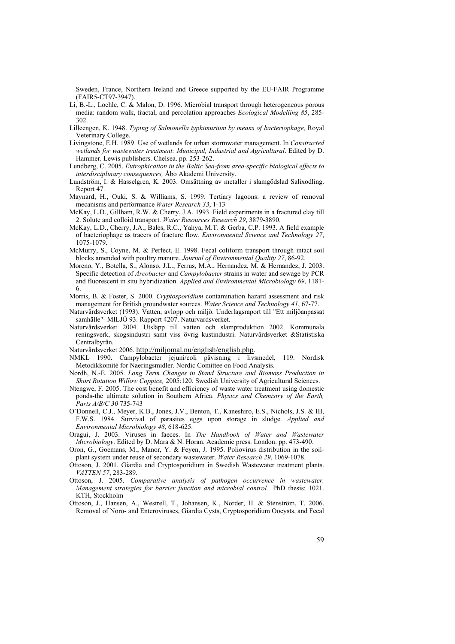Sweden, France, Northern Ireland and Greece supported by the EU-FAIR Programme (FAIR5-CT97-3947).

- Li, B.-L., Loehle, C. & Malon, D. 1996. Microbial transport through heterogeneous porous media: random walk, fractal, and percolation approaches *Ecological Modelling 85*, 285- 302.
- Lilleengen, K. 1948. *Typing of Salmonella typhimurium by means of bacteriophage,* Royal Veterinary College.
- Livingstone, E.H. 1989. Use of wetlands for urban stormwater management. In *Constructed wetlands for wastewater treatment: Municipal, Industrial and Agricultural*. Edited by D. Hammer. Lewis publishers. Chelsea. pp. 253-262.
- Lundberg, C. 2005. *Eutrophication in the Baltic Sea-from area-specific biological effects to interdisciplinary consequences,* Åbo Akademi University.
- Lundström, I. & Hasselgren, K. 2003. Omsättning av metaller i slamgödslad Salixodling. Report 47.
- Maynard, H., Ouki, S. & Williams, S. 1999. Tertiary lagoons: a review of removal mecanisms and performance *Water Research 33*, 1-13
- McKay, L.D., Gillham, R.W. & Cherry, J.A. 1993. Field experiments in a fractured clay till 2. Solute and colloid transport. *Water Resources Research 29*, 3879-3890.
- McKay, L.D., Cherry, J.A., Bales, R.C., Yahya, M.T. & Gerba, C.P. 1993. A field example of bacteriophage as tracers of fracture flow. *Environmental Science and Technology 27*, 1075-1079.
- McMurry, S., Coyne, M. & Perfect, E. 1998. Fecal coliform transport through intact soil blocks amended with poultry manure. *Journal of Environmental Quality 27*, 86-92.
- Moreno, Y., Botella, S., Alonso, J.L., Ferrus, M.A., Hernandez, M. & Hernandez, J. 2003. Specific detection of *Arcobacter* and *Campylobacter* strains in water and sewage by PCR and fluorescent in situ hybridization. *Applied and Environmental Microbiology 69*, 1181- 6.
- Morris, B. & Foster, S. 2000. *Cryptosporidium* contamination hazard assessment and risk management for British groundwater sources. *Water Science and Technology 41*, 67-77.
- Naturvårdsverket (1993). Vatten, avlopp och miljö. Underlagsraport till "Ett miljöanpassat samhälle"- MILJÖ 93. Rapport 4207. Naturvårdsverket.
- Naturvårdsverket 2004. Utsläpp till vatten och slamproduktion 2002. Kommunala reningsverk, skogsindustri samt viss övrig kustindustri. Naturvårdsverket &Statistiska Centralbyrån.
- Naturvårdsverket 2006. http://miljomal.nu/english/english.php.
- NMKL 1990. Campylobacter jejuni/coli påvisning i livsmedel, 119. Nordisk Metodikkomité for Naeringsmidler. Nordic Comittee on Food Analysis.
- Nordh, N.-E. 2005. *Long Term Changes in Stand Structure and Biomass Production in Short Rotation Willow Coppice,* 2005:120. Swedish University of Agricultural Sciences.
- Ntengwe, F. 2005. The cost benefit and efficiency of waste water treatment using domestic ponds-the ultimate solution in Southern Africa. *Physics and Chemistry of the Earth, Parts A/B/C 30* 735-743
- O´Donnell, C.J., Meyer, K.B., Jones, J.V., Benton, T., Kaneshiro, E.S., Nichols, J.S. & III, F.W.S. 1984. Survival of parasites eggs upon storage in sludge. *Applied and Environmental Microbiology 48*, 618-625.
- Oragui, J. 2003. Viruses in faeces. In *The Handbook of Water and Wastewater Microbiology*. Edited by D. Mara & N. Horan. Academic press. London. pp. 473-490.
- Oron, G., Goemans, M., Manor, Y. & Feyen, J. 1995. Poliovirus distribution in the soilplant system under reuse of secondary wastewater. *Water Research 29*, 1069-1078.
- Ottoson, J. 2001. Giardia and Cryptosporidium in Swedish Wastewater treatment plants. *VATTEN 57*, 283-289.
- Ottoson, J. 2005. *Comparative analysis of pathogen occurrence in wastewater. Management strategies for barrier function and microbial control.,* PhD thesis: 1021. KTH, Stockholm
- Ottoson, J., Hansen, A., Westrell, T., Johansen, K., Norder, H. & Stenström, T. 2006. Removal of Noro- and Enteroviruses, Giardia Cysts, Cryptosporidium Oocysts, and Fecal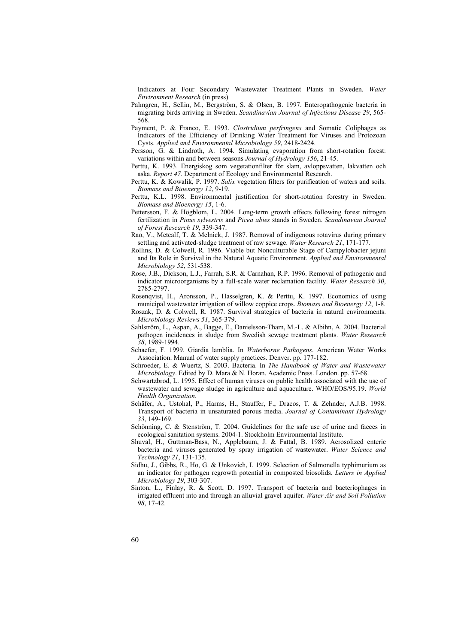Indicators at Four Secondary Wastewater Treatment Plants in Sweden. *Water Environment Research* (in press)

- Palmgren, H., Sellin, M., Bergström, S. & Olsen, B. 1997. Enteropathogenic bacteria in migrating birds arriving in Sweden. *Scandinavian Journal of Infectious Disease 29*, 565- 568.
- Payment, P. & Franco, E. 1993. *Clostridium perfringens* and Somatic Coliphages as Indicators of the Efficiency of Drinking Water Treatment for Viruses and Protozoan Cysts. *Applied and Environmental Microbiology 59*, 2418-2424.
- Persson, G. & Lindroth, A. 1994. Simulating evaporation from short-rotation forest: variations within and between seasons *Journal of Hydrology 156*, 21-45.
- Perttu, K. 1993. Energiskog som vegetationfilter för slam, avloppsvatten, lakvatten och aska. *Report 47*. Department of Ecology and Environmental Research.
- Perttu, K. & Kowalik, P. 1997. *Salix* vegetation filters for purification of waters and soils. *Biomass and Bioenergy 12*, 9-19.
- Perttu, K.L. 1998. Environmental justification for short-rotation forestry in Sweden. *Biomass and Bioenergy 15*, 1-6.
- Pettersson, F. & Högblom, L. 2004. Long-term growth effects following forest nitrogen fertilization in *Pinus sylvestris* and *Picea abies* stands in Sweden. *Scandinavian Journal of Forest Research 19*, 339-347.
- Rao, V., Metcalf, T. & Melnick, J. 1987. Removal of indigenous rotavirus during primary settling and activated-sludge treatment of raw sewage. *Water Research 21*, 171-177.
- Rollins, D. & Colwell, R. 1986. Viable but Nonculturable Stage of Campylobacter jejuni and Its Role in Survival in the Natural Aquatic Environment. *Applied and Environmental Microbiology 52*, 531-538.
- Rose, J.B., Dickson, L.J., Farrah, S.R. & Carnahan, R.P. 1996. Removal of pathogenic and indicator microorganisms by a full-scale water reclamation facility. *Water Research 30*, 2785-2797.
- Rosenqvist, H., Aronsson, P., Hasselgren, K. & Perttu, K. 1997. Economics of using municipal wastewater irrigation of willow coppice crops. *Biomass and Bioenergy 12*, 1-8.
- Roszak, D. & Colwell, R. 1987. Survival strategies of bacteria in natural environments. *Microbiology Reviews 51*, 365-379.
- Sahlström, L., Aspan, A., Bagge, E., Danielsson-Tham, M.-L. & Albihn, A. 2004. Bacterial pathogen incidences in sludge from Swedish sewage treatment plants. *Water Research 38*, 1989-1994.
- Schaefer, F. 1999. Giardia lamblia. In *Waterborne Pathogens*. American Water Works Association. Manual of water supply practices. Denver. pp. 177-182.
- Schroeder, E. & Wuertz, S. 2003. Bacteria. In *The Handbook of Water and Wastewater Microbiology*. Edited by D. Mara & N. Horan. Academic Press. London. pp. 57-68.
- Schwartzbrod, L. 1995. Effect of human viruses on public health associated with the use of wastewater and sewage sludge in agriculture and aquaculture. WHO/EOS/95.19. *World Health Organization.*
- Schäfer, A., Ustohal, P., Harms, H., Stauffer, F., Dracos, T. & Zehnder, A.J.B. 1998. Transport of bacteria in unsaturated porous media. *Journal of Contaminant Hydrology 33*, 149-169.
- Schönning, C. & Stenström, T. 2004. Guidelines for the safe use of urine and faeces in ecological sanitation systems. 2004-1. Stockholm Environmental Institute.
- Shuval, H., Guttman-Bass, N., Applebaum, J. & Fattal, B. 1989. Aerosolized enteric bacteria and viruses generated by spray irrigation of wastewater. *Water Science and Technology 21*, 131-135.
- Sidhu, J., Gibbs, R., Ho, G. & Unkovich, I. 1999. Selection of Salmonella typhimurium as an indicator for pathogen regrowth potential in composted biosolids. *Letters in Applied Microbiology 29*, 303-307.
- Sinton, L., Finlay, R. & Scott, D. 1997. Transport of bacteria and bacteriophages in irrigated effluent into and through an alluvial gravel aquifer. *Water Air and Soil Pollution 98*, 17-42.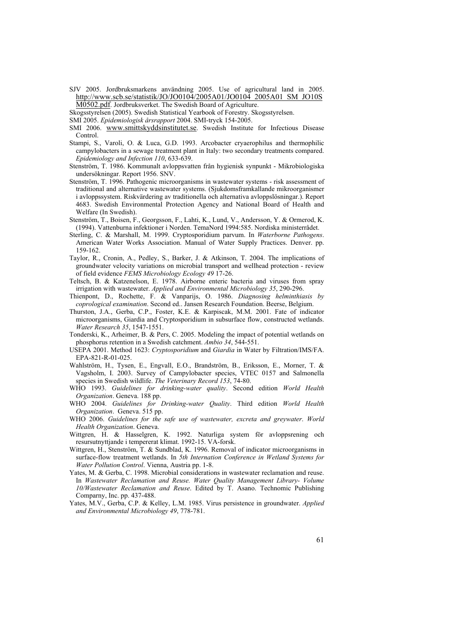SJV 2005. Jordbruksmarkens användning 2005. Use of agricultural land in 2005. http://www.scb.se/statistik/JO/JO0104/2005A01/JO0104\_2005A01\_SM\_JO10S M0502.pdf. Jordbruksverket. The Swedish Board of Agriculture.

Skogsstyrelsen (2005). Swedish Statistical Yearbook of Forestry. Skogsstyrelsen.

- SMI 2005. *Epidemiologisk årsrapport* 2004. SMI-tryck 154-2005.
- SMI 2006. www.smittskyddsinstitutet.se. Swedish Institute for Infectious Disease Control.
- Stampi, S., Varoli, O. & Luca, G.D. 1993. Arcobacter cryaerophilus and thermophilic campylobacters in a sewage treatment plant in Italy: two secondary treatments compared. *Epidemiology and Infection 110*, 633-639.
- Stenström, T. 1986. Kommunalt avloppsvatten från hygienisk synpunkt Mikrobiologiska undersökningar. Report 1956. SNV.
- Stenström, T. 1996. Pathogenic microorganisms in wastewater systems risk assessment of traditional and alternative wastewater systems. (Sjukdomsframkallande mikroorganismer i avloppssystem. Riskvärdering av traditionella och alternativa avloppslösningar.). Report 4683. Swedish Environmental Protection Agency and National Board of Health and Welfare (In Swedish).
- Stenström, T., Boisen, F., Georgsson, F., Lahti, K., Lund, V., Andersson, Y. & Ormerod, K. (1994). Vattenburna infektioner i Norden. TemaNord 1994:585. Nordiska ministerrådet.
- Sterling, C. & Marshall, M. 1999. Cryptosporidium parvum. In *Waterborne Pathogens*. American Water Works Association. Manual of Water Supply Practices. Denver. pp. 159-162.
- Taylor, R., Cronin, A., Pedley, S., Barker, J. & Atkinson, T. 2004. The implications of groundwater velocity variations on microbial transport and wellhead protection - review of field evidence *FEMS Microbiology Ecology 49* 17-26.
- Teltsch, B. & Katzenelson, E. 1978. Airborne enteric bacteria and viruses from spray irrigation with wastewater. *Applied and Environmental Microbiology 35*, 290-296.
- Thienpont, D., Rochette, F. & Vanparijs, O. 1986. *Diagnosing helminthiasis by coprological examination*. Second ed.. Jansen Research Foundation. Beerse, Belgium.
- Thurston, J.A., Gerba, C.P., Foster, K.E. & Karpiscak, M.M. 2001. Fate of indicator microorganisms, Giardia and Cryptosporidium in subsurface flow, constructed wetlands. *Water Research 35*, 1547-1551.
- Tonderski, K., Arheimer, B. & Pers, C. 2005. Modeling the impact of potential wetlands on phosphorus retention in a Swedish catchment. *Ambio 34*, 544-551.
- USEPA 2001. Method 1623: *Cryptosporidium* and *Giardia* in Water by Filtration/IMS/FA. EPA-821-R-01-025.
- Wahlström, H., Tysen, E., Engvall, E.O., Brandström, B., Eriksson, E., Morner, T. & Vagsholm, I. 2003. Survey of Campylobacter species, VTEC 0157 and Salmonella species in Swedish wildlife. *The Veterinary Record 153*, 74-80.
- WHO 1993. *Guidelines for drinking-water quality*. Second edition *World Health Organization*. Geneva. 188 pp.
- WHO 2004. *Guidelines for Drinking-water Quality*. Third edition *World Health Organization*. Geneva. 515 pp.
- WHO 2006. *Guidelines for the safe use of wastewater, excreta and greywater*. *World Health Organization*. Geneva.
- Wittgren, H. & Hasselgren, K. 1992. Naturliga system för avloppsrening och resursutnyttjande i tempererat klimat. 1992-15. VA-forsk.
- Wittgren, H., Stenström, T. & Sundblad, K. 1996. Removal of indicator microorganisms in surface-flow treatment wetlands. In *5th Internation Conference in Wetland Systems for Water Pollution Control*. Vienna, Austria pp. 1-8.
- Yates, M. & Gerba, C. 1998. Microbial considerations in wastewater reclamation and reuse. In *Wastewater Reclamation and Reuse. Water Quality Management Library- Volume 10/Wastewater Reclamation and Reuse*. Edited by T. Asano. Technomic Publishing Comparny, Inc. pp. 437-488.
- Yates, M.V., Gerba, C.P. & Kelley, L.M. 1985. Virus persistence in groundwater. *Applied and Environmental Microbiology 49*, 778-781.